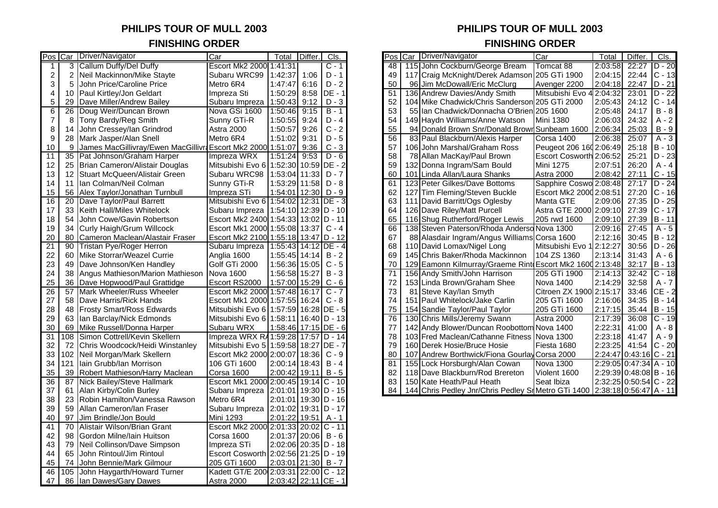# **FINISHING ORDER FINISHING ORDER**

| Callum Duffy/Del Duffy<br>Escort Mk2 2000 1:41:31<br>115 John Cockburn/George Bream<br>Tomcat 88<br>3<br>C - 1<br>48<br>2:03:58<br>$\overline{c}$<br>Neil Mackinnon/Mike Stayte<br>Subaru WRC99<br>1:42:37<br>1:06<br>$D - 1$<br>49<br>117 Craig McKnight/Derek Adamson<br>205 GTi 1900<br>2:04:15<br>2<br>3<br>5<br>John Price/Caroline Price<br>$D - 2$<br>50<br>2:04:18<br>Metro 6R4<br>1:47:47<br>6:16<br>96 Jim McDowall/Eric McClurg<br>Avenger 2200<br><b>DE - 1</b><br>Paul Kirtley/Jon Geldart<br>8:58<br>Mitsubishi Evo 4 2:04:32<br>4<br>Impreza Sti<br>1:50:29<br>51<br>136 Andrew Davies/Andy Smith<br>10<br>5<br>52<br>104 Mike Chadwick/Chris Sanderson 205 GTi 2000<br>29<br>Dave Miller/Andrew Bailey<br>Subaru Impreza<br>1:50:43<br>9:12<br>$D - 3$<br>2:05:43<br>$\overline{6}$<br>$\overline{26}$<br>Doug Weir/Duncan Brown<br>Nova GSi 1600<br>1:50:46<br>9:15<br>$B - 1$<br>53<br>55 Ian Chadwick/Donnacha O'Brien 205 1600<br>2:05:48<br>54<br>$\overline{7}$<br>Tony Bardy/Reg Smith<br>1:50:55<br>9:24<br>$D - 4$<br>149 Haydn Williams/Anne Watson<br><b>Mini 1380</b><br>2:06:03<br>8<br>Sunny GTi-R<br>8<br>55<br>John Cressey/lan Grindrod<br>9:26<br>$C - 2$<br>Sunbeam 1600 2:06:34<br>14<br>Astra 2000<br>1:50:57<br>94 Donald Brown Snr/Donald Brown<br>56<br>83 Paul Blackburn/Alexis Harper<br>9<br>28<br>Mark Jasper/Alan Snell<br>Metro 6R4<br>1:51:02<br>9:31<br>$D - 5$<br>Corsa 1400<br>2:06:38<br>9:36<br>$C - 3$<br>57<br>106 John Marshal/Graham Ross<br>Peugeot 206 160 2:06:49<br>10<br>9<br>James MacGillivray/Ewen MacGillivra Escort Mk2 2000 1:51:07<br>$\overline{11}$<br>35<br>Pat Johnson/Graham Harper<br>1:51:24<br>9:53<br>$D - 6$<br>58<br>78 Allan MacKay/Paul Brown<br>Escort Cosworth 2:06:52<br>Impreza WRX<br>Mitsubishi Evo 6   1:52:30   10:59 DE - 2<br>59<br>132 Donna Ingram/Sam Bould<br>Mini 1275<br>12<br>25<br>Brian Cameron/Alistair Douglas<br>2:07:51<br>13<br>Stuart McQueen/Alistair Green<br>Subaru WRC98<br>$1:53:04$ 11:33 D - 7<br>101 Linda Allan/Laura Shanks<br>12<br>60<br>Astra 2000<br>2:08:42<br>123 Peter Gilkes/Dave Bottoms<br>Ian Colman/Neil Colman<br>Sunny GTi-R<br>1:53:29 11:58 D - 8<br>61<br>Sapphire Coswo 2:08:48<br>14<br>11<br>15<br>62<br>56<br>Impreza STi<br>1:54:01<br>$12:30$ D - 9<br>127 Tim Fleming/Steven Buckle<br>Escort Mk2 2000 2:08:51<br>27:20<br>Alex Taylor/Jonathan Turnbull<br>16<br>$12:31$ DE - 3<br>63<br>27:35<br>20<br>Dave Taylor/Paul Barrett<br>Mitsubishi Evo 6   1:54:02  <br>111 David Barritt/Ogs Oglesby<br>Manta GTE<br>2:09:06<br>$1:54:10$ 12:39 D - 10<br>64<br>126 Dave Riley/Matt Purcell<br>17<br>33<br>Keith Hall/Miles Whitelock<br>Subaru Impreza<br>Astra GTE 2000 2:09:10<br>27:39<br>18<br>John Cowe/Gavin Robertson<br>Escort Mk2 2400 1:54:33 13:02 D - 11<br>65<br>116 Shug Rutherford/Roger Lewis<br>205 rwd 1600<br>2:09:10<br>27:39<br>54<br>19<br>34<br>Curly Haigh/Grum Willcock<br>Escort Mk1 2000 1:55:08 13:37 C - 4<br>66<br>138 Steven Paterson/Rhoda Anderso Nova 1300<br>2:09:16<br>27:45<br>$20\,$<br>80<br>Escort Mk2 2100 1:55:18 13:47 D - 12<br>67<br>88 Alasdair Ingram/Angus Williams Corsa 1600<br>2:12:16<br>30:45<br>Cameron Maclean/Alastair Fraser<br>21<br><b>Tristan Pye/Roger Herron</b><br>110 David Lomax/Nigel Long<br>90<br>Subaru Impreza<br>1:55:43 14:12 DE - 4<br>68<br>Mitsubishi Evo 1 2:12:27<br>22<br>1:55:45 $14:14$ B - 2<br>69<br>145 Chris Baker/Rhoda Mackinnon<br>60<br>Mike Storrar/Weazel Currie<br>Anglia 1600<br>104 ZS 1360<br>2:13:14<br>23<br>49<br>Dave Johnson/Ken Handley<br>Golf GTi 2000<br>1:56:36 15:05 C - 5<br>70<br>129 Eamonn Kilmurray/Graeme Rint Escort Mk2 1600 2:13:48<br>24<br>38<br>$B - 3$<br>Angus Mathieson/Marion Mathieson<br>1:56:58 15:27<br>71<br>156 Andy Smith/John Harrison<br>205 GTi 1900<br>Nova 1600<br>2:14:13<br>25<br>36<br>$C - 6$<br>72<br>2:14:29<br>Dave Hopwood/Paul Grattidge<br>Escort RS2000<br>1:57:00 15:29<br>153 Linda Brown/Graham Shee<br>Nova 1400<br>26<br>57<br>Mark Wheeler/Russ Wheeler<br>Escort Mk2 2000 1:57:48<br>$C - 7$<br>73<br>81 Steve Kay/lan Smyth<br>Citroen ZX 1900 2:15:17<br>16:17<br>27<br>58<br>Dave Harris/Rick Hands<br>Escort Mk1 2000 1:57:55 16:24 C - 8<br>74<br>151 Paul Whitelock/Jake Carlin<br>205 GTi 1600<br>2:16:06<br>28<br>75<br>2:17:15<br>Frosty Smart/Ross Edwards<br>Mitsubishi Evo 6 1:57:59 16:28 DE - 5<br>154 Sandie Taylor/Paul Taylor<br>205 GTi 1600<br>48<br>29<br>130 Chris Mills/Jeremy Swann<br>Astra 2000<br>63<br>Ian Barclay/Nick Edmonds<br>Mitsubishi Evo 6   1:58:11   16:40   D - 13<br>76<br>2:17:39<br>30<br>Subaru WRX<br>1:58:46 17:15 DE - 6<br>2:22:31<br>69<br>Mike Russell/Donna Harper<br>77<br>142 Andy Blower/Duncan Roobottom Nova 1400<br>31<br>$\overline{108}$<br>Simon Cottrell/Kevin Skellern<br>Impreza WRX R4 1:59:28 17:57 D - 14<br>78<br>103 Fred Maclean/Cathanne Fitness Nova 1300<br>2:23:18<br>79<br>Mitsubishi Evo 5 1:59:58 18:27 DE - 7<br>160 Derek Hosie/Bruce Hosie<br>2:23:25<br>32<br>72<br>Chris Woodcock/Heidi Winstanley<br>Fiesta 1680<br>$2:24:47$ 0:43:16 C - 21<br>33<br>102<br>Neil Morgan/Mark Skellern<br>Escort Mk2 2000 2:00:07 18:36 C - 9<br>80<br>107 Andrew Borthwick/Fiona Gourlay Corsa 2000<br>121<br>$2:00:14$ 18:43 B - 4<br>155 Lock Horsburgh/Alan Cowan<br>2:29:05 0:47:34 A - 10<br>34<br>Iain Grubb/Ian Morrison<br>106 GTi 1600<br>81<br>Nova 1300<br>35<br>$2:00:42$ 19:11 B - 5<br>82<br>118 Dave Blackburn/Rod Brereton<br>2:29:39 0:48:08 B - 16<br>39<br>Robert Mathieson/Harry Maclean<br><b>Corsa 1600</b><br>Violent 1600<br>36<br>2:32:25 0:50:54 C - 22<br>87<br>Nick Bailey/Steve Hallmark<br>Escort Mk1 2000 2:00:45 19:14 C - 10<br>150 Kate Heath/Paul Heath<br>Seat Ibiza<br>83<br>144 Chris Pedley Jnr/Chris Pedley SrMetro GTi 1400 2:38:18 0:56:47 A - 11<br>37<br>Alan Kirby/Colin Burley<br>Subaru Impreza   2:01:01   19:30   D - 15<br>84<br>61<br>38<br>23<br>Robin Hamilton/Vanessa Rawson<br>Metro 6R4<br>2:01:01 19:30 D - 16<br>39<br>$2:01:02$ 19:31 D - 17<br>59<br>Allan Cameron/Ian Fraser<br>Subaru Impreza<br>40<br>97<br>Jim Brindle/Jon Bould<br>Mini 1293<br>$2:01:22$ 19:51 A - 1<br>$\overline{41}$<br>70<br>Alistair Wilson/Brian Grant<br>Escort Mk2 2000 2:01:33 20:02 C - 11<br>Gordon Milne/Iain Huitson<br>$2:01:37$ 20:06 B - 6<br>42<br>98<br><b>Corsa 1600</b><br>43<br>79<br>Neil Collinson/Dave Simpson<br>Impreza STi<br>2:02:06 20:35 D - 18<br>Escort Cosworth 2:02:56 21:25 D - 19<br>44<br>65<br>John Rintoul/Jim Rintoul<br>45<br>$2:03:01$ 21:30 B - 7<br>74<br>John Bennie/Mark Gilmour<br>205 GTi 1600 |  | Pos Car Driver/Navigator | Car | Total Differ. | Cls. |  | Pos Car Driver/Navigator | $\overline{Car}$ | Total | Differ.      | Cls.     |
|------------------------------------------------------------------------------------------------------------------------------------------------------------------------------------------------------------------------------------------------------------------------------------------------------------------------------------------------------------------------------------------------------------------------------------------------------------------------------------------------------------------------------------------------------------------------------------------------------------------------------------------------------------------------------------------------------------------------------------------------------------------------------------------------------------------------------------------------------------------------------------------------------------------------------------------------------------------------------------------------------------------------------------------------------------------------------------------------------------------------------------------------------------------------------------------------------------------------------------------------------------------------------------------------------------------------------------------------------------------------------------------------------------------------------------------------------------------------------------------------------------------------------------------------------------------------------------------------------------------------------------------------------------------------------------------------------------------------------------------------------------------------------------------------------------------------------------------------------------------------------------------------------------------------------------------------------------------------------------------------------------------------------------------------------------------------------------------------------------------------------------------------------------------------------------------------------------------------------------------------------------------------------------------------------------------------------------------------------------------------------------------------------------------------------------------------------------------------------------------------------------------------------------------------------------------------------------------------------------------------------------------------------------------------------------------------------------------------------------------------------------------------------------------------------------------------------------------------------------------------------------------------------------------------------------------------------------------------------------------------------------------------------------------------------------------------------------------------------------------------------------------------------------------------------------------------------------------------------------------------------------------------------------------------------------------------------------------------------------------------------------------------------------------------------------------------------------------------------------------------------------------------------------------------------------------------------------------------------------------------------------------------------------------------------------------------------------------------------------------------------------------------------------------------------------------------------------------------------------------------------------------------------------------------------------------------------------------------------------------------------------------------------------------------------------------------------------------------------------------------------------------------------------------------------------------------------------------------------------------------------------------------------------------------------------------------------------------------------------------------------------------------------------------------------------------------------------------------------------------------------------------------------------------------------------------------------------------------------------------------------------------------------------------------------------------------------------------------------------------------------------------------------------------------------------------------------------------------------------------------------------------------------------------------------------------------------------------------------------------------------------------------------------------------------------------------------------------------------------------------------------------------------------------------------------------------------------------------------------------------------------------------------------------------------------------------------------------------------------------------------------------------------------------------------------------------------------------------------------------------------------------------------------------------------------------------------------------------------------------------------------------------------------------------------------------------------------------------------------------------------------------------------------------------------------------------------------------------------------------------------------------------------------------------------------------------------------------------------------------------------------------------------------------------------------------------------------------------------------------------------------------------------------------------------------------------------------------------------------------------------------------------------------------------------------------------------------------------------------------------------------------------------------------------------------------------------------------------------------------------------------------------------------------------------------------------------------------------------------------------------------------------------|--|--------------------------|-----|---------------|------|--|--------------------------|------------------|-------|--------------|----------|
|                                                                                                                                                                                                                                                                                                                                                                                                                                                                                                                                                                                                                                                                                                                                                                                                                                                                                                                                                                                                                                                                                                                                                                                                                                                                                                                                                                                                                                                                                                                                                                                                                                                                                                                                                                                                                                                                                                                                                                                                                                                                                                                                                                                                                                                                                                                                                                                                                                                                                                                                                                                                                                                                                                                                                                                                                                                                                                                                                                                                                                                                                                                                                                                                                                                                                                                                                                                                                                                                                                                                                                                                                                                                                                                                                                                                                                                                                                                                                                                                                                                                                                                                                                                                                                                                                                                                                                                                                                                                                                                                                                                                                                                                                                                                                                                                                                                                                                                                                                                                                                                                                                                                                                                                                                                                                                                                                                                                                                                                                                                                                                                                                                                                                                                                                                                                                                                                                                                                                                                                                                                                                                                                                                                                                                                                                                                                                                                                                                                                                                                                                                                                                                                      |  |                          |     |               |      |  |                          |                  |       | 22:27        | D - 20   |
|                                                                                                                                                                                                                                                                                                                                                                                                                                                                                                                                                                                                                                                                                                                                                                                                                                                                                                                                                                                                                                                                                                                                                                                                                                                                                                                                                                                                                                                                                                                                                                                                                                                                                                                                                                                                                                                                                                                                                                                                                                                                                                                                                                                                                                                                                                                                                                                                                                                                                                                                                                                                                                                                                                                                                                                                                                                                                                                                                                                                                                                                                                                                                                                                                                                                                                                                                                                                                                                                                                                                                                                                                                                                                                                                                                                                                                                                                                                                                                                                                                                                                                                                                                                                                                                                                                                                                                                                                                                                                                                                                                                                                                                                                                                                                                                                                                                                                                                                                                                                                                                                                                                                                                                                                                                                                                                                                                                                                                                                                                                                                                                                                                                                                                                                                                                                                                                                                                                                                                                                                                                                                                                                                                                                                                                                                                                                                                                                                                                                                                                                                                                                                                                      |  |                          |     |               |      |  |                          |                  |       | 22:44        | $C - 13$ |
|                                                                                                                                                                                                                                                                                                                                                                                                                                                                                                                                                                                                                                                                                                                                                                                                                                                                                                                                                                                                                                                                                                                                                                                                                                                                                                                                                                                                                                                                                                                                                                                                                                                                                                                                                                                                                                                                                                                                                                                                                                                                                                                                                                                                                                                                                                                                                                                                                                                                                                                                                                                                                                                                                                                                                                                                                                                                                                                                                                                                                                                                                                                                                                                                                                                                                                                                                                                                                                                                                                                                                                                                                                                                                                                                                                                                                                                                                                                                                                                                                                                                                                                                                                                                                                                                                                                                                                                                                                                                                                                                                                                                                                                                                                                                                                                                                                                                                                                                                                                                                                                                                                                                                                                                                                                                                                                                                                                                                                                                                                                                                                                                                                                                                                                                                                                                                                                                                                                                                                                                                                                                                                                                                                                                                                                                                                                                                                                                                                                                                                                                                                                                                                                      |  |                          |     |               |      |  |                          |                  |       | 22:47        | $D - 21$ |
|                                                                                                                                                                                                                                                                                                                                                                                                                                                                                                                                                                                                                                                                                                                                                                                                                                                                                                                                                                                                                                                                                                                                                                                                                                                                                                                                                                                                                                                                                                                                                                                                                                                                                                                                                                                                                                                                                                                                                                                                                                                                                                                                                                                                                                                                                                                                                                                                                                                                                                                                                                                                                                                                                                                                                                                                                                                                                                                                                                                                                                                                                                                                                                                                                                                                                                                                                                                                                                                                                                                                                                                                                                                                                                                                                                                                                                                                                                                                                                                                                                                                                                                                                                                                                                                                                                                                                                                                                                                                                                                                                                                                                                                                                                                                                                                                                                                                                                                                                                                                                                                                                                                                                                                                                                                                                                                                                                                                                                                                                                                                                                                                                                                                                                                                                                                                                                                                                                                                                                                                                                                                                                                                                                                                                                                                                                                                                                                                                                                                                                                                                                                                                                                      |  |                          |     |               |      |  |                          |                  |       | 23:01        | $D - 22$ |
|                                                                                                                                                                                                                                                                                                                                                                                                                                                                                                                                                                                                                                                                                                                                                                                                                                                                                                                                                                                                                                                                                                                                                                                                                                                                                                                                                                                                                                                                                                                                                                                                                                                                                                                                                                                                                                                                                                                                                                                                                                                                                                                                                                                                                                                                                                                                                                                                                                                                                                                                                                                                                                                                                                                                                                                                                                                                                                                                                                                                                                                                                                                                                                                                                                                                                                                                                                                                                                                                                                                                                                                                                                                                                                                                                                                                                                                                                                                                                                                                                                                                                                                                                                                                                                                                                                                                                                                                                                                                                                                                                                                                                                                                                                                                                                                                                                                                                                                                                                                                                                                                                                                                                                                                                                                                                                                                                                                                                                                                                                                                                                                                                                                                                                                                                                                                                                                                                                                                                                                                                                                                                                                                                                                                                                                                                                                                                                                                                                                                                                                                                                                                                                                      |  |                          |     |               |      |  |                          |                  |       | 24:12        | $C - 14$ |
|                                                                                                                                                                                                                                                                                                                                                                                                                                                                                                                                                                                                                                                                                                                                                                                                                                                                                                                                                                                                                                                                                                                                                                                                                                                                                                                                                                                                                                                                                                                                                                                                                                                                                                                                                                                                                                                                                                                                                                                                                                                                                                                                                                                                                                                                                                                                                                                                                                                                                                                                                                                                                                                                                                                                                                                                                                                                                                                                                                                                                                                                                                                                                                                                                                                                                                                                                                                                                                                                                                                                                                                                                                                                                                                                                                                                                                                                                                                                                                                                                                                                                                                                                                                                                                                                                                                                                                                                                                                                                                                                                                                                                                                                                                                                                                                                                                                                                                                                                                                                                                                                                                                                                                                                                                                                                                                                                                                                                                                                                                                                                                                                                                                                                                                                                                                                                                                                                                                                                                                                                                                                                                                                                                                                                                                                                                                                                                                                                                                                                                                                                                                                                                                      |  |                          |     |               |      |  |                          |                  |       | 24:17        | $B - 8$  |
|                                                                                                                                                                                                                                                                                                                                                                                                                                                                                                                                                                                                                                                                                                                                                                                                                                                                                                                                                                                                                                                                                                                                                                                                                                                                                                                                                                                                                                                                                                                                                                                                                                                                                                                                                                                                                                                                                                                                                                                                                                                                                                                                                                                                                                                                                                                                                                                                                                                                                                                                                                                                                                                                                                                                                                                                                                                                                                                                                                                                                                                                                                                                                                                                                                                                                                                                                                                                                                                                                                                                                                                                                                                                                                                                                                                                                                                                                                                                                                                                                                                                                                                                                                                                                                                                                                                                                                                                                                                                                                                                                                                                                                                                                                                                                                                                                                                                                                                                                                                                                                                                                                                                                                                                                                                                                                                                                                                                                                                                                                                                                                                                                                                                                                                                                                                                                                                                                                                                                                                                                                                                                                                                                                                                                                                                                                                                                                                                                                                                                                                                                                                                                                                      |  |                          |     |               |      |  |                          |                  |       | 24:32        | $A - 2$  |
|                                                                                                                                                                                                                                                                                                                                                                                                                                                                                                                                                                                                                                                                                                                                                                                                                                                                                                                                                                                                                                                                                                                                                                                                                                                                                                                                                                                                                                                                                                                                                                                                                                                                                                                                                                                                                                                                                                                                                                                                                                                                                                                                                                                                                                                                                                                                                                                                                                                                                                                                                                                                                                                                                                                                                                                                                                                                                                                                                                                                                                                                                                                                                                                                                                                                                                                                                                                                                                                                                                                                                                                                                                                                                                                                                                                                                                                                                                                                                                                                                                                                                                                                                                                                                                                                                                                                                                                                                                                                                                                                                                                                                                                                                                                                                                                                                                                                                                                                                                                                                                                                                                                                                                                                                                                                                                                                                                                                                                                                                                                                                                                                                                                                                                                                                                                                                                                                                                                                                                                                                                                                                                                                                                                                                                                                                                                                                                                                                                                                                                                                                                                                                                                      |  |                          |     |               |      |  |                          |                  |       | 25:03        | $B - 9$  |
|                                                                                                                                                                                                                                                                                                                                                                                                                                                                                                                                                                                                                                                                                                                                                                                                                                                                                                                                                                                                                                                                                                                                                                                                                                                                                                                                                                                                                                                                                                                                                                                                                                                                                                                                                                                                                                                                                                                                                                                                                                                                                                                                                                                                                                                                                                                                                                                                                                                                                                                                                                                                                                                                                                                                                                                                                                                                                                                                                                                                                                                                                                                                                                                                                                                                                                                                                                                                                                                                                                                                                                                                                                                                                                                                                                                                                                                                                                                                                                                                                                                                                                                                                                                                                                                                                                                                                                                                                                                                                                                                                                                                                                                                                                                                                                                                                                                                                                                                                                                                                                                                                                                                                                                                                                                                                                                                                                                                                                                                                                                                                                                                                                                                                                                                                                                                                                                                                                                                                                                                                                                                                                                                                                                                                                                                                                                                                                                                                                                                                                                                                                                                                                                      |  |                          |     |               |      |  |                          |                  |       | 25:07        | $A - 3$  |
|                                                                                                                                                                                                                                                                                                                                                                                                                                                                                                                                                                                                                                                                                                                                                                                                                                                                                                                                                                                                                                                                                                                                                                                                                                                                                                                                                                                                                                                                                                                                                                                                                                                                                                                                                                                                                                                                                                                                                                                                                                                                                                                                                                                                                                                                                                                                                                                                                                                                                                                                                                                                                                                                                                                                                                                                                                                                                                                                                                                                                                                                                                                                                                                                                                                                                                                                                                                                                                                                                                                                                                                                                                                                                                                                                                                                                                                                                                                                                                                                                                                                                                                                                                                                                                                                                                                                                                                                                                                                                                                                                                                                                                                                                                                                                                                                                                                                                                                                                                                                                                                                                                                                                                                                                                                                                                                                                                                                                                                                                                                                                                                                                                                                                                                                                                                                                                                                                                                                                                                                                                                                                                                                                                                                                                                                                                                                                                                                                                                                                                                                                                                                                                                      |  |                          |     |               |      |  |                          |                  |       | 25:18        | $B - 10$ |
|                                                                                                                                                                                                                                                                                                                                                                                                                                                                                                                                                                                                                                                                                                                                                                                                                                                                                                                                                                                                                                                                                                                                                                                                                                                                                                                                                                                                                                                                                                                                                                                                                                                                                                                                                                                                                                                                                                                                                                                                                                                                                                                                                                                                                                                                                                                                                                                                                                                                                                                                                                                                                                                                                                                                                                                                                                                                                                                                                                                                                                                                                                                                                                                                                                                                                                                                                                                                                                                                                                                                                                                                                                                                                                                                                                                                                                                                                                                                                                                                                                                                                                                                                                                                                                                                                                                                                                                                                                                                                                                                                                                                                                                                                                                                                                                                                                                                                                                                                                                                                                                                                                                                                                                                                                                                                                                                                                                                                                                                                                                                                                                                                                                                                                                                                                                                                                                                                                                                                                                                                                                                                                                                                                                                                                                                                                                                                                                                                                                                                                                                                                                                                                                      |  |                          |     |               |      |  |                          |                  |       | 25:21        | $D - 23$ |
|                                                                                                                                                                                                                                                                                                                                                                                                                                                                                                                                                                                                                                                                                                                                                                                                                                                                                                                                                                                                                                                                                                                                                                                                                                                                                                                                                                                                                                                                                                                                                                                                                                                                                                                                                                                                                                                                                                                                                                                                                                                                                                                                                                                                                                                                                                                                                                                                                                                                                                                                                                                                                                                                                                                                                                                                                                                                                                                                                                                                                                                                                                                                                                                                                                                                                                                                                                                                                                                                                                                                                                                                                                                                                                                                                                                                                                                                                                                                                                                                                                                                                                                                                                                                                                                                                                                                                                                                                                                                                                                                                                                                                                                                                                                                                                                                                                                                                                                                                                                                                                                                                                                                                                                                                                                                                                                                                                                                                                                                                                                                                                                                                                                                                                                                                                                                                                                                                                                                                                                                                                                                                                                                                                                                                                                                                                                                                                                                                                                                                                                                                                                                                                                      |  |                          |     |               |      |  |                          |                  |       | 26:20        | A - 4    |
|                                                                                                                                                                                                                                                                                                                                                                                                                                                                                                                                                                                                                                                                                                                                                                                                                                                                                                                                                                                                                                                                                                                                                                                                                                                                                                                                                                                                                                                                                                                                                                                                                                                                                                                                                                                                                                                                                                                                                                                                                                                                                                                                                                                                                                                                                                                                                                                                                                                                                                                                                                                                                                                                                                                                                                                                                                                                                                                                                                                                                                                                                                                                                                                                                                                                                                                                                                                                                                                                                                                                                                                                                                                                                                                                                                                                                                                                                                                                                                                                                                                                                                                                                                                                                                                                                                                                                                                                                                                                                                                                                                                                                                                                                                                                                                                                                                                                                                                                                                                                                                                                                                                                                                                                                                                                                                                                                                                                                                                                                                                                                                                                                                                                                                                                                                                                                                                                                                                                                                                                                                                                                                                                                                                                                                                                                                                                                                                                                                                                                                                                                                                                                                                      |  |                          |     |               |      |  |                          |                  |       | 27:11        | $C - 15$ |
|                                                                                                                                                                                                                                                                                                                                                                                                                                                                                                                                                                                                                                                                                                                                                                                                                                                                                                                                                                                                                                                                                                                                                                                                                                                                                                                                                                                                                                                                                                                                                                                                                                                                                                                                                                                                                                                                                                                                                                                                                                                                                                                                                                                                                                                                                                                                                                                                                                                                                                                                                                                                                                                                                                                                                                                                                                                                                                                                                                                                                                                                                                                                                                                                                                                                                                                                                                                                                                                                                                                                                                                                                                                                                                                                                                                                                                                                                                                                                                                                                                                                                                                                                                                                                                                                                                                                                                                                                                                                                                                                                                                                                                                                                                                                                                                                                                                                                                                                                                                                                                                                                                                                                                                                                                                                                                                                                                                                                                                                                                                                                                                                                                                                                                                                                                                                                                                                                                                                                                                                                                                                                                                                                                                                                                                                                                                                                                                                                                                                                                                                                                                                                                                      |  |                          |     |               |      |  |                          |                  |       | 27:17        | $D - 24$ |
|                                                                                                                                                                                                                                                                                                                                                                                                                                                                                                                                                                                                                                                                                                                                                                                                                                                                                                                                                                                                                                                                                                                                                                                                                                                                                                                                                                                                                                                                                                                                                                                                                                                                                                                                                                                                                                                                                                                                                                                                                                                                                                                                                                                                                                                                                                                                                                                                                                                                                                                                                                                                                                                                                                                                                                                                                                                                                                                                                                                                                                                                                                                                                                                                                                                                                                                                                                                                                                                                                                                                                                                                                                                                                                                                                                                                                                                                                                                                                                                                                                                                                                                                                                                                                                                                                                                                                                                                                                                                                                                                                                                                                                                                                                                                                                                                                                                                                                                                                                                                                                                                                                                                                                                                                                                                                                                                                                                                                                                                                                                                                                                                                                                                                                                                                                                                                                                                                                                                                                                                                                                                                                                                                                                                                                                                                                                                                                                                                                                                                                                                                                                                                                                      |  |                          |     |               |      |  |                          |                  |       |              | $C - 16$ |
|                                                                                                                                                                                                                                                                                                                                                                                                                                                                                                                                                                                                                                                                                                                                                                                                                                                                                                                                                                                                                                                                                                                                                                                                                                                                                                                                                                                                                                                                                                                                                                                                                                                                                                                                                                                                                                                                                                                                                                                                                                                                                                                                                                                                                                                                                                                                                                                                                                                                                                                                                                                                                                                                                                                                                                                                                                                                                                                                                                                                                                                                                                                                                                                                                                                                                                                                                                                                                                                                                                                                                                                                                                                                                                                                                                                                                                                                                                                                                                                                                                                                                                                                                                                                                                                                                                                                                                                                                                                                                                                                                                                                                                                                                                                                                                                                                                                                                                                                                                                                                                                                                                                                                                                                                                                                                                                                                                                                                                                                                                                                                                                                                                                                                                                                                                                                                                                                                                                                                                                                                                                                                                                                                                                                                                                                                                                                                                                                                                                                                                                                                                                                                                                      |  |                          |     |               |      |  |                          |                  |       |              | $D - 25$ |
|                                                                                                                                                                                                                                                                                                                                                                                                                                                                                                                                                                                                                                                                                                                                                                                                                                                                                                                                                                                                                                                                                                                                                                                                                                                                                                                                                                                                                                                                                                                                                                                                                                                                                                                                                                                                                                                                                                                                                                                                                                                                                                                                                                                                                                                                                                                                                                                                                                                                                                                                                                                                                                                                                                                                                                                                                                                                                                                                                                                                                                                                                                                                                                                                                                                                                                                                                                                                                                                                                                                                                                                                                                                                                                                                                                                                                                                                                                                                                                                                                                                                                                                                                                                                                                                                                                                                                                                                                                                                                                                                                                                                                                                                                                                                                                                                                                                                                                                                                                                                                                                                                                                                                                                                                                                                                                                                                                                                                                                                                                                                                                                                                                                                                                                                                                                                                                                                                                                                                                                                                                                                                                                                                                                                                                                                                                                                                                                                                                                                                                                                                                                                                                                      |  |                          |     |               |      |  |                          |                  |       |              | $C - 17$ |
|                                                                                                                                                                                                                                                                                                                                                                                                                                                                                                                                                                                                                                                                                                                                                                                                                                                                                                                                                                                                                                                                                                                                                                                                                                                                                                                                                                                                                                                                                                                                                                                                                                                                                                                                                                                                                                                                                                                                                                                                                                                                                                                                                                                                                                                                                                                                                                                                                                                                                                                                                                                                                                                                                                                                                                                                                                                                                                                                                                                                                                                                                                                                                                                                                                                                                                                                                                                                                                                                                                                                                                                                                                                                                                                                                                                                                                                                                                                                                                                                                                                                                                                                                                                                                                                                                                                                                                                                                                                                                                                                                                                                                                                                                                                                                                                                                                                                                                                                                                                                                                                                                                                                                                                                                                                                                                                                                                                                                                                                                                                                                                                                                                                                                                                                                                                                                                                                                                                                                                                                                                                                                                                                                                                                                                                                                                                                                                                                                                                                                                                                                                                                                                                      |  |                          |     |               |      |  |                          |                  |       |              | $B - 11$ |
|                                                                                                                                                                                                                                                                                                                                                                                                                                                                                                                                                                                                                                                                                                                                                                                                                                                                                                                                                                                                                                                                                                                                                                                                                                                                                                                                                                                                                                                                                                                                                                                                                                                                                                                                                                                                                                                                                                                                                                                                                                                                                                                                                                                                                                                                                                                                                                                                                                                                                                                                                                                                                                                                                                                                                                                                                                                                                                                                                                                                                                                                                                                                                                                                                                                                                                                                                                                                                                                                                                                                                                                                                                                                                                                                                                                                                                                                                                                                                                                                                                                                                                                                                                                                                                                                                                                                                                                                                                                                                                                                                                                                                                                                                                                                                                                                                                                                                                                                                                                                                                                                                                                                                                                                                                                                                                                                                                                                                                                                                                                                                                                                                                                                                                                                                                                                                                                                                                                                                                                                                                                                                                                                                                                                                                                                                                                                                                                                                                                                                                                                                                                                                                                      |  |                          |     |               |      |  |                          |                  |       |              | $A - 5$  |
|                                                                                                                                                                                                                                                                                                                                                                                                                                                                                                                                                                                                                                                                                                                                                                                                                                                                                                                                                                                                                                                                                                                                                                                                                                                                                                                                                                                                                                                                                                                                                                                                                                                                                                                                                                                                                                                                                                                                                                                                                                                                                                                                                                                                                                                                                                                                                                                                                                                                                                                                                                                                                                                                                                                                                                                                                                                                                                                                                                                                                                                                                                                                                                                                                                                                                                                                                                                                                                                                                                                                                                                                                                                                                                                                                                                                                                                                                                                                                                                                                                                                                                                                                                                                                                                                                                                                                                                                                                                                                                                                                                                                                                                                                                                                                                                                                                                                                                                                                                                                                                                                                                                                                                                                                                                                                                                                                                                                                                                                                                                                                                                                                                                                                                                                                                                                                                                                                                                                                                                                                                                                                                                                                                                                                                                                                                                                                                                                                                                                                                                                                                                                                                                      |  |                          |     |               |      |  |                          |                  |       |              |          |
|                                                                                                                                                                                                                                                                                                                                                                                                                                                                                                                                                                                                                                                                                                                                                                                                                                                                                                                                                                                                                                                                                                                                                                                                                                                                                                                                                                                                                                                                                                                                                                                                                                                                                                                                                                                                                                                                                                                                                                                                                                                                                                                                                                                                                                                                                                                                                                                                                                                                                                                                                                                                                                                                                                                                                                                                                                                                                                                                                                                                                                                                                                                                                                                                                                                                                                                                                                                                                                                                                                                                                                                                                                                                                                                                                                                                                                                                                                                                                                                                                                                                                                                                                                                                                                                                                                                                                                                                                                                                                                                                                                                                                                                                                                                                                                                                                                                                                                                                                                                                                                                                                                                                                                                                                                                                                                                                                                                                                                                                                                                                                                                                                                                                                                                                                                                                                                                                                                                                                                                                                                                                                                                                                                                                                                                                                                                                                                                                                                                                                                                                                                                                                                                      |  |                          |     |               |      |  |                          |                  |       |              | $B - 12$ |
|                                                                                                                                                                                                                                                                                                                                                                                                                                                                                                                                                                                                                                                                                                                                                                                                                                                                                                                                                                                                                                                                                                                                                                                                                                                                                                                                                                                                                                                                                                                                                                                                                                                                                                                                                                                                                                                                                                                                                                                                                                                                                                                                                                                                                                                                                                                                                                                                                                                                                                                                                                                                                                                                                                                                                                                                                                                                                                                                                                                                                                                                                                                                                                                                                                                                                                                                                                                                                                                                                                                                                                                                                                                                                                                                                                                                                                                                                                                                                                                                                                                                                                                                                                                                                                                                                                                                                                                                                                                                                                                                                                                                                                                                                                                                                                                                                                                                                                                                                                                                                                                                                                                                                                                                                                                                                                                                                                                                                                                                                                                                                                                                                                                                                                                                                                                                                                                                                                                                                                                                                                                                                                                                                                                                                                                                                                                                                                                                                                                                                                                                                                                                                                                      |  |                          |     |               |      |  |                          |                  |       | 30:56        | $D - 26$ |
|                                                                                                                                                                                                                                                                                                                                                                                                                                                                                                                                                                                                                                                                                                                                                                                                                                                                                                                                                                                                                                                                                                                                                                                                                                                                                                                                                                                                                                                                                                                                                                                                                                                                                                                                                                                                                                                                                                                                                                                                                                                                                                                                                                                                                                                                                                                                                                                                                                                                                                                                                                                                                                                                                                                                                                                                                                                                                                                                                                                                                                                                                                                                                                                                                                                                                                                                                                                                                                                                                                                                                                                                                                                                                                                                                                                                                                                                                                                                                                                                                                                                                                                                                                                                                                                                                                                                                                                                                                                                                                                                                                                                                                                                                                                                                                                                                                                                                                                                                                                                                                                                                                                                                                                                                                                                                                                                                                                                                                                                                                                                                                                                                                                                                                                                                                                                                                                                                                                                                                                                                                                                                                                                                                                                                                                                                                                                                                                                                                                                                                                                                                                                                                                      |  |                          |     |               |      |  |                          |                  |       | 31:43        | $A - 6$  |
|                                                                                                                                                                                                                                                                                                                                                                                                                                                                                                                                                                                                                                                                                                                                                                                                                                                                                                                                                                                                                                                                                                                                                                                                                                                                                                                                                                                                                                                                                                                                                                                                                                                                                                                                                                                                                                                                                                                                                                                                                                                                                                                                                                                                                                                                                                                                                                                                                                                                                                                                                                                                                                                                                                                                                                                                                                                                                                                                                                                                                                                                                                                                                                                                                                                                                                                                                                                                                                                                                                                                                                                                                                                                                                                                                                                                                                                                                                                                                                                                                                                                                                                                                                                                                                                                                                                                                                                                                                                                                                                                                                                                                                                                                                                                                                                                                                                                                                                                                                                                                                                                                                                                                                                                                                                                                                                                                                                                                                                                                                                                                                                                                                                                                                                                                                                                                                                                                                                                                                                                                                                                                                                                                                                                                                                                                                                                                                                                                                                                                                                                                                                                                                                      |  |                          |     |               |      |  |                          |                  |       | 32:17        | $B - 13$ |
|                                                                                                                                                                                                                                                                                                                                                                                                                                                                                                                                                                                                                                                                                                                                                                                                                                                                                                                                                                                                                                                                                                                                                                                                                                                                                                                                                                                                                                                                                                                                                                                                                                                                                                                                                                                                                                                                                                                                                                                                                                                                                                                                                                                                                                                                                                                                                                                                                                                                                                                                                                                                                                                                                                                                                                                                                                                                                                                                                                                                                                                                                                                                                                                                                                                                                                                                                                                                                                                                                                                                                                                                                                                                                                                                                                                                                                                                                                                                                                                                                                                                                                                                                                                                                                                                                                                                                                                                                                                                                                                                                                                                                                                                                                                                                                                                                                                                                                                                                                                                                                                                                                                                                                                                                                                                                                                                                                                                                                                                                                                                                                                                                                                                                                                                                                                                                                                                                                                                                                                                                                                                                                                                                                                                                                                                                                                                                                                                                                                                                                                                                                                                                                                      |  |                          |     |               |      |  |                          |                  |       | 32:42        | $C - 18$ |
|                                                                                                                                                                                                                                                                                                                                                                                                                                                                                                                                                                                                                                                                                                                                                                                                                                                                                                                                                                                                                                                                                                                                                                                                                                                                                                                                                                                                                                                                                                                                                                                                                                                                                                                                                                                                                                                                                                                                                                                                                                                                                                                                                                                                                                                                                                                                                                                                                                                                                                                                                                                                                                                                                                                                                                                                                                                                                                                                                                                                                                                                                                                                                                                                                                                                                                                                                                                                                                                                                                                                                                                                                                                                                                                                                                                                                                                                                                                                                                                                                                                                                                                                                                                                                                                                                                                                                                                                                                                                                                                                                                                                                                                                                                                                                                                                                                                                                                                                                                                                                                                                                                                                                                                                                                                                                                                                                                                                                                                                                                                                                                                                                                                                                                                                                                                                                                                                                                                                                                                                                                                                                                                                                                                                                                                                                                                                                                                                                                                                                                                                                                                                                                                      |  |                          |     |               |      |  |                          |                  |       | 32:58        | $A - 7$  |
|                                                                                                                                                                                                                                                                                                                                                                                                                                                                                                                                                                                                                                                                                                                                                                                                                                                                                                                                                                                                                                                                                                                                                                                                                                                                                                                                                                                                                                                                                                                                                                                                                                                                                                                                                                                                                                                                                                                                                                                                                                                                                                                                                                                                                                                                                                                                                                                                                                                                                                                                                                                                                                                                                                                                                                                                                                                                                                                                                                                                                                                                                                                                                                                                                                                                                                                                                                                                                                                                                                                                                                                                                                                                                                                                                                                                                                                                                                                                                                                                                                                                                                                                                                                                                                                                                                                                                                                                                                                                                                                                                                                                                                                                                                                                                                                                                                                                                                                                                                                                                                                                                                                                                                                                                                                                                                                                                                                                                                                                                                                                                                                                                                                                                                                                                                                                                                                                                                                                                                                                                                                                                                                                                                                                                                                                                                                                                                                                                                                                                                                                                                                                                                                      |  |                          |     |               |      |  |                          |                  |       | 33:46        | $CE - 2$ |
|                                                                                                                                                                                                                                                                                                                                                                                                                                                                                                                                                                                                                                                                                                                                                                                                                                                                                                                                                                                                                                                                                                                                                                                                                                                                                                                                                                                                                                                                                                                                                                                                                                                                                                                                                                                                                                                                                                                                                                                                                                                                                                                                                                                                                                                                                                                                                                                                                                                                                                                                                                                                                                                                                                                                                                                                                                                                                                                                                                                                                                                                                                                                                                                                                                                                                                                                                                                                                                                                                                                                                                                                                                                                                                                                                                                                                                                                                                                                                                                                                                                                                                                                                                                                                                                                                                                                                                                                                                                                                                                                                                                                                                                                                                                                                                                                                                                                                                                                                                                                                                                                                                                                                                                                                                                                                                                                                                                                                                                                                                                                                                                                                                                                                                                                                                                                                                                                                                                                                                                                                                                                                                                                                                                                                                                                                                                                                                                                                                                                                                                                                                                                                                                      |  |                          |     |               |      |  |                          |                  |       | 34:35        | $B - 14$ |
|                                                                                                                                                                                                                                                                                                                                                                                                                                                                                                                                                                                                                                                                                                                                                                                                                                                                                                                                                                                                                                                                                                                                                                                                                                                                                                                                                                                                                                                                                                                                                                                                                                                                                                                                                                                                                                                                                                                                                                                                                                                                                                                                                                                                                                                                                                                                                                                                                                                                                                                                                                                                                                                                                                                                                                                                                                                                                                                                                                                                                                                                                                                                                                                                                                                                                                                                                                                                                                                                                                                                                                                                                                                                                                                                                                                                                                                                                                                                                                                                                                                                                                                                                                                                                                                                                                                                                                                                                                                                                                                                                                                                                                                                                                                                                                                                                                                                                                                                                                                                                                                                                                                                                                                                                                                                                                                                                                                                                                                                                                                                                                                                                                                                                                                                                                                                                                                                                                                                                                                                                                                                                                                                                                                                                                                                                                                                                                                                                                                                                                                                                                                                                                                      |  |                          |     |               |      |  |                          |                  |       | 35:44        | $B - 15$ |
|                                                                                                                                                                                                                                                                                                                                                                                                                                                                                                                                                                                                                                                                                                                                                                                                                                                                                                                                                                                                                                                                                                                                                                                                                                                                                                                                                                                                                                                                                                                                                                                                                                                                                                                                                                                                                                                                                                                                                                                                                                                                                                                                                                                                                                                                                                                                                                                                                                                                                                                                                                                                                                                                                                                                                                                                                                                                                                                                                                                                                                                                                                                                                                                                                                                                                                                                                                                                                                                                                                                                                                                                                                                                                                                                                                                                                                                                                                                                                                                                                                                                                                                                                                                                                                                                                                                                                                                                                                                                                                                                                                                                                                                                                                                                                                                                                                                                                                                                                                                                                                                                                                                                                                                                                                                                                                                                                                                                                                                                                                                                                                                                                                                                                                                                                                                                                                                                                                                                                                                                                                                                                                                                                                                                                                                                                                                                                                                                                                                                                                                                                                                                                                                      |  |                          |     |               |      |  |                          |                  |       | 36:08        | $C - 19$ |
|                                                                                                                                                                                                                                                                                                                                                                                                                                                                                                                                                                                                                                                                                                                                                                                                                                                                                                                                                                                                                                                                                                                                                                                                                                                                                                                                                                                                                                                                                                                                                                                                                                                                                                                                                                                                                                                                                                                                                                                                                                                                                                                                                                                                                                                                                                                                                                                                                                                                                                                                                                                                                                                                                                                                                                                                                                                                                                                                                                                                                                                                                                                                                                                                                                                                                                                                                                                                                                                                                                                                                                                                                                                                                                                                                                                                                                                                                                                                                                                                                                                                                                                                                                                                                                                                                                                                                                                                                                                                                                                                                                                                                                                                                                                                                                                                                                                                                                                                                                                                                                                                                                                                                                                                                                                                                                                                                                                                                                                                                                                                                                                                                                                                                                                                                                                                                                                                                                                                                                                                                                                                                                                                                                                                                                                                                                                                                                                                                                                                                                                                                                                                                                                      |  |                          |     |               |      |  |                          |                  |       | 41:00        | $A - 8$  |
|                                                                                                                                                                                                                                                                                                                                                                                                                                                                                                                                                                                                                                                                                                                                                                                                                                                                                                                                                                                                                                                                                                                                                                                                                                                                                                                                                                                                                                                                                                                                                                                                                                                                                                                                                                                                                                                                                                                                                                                                                                                                                                                                                                                                                                                                                                                                                                                                                                                                                                                                                                                                                                                                                                                                                                                                                                                                                                                                                                                                                                                                                                                                                                                                                                                                                                                                                                                                                                                                                                                                                                                                                                                                                                                                                                                                                                                                                                                                                                                                                                                                                                                                                                                                                                                                                                                                                                                                                                                                                                                                                                                                                                                                                                                                                                                                                                                                                                                                                                                                                                                                                                                                                                                                                                                                                                                                                                                                                                                                                                                                                                                                                                                                                                                                                                                                                                                                                                                                                                                                                                                                                                                                                                                                                                                                                                                                                                                                                                                                                                                                                                                                                                                      |  |                          |     |               |      |  |                          |                  |       | 41:47        | A - 9    |
|                                                                                                                                                                                                                                                                                                                                                                                                                                                                                                                                                                                                                                                                                                                                                                                                                                                                                                                                                                                                                                                                                                                                                                                                                                                                                                                                                                                                                                                                                                                                                                                                                                                                                                                                                                                                                                                                                                                                                                                                                                                                                                                                                                                                                                                                                                                                                                                                                                                                                                                                                                                                                                                                                                                                                                                                                                                                                                                                                                                                                                                                                                                                                                                                                                                                                                                                                                                                                                                                                                                                                                                                                                                                                                                                                                                                                                                                                                                                                                                                                                                                                                                                                                                                                                                                                                                                                                                                                                                                                                                                                                                                                                                                                                                                                                                                                                                                                                                                                                                                                                                                                                                                                                                                                                                                                                                                                                                                                                                                                                                                                                                                                                                                                                                                                                                                                                                                                                                                                                                                                                                                                                                                                                                                                                                                                                                                                                                                                                                                                                                                                                                                                                                      |  |                          |     |               |      |  |                          |                  |       | 41:54 C - 20 |          |
|                                                                                                                                                                                                                                                                                                                                                                                                                                                                                                                                                                                                                                                                                                                                                                                                                                                                                                                                                                                                                                                                                                                                                                                                                                                                                                                                                                                                                                                                                                                                                                                                                                                                                                                                                                                                                                                                                                                                                                                                                                                                                                                                                                                                                                                                                                                                                                                                                                                                                                                                                                                                                                                                                                                                                                                                                                                                                                                                                                                                                                                                                                                                                                                                                                                                                                                                                                                                                                                                                                                                                                                                                                                                                                                                                                                                                                                                                                                                                                                                                                                                                                                                                                                                                                                                                                                                                                                                                                                                                                                                                                                                                                                                                                                                                                                                                                                                                                                                                                                                                                                                                                                                                                                                                                                                                                                                                                                                                                                                                                                                                                                                                                                                                                                                                                                                                                                                                                                                                                                                                                                                                                                                                                                                                                                                                                                                                                                                                                                                                                                                                                                                                                                      |  |                          |     |               |      |  |                          |                  |       |              |          |
|                                                                                                                                                                                                                                                                                                                                                                                                                                                                                                                                                                                                                                                                                                                                                                                                                                                                                                                                                                                                                                                                                                                                                                                                                                                                                                                                                                                                                                                                                                                                                                                                                                                                                                                                                                                                                                                                                                                                                                                                                                                                                                                                                                                                                                                                                                                                                                                                                                                                                                                                                                                                                                                                                                                                                                                                                                                                                                                                                                                                                                                                                                                                                                                                                                                                                                                                                                                                                                                                                                                                                                                                                                                                                                                                                                                                                                                                                                                                                                                                                                                                                                                                                                                                                                                                                                                                                                                                                                                                                                                                                                                                                                                                                                                                                                                                                                                                                                                                                                                                                                                                                                                                                                                                                                                                                                                                                                                                                                                                                                                                                                                                                                                                                                                                                                                                                                                                                                                                                                                                                                                                                                                                                                                                                                                                                                                                                                                                                                                                                                                                                                                                                                                      |  |                          |     |               |      |  |                          |                  |       |              |          |
|                                                                                                                                                                                                                                                                                                                                                                                                                                                                                                                                                                                                                                                                                                                                                                                                                                                                                                                                                                                                                                                                                                                                                                                                                                                                                                                                                                                                                                                                                                                                                                                                                                                                                                                                                                                                                                                                                                                                                                                                                                                                                                                                                                                                                                                                                                                                                                                                                                                                                                                                                                                                                                                                                                                                                                                                                                                                                                                                                                                                                                                                                                                                                                                                                                                                                                                                                                                                                                                                                                                                                                                                                                                                                                                                                                                                                                                                                                                                                                                                                                                                                                                                                                                                                                                                                                                                                                                                                                                                                                                                                                                                                                                                                                                                                                                                                                                                                                                                                                                                                                                                                                                                                                                                                                                                                                                                                                                                                                                                                                                                                                                                                                                                                                                                                                                                                                                                                                                                                                                                                                                                                                                                                                                                                                                                                                                                                                                                                                                                                                                                                                                                                                                      |  |                          |     |               |      |  |                          |                  |       |              |          |
|                                                                                                                                                                                                                                                                                                                                                                                                                                                                                                                                                                                                                                                                                                                                                                                                                                                                                                                                                                                                                                                                                                                                                                                                                                                                                                                                                                                                                                                                                                                                                                                                                                                                                                                                                                                                                                                                                                                                                                                                                                                                                                                                                                                                                                                                                                                                                                                                                                                                                                                                                                                                                                                                                                                                                                                                                                                                                                                                                                                                                                                                                                                                                                                                                                                                                                                                                                                                                                                                                                                                                                                                                                                                                                                                                                                                                                                                                                                                                                                                                                                                                                                                                                                                                                                                                                                                                                                                                                                                                                                                                                                                                                                                                                                                                                                                                                                                                                                                                                                                                                                                                                                                                                                                                                                                                                                                                                                                                                                                                                                                                                                                                                                                                                                                                                                                                                                                                                                                                                                                                                                                                                                                                                                                                                                                                                                                                                                                                                                                                                                                                                                                                                                      |  |                          |     |               |      |  |                          |                  |       |              |          |
|                                                                                                                                                                                                                                                                                                                                                                                                                                                                                                                                                                                                                                                                                                                                                                                                                                                                                                                                                                                                                                                                                                                                                                                                                                                                                                                                                                                                                                                                                                                                                                                                                                                                                                                                                                                                                                                                                                                                                                                                                                                                                                                                                                                                                                                                                                                                                                                                                                                                                                                                                                                                                                                                                                                                                                                                                                                                                                                                                                                                                                                                                                                                                                                                                                                                                                                                                                                                                                                                                                                                                                                                                                                                                                                                                                                                                                                                                                                                                                                                                                                                                                                                                                                                                                                                                                                                                                                                                                                                                                                                                                                                                                                                                                                                                                                                                                                                                                                                                                                                                                                                                                                                                                                                                                                                                                                                                                                                                                                                                                                                                                                                                                                                                                                                                                                                                                                                                                                                                                                                                                                                                                                                                                                                                                                                                                                                                                                                                                                                                                                                                                                                                                                      |  |                          |     |               |      |  |                          |                  |       |              |          |
|                                                                                                                                                                                                                                                                                                                                                                                                                                                                                                                                                                                                                                                                                                                                                                                                                                                                                                                                                                                                                                                                                                                                                                                                                                                                                                                                                                                                                                                                                                                                                                                                                                                                                                                                                                                                                                                                                                                                                                                                                                                                                                                                                                                                                                                                                                                                                                                                                                                                                                                                                                                                                                                                                                                                                                                                                                                                                                                                                                                                                                                                                                                                                                                                                                                                                                                                                                                                                                                                                                                                                                                                                                                                                                                                                                                                                                                                                                                                                                                                                                                                                                                                                                                                                                                                                                                                                                                                                                                                                                                                                                                                                                                                                                                                                                                                                                                                                                                                                                                                                                                                                                                                                                                                                                                                                                                                                                                                                                                                                                                                                                                                                                                                                                                                                                                                                                                                                                                                                                                                                                                                                                                                                                                                                                                                                                                                                                                                                                                                                                                                                                                                                                                      |  |                          |     |               |      |  |                          |                  |       |              |          |
|                                                                                                                                                                                                                                                                                                                                                                                                                                                                                                                                                                                                                                                                                                                                                                                                                                                                                                                                                                                                                                                                                                                                                                                                                                                                                                                                                                                                                                                                                                                                                                                                                                                                                                                                                                                                                                                                                                                                                                                                                                                                                                                                                                                                                                                                                                                                                                                                                                                                                                                                                                                                                                                                                                                                                                                                                                                                                                                                                                                                                                                                                                                                                                                                                                                                                                                                                                                                                                                                                                                                                                                                                                                                                                                                                                                                                                                                                                                                                                                                                                                                                                                                                                                                                                                                                                                                                                                                                                                                                                                                                                                                                                                                                                                                                                                                                                                                                                                                                                                                                                                                                                                                                                                                                                                                                                                                                                                                                                                                                                                                                                                                                                                                                                                                                                                                                                                                                                                                                                                                                                                                                                                                                                                                                                                                                                                                                                                                                                                                                                                                                                                                                                                      |  |                          |     |               |      |  |                          |                  |       |              |          |
|                                                                                                                                                                                                                                                                                                                                                                                                                                                                                                                                                                                                                                                                                                                                                                                                                                                                                                                                                                                                                                                                                                                                                                                                                                                                                                                                                                                                                                                                                                                                                                                                                                                                                                                                                                                                                                                                                                                                                                                                                                                                                                                                                                                                                                                                                                                                                                                                                                                                                                                                                                                                                                                                                                                                                                                                                                                                                                                                                                                                                                                                                                                                                                                                                                                                                                                                                                                                                                                                                                                                                                                                                                                                                                                                                                                                                                                                                                                                                                                                                                                                                                                                                                                                                                                                                                                                                                                                                                                                                                                                                                                                                                                                                                                                                                                                                                                                                                                                                                                                                                                                                                                                                                                                                                                                                                                                                                                                                                                                                                                                                                                                                                                                                                                                                                                                                                                                                                                                                                                                                                                                                                                                                                                                                                                                                                                                                                                                                                                                                                                                                                                                                                                      |  |                          |     |               |      |  |                          |                  |       |              |          |
|                                                                                                                                                                                                                                                                                                                                                                                                                                                                                                                                                                                                                                                                                                                                                                                                                                                                                                                                                                                                                                                                                                                                                                                                                                                                                                                                                                                                                                                                                                                                                                                                                                                                                                                                                                                                                                                                                                                                                                                                                                                                                                                                                                                                                                                                                                                                                                                                                                                                                                                                                                                                                                                                                                                                                                                                                                                                                                                                                                                                                                                                                                                                                                                                                                                                                                                                                                                                                                                                                                                                                                                                                                                                                                                                                                                                                                                                                                                                                                                                                                                                                                                                                                                                                                                                                                                                                                                                                                                                                                                                                                                                                                                                                                                                                                                                                                                                                                                                                                                                                                                                                                                                                                                                                                                                                                                                                                                                                                                                                                                                                                                                                                                                                                                                                                                                                                                                                                                                                                                                                                                                                                                                                                                                                                                                                                                                                                                                                                                                                                                                                                                                                                                      |  |                          |     |               |      |  |                          |                  |       |              |          |
|                                                                                                                                                                                                                                                                                                                                                                                                                                                                                                                                                                                                                                                                                                                                                                                                                                                                                                                                                                                                                                                                                                                                                                                                                                                                                                                                                                                                                                                                                                                                                                                                                                                                                                                                                                                                                                                                                                                                                                                                                                                                                                                                                                                                                                                                                                                                                                                                                                                                                                                                                                                                                                                                                                                                                                                                                                                                                                                                                                                                                                                                                                                                                                                                                                                                                                                                                                                                                                                                                                                                                                                                                                                                                                                                                                                                                                                                                                                                                                                                                                                                                                                                                                                                                                                                                                                                                                                                                                                                                                                                                                                                                                                                                                                                                                                                                                                                                                                                                                                                                                                                                                                                                                                                                                                                                                                                                                                                                                                                                                                                                                                                                                                                                                                                                                                                                                                                                                                                                                                                                                                                                                                                                                                                                                                                                                                                                                                                                                                                                                                                                                                                                                                      |  |                          |     |               |      |  |                          |                  |       |              |          |
|                                                                                                                                                                                                                                                                                                                                                                                                                                                                                                                                                                                                                                                                                                                                                                                                                                                                                                                                                                                                                                                                                                                                                                                                                                                                                                                                                                                                                                                                                                                                                                                                                                                                                                                                                                                                                                                                                                                                                                                                                                                                                                                                                                                                                                                                                                                                                                                                                                                                                                                                                                                                                                                                                                                                                                                                                                                                                                                                                                                                                                                                                                                                                                                                                                                                                                                                                                                                                                                                                                                                                                                                                                                                                                                                                                                                                                                                                                                                                                                                                                                                                                                                                                                                                                                                                                                                                                                                                                                                                                                                                                                                                                                                                                                                                                                                                                                                                                                                                                                                                                                                                                                                                                                                                                                                                                                                                                                                                                                                                                                                                                                                                                                                                                                                                                                                                                                                                                                                                                                                                                                                                                                                                                                                                                                                                                                                                                                                                                                                                                                                                                                                                                                      |  |                          |     |               |      |  |                          |                  |       |              |          |
|                                                                                                                                                                                                                                                                                                                                                                                                                                                                                                                                                                                                                                                                                                                                                                                                                                                                                                                                                                                                                                                                                                                                                                                                                                                                                                                                                                                                                                                                                                                                                                                                                                                                                                                                                                                                                                                                                                                                                                                                                                                                                                                                                                                                                                                                                                                                                                                                                                                                                                                                                                                                                                                                                                                                                                                                                                                                                                                                                                                                                                                                                                                                                                                                                                                                                                                                                                                                                                                                                                                                                                                                                                                                                                                                                                                                                                                                                                                                                                                                                                                                                                                                                                                                                                                                                                                                                                                                                                                                                                                                                                                                                                                                                                                                                                                                                                                                                                                                                                                                                                                                                                                                                                                                                                                                                                                                                                                                                                                                                                                                                                                                                                                                                                                                                                                                                                                                                                                                                                                                                                                                                                                                                                                                                                                                                                                                                                                                                                                                                                                                                                                                                                                      |  |                          |     |               |      |  |                          |                  |       |              |          |
|                                                                                                                                                                                                                                                                                                                                                                                                                                                                                                                                                                                                                                                                                                                                                                                                                                                                                                                                                                                                                                                                                                                                                                                                                                                                                                                                                                                                                                                                                                                                                                                                                                                                                                                                                                                                                                                                                                                                                                                                                                                                                                                                                                                                                                                                                                                                                                                                                                                                                                                                                                                                                                                                                                                                                                                                                                                                                                                                                                                                                                                                                                                                                                                                                                                                                                                                                                                                                                                                                                                                                                                                                                                                                                                                                                                                                                                                                                                                                                                                                                                                                                                                                                                                                                                                                                                                                                                                                                                                                                                                                                                                                                                                                                                                                                                                                                                                                                                                                                                                                                                                                                                                                                                                                                                                                                                                                                                                                                                                                                                                                                                                                                                                                                                                                                                                                                                                                                                                                                                                                                                                                                                                                                                                                                                                                                                                                                                                                                                                                                                                                                                                                                                      |  |                          |     |               |      |  |                          |                  |       |              |          |
| Kadett GT/E 200 2:03:31 22:00 C - 12<br>46<br>105<br>John Haygarth/Howard Turner                                                                                                                                                                                                                                                                                                                                                                                                                                                                                                                                                                                                                                                                                                                                                                                                                                                                                                                                                                                                                                                                                                                                                                                                                                                                                                                                                                                                                                                                                                                                                                                                                                                                                                                                                                                                                                                                                                                                                                                                                                                                                                                                                                                                                                                                                                                                                                                                                                                                                                                                                                                                                                                                                                                                                                                                                                                                                                                                                                                                                                                                                                                                                                                                                                                                                                                                                                                                                                                                                                                                                                                                                                                                                                                                                                                                                                                                                                                                                                                                                                                                                                                                                                                                                                                                                                                                                                                                                                                                                                                                                                                                                                                                                                                                                                                                                                                                                                                                                                                                                                                                                                                                                                                                                                                                                                                                                                                                                                                                                                                                                                                                                                                                                                                                                                                                                                                                                                                                                                                                                                                                                                                                                                                                                                                                                                                                                                                                                                                                                                                                                                     |  |                          |     |               |      |  |                          |                  |       |              |          |
| 47<br>86 Ian Dawes/Gary Dawes<br>2:03:42 22:11 CE - 1<br>Astra 2000                                                                                                                                                                                                                                                                                                                                                                                                                                                                                                                                                                                                                                                                                                                                                                                                                                                                                                                                                                                                                                                                                                                                                                                                                                                                                                                                                                                                                                                                                                                                                                                                                                                                                                                                                                                                                                                                                                                                                                                                                                                                                                                                                                                                                                                                                                                                                                                                                                                                                                                                                                                                                                                                                                                                                                                                                                                                                                                                                                                                                                                                                                                                                                                                                                                                                                                                                                                                                                                                                                                                                                                                                                                                                                                                                                                                                                                                                                                                                                                                                                                                                                                                                                                                                                                                                                                                                                                                                                                                                                                                                                                                                                                                                                                                                                                                                                                                                                                                                                                                                                                                                                                                                                                                                                                                                                                                                                                                                                                                                                                                                                                                                                                                                                                                                                                                                                                                                                                                                                                                                                                                                                                                                                                                                                                                                                                                                                                                                                                                                                                                                                                  |  |                          |     |               |      |  |                          |                  |       |              |          |

## **PHILIPS TOUR OF MULL 2003 PHILIPS TOUR OF MULL 2003**

| $\overline{Pos}$ | Car | Driver/Navigator                                      | Car                     | Total   | Differ.                  | Cls.      |
|------------------|-----|-------------------------------------------------------|-------------------------|---------|--------------------------|-----------|
| 48               |     | 115 John Cockburn/George Bream                        | Tomcat 88               | 2:03:58 | 22:27                    | D - 20    |
| 49               |     | 117 Craig McKnight/Derek Adamson                      | 205 GTi 1900            | 2:04:15 | 22:44                    | C - 13    |
| 50               |     | 96 Jim McDowall/Eric McClurg                          | Avenger 2200            | 2:04:18 | 22:47                    | $D - 21$  |
| 51               |     | 136 Andrew Davies/Andy Smith                          | Mitsubishi Evo 4        | 2:04:32 | 23:01                    | $D - 22$  |
| 52               |     | 104 Mike Chadwick/Chris Sanderson 205 GTi 2000        |                         | 2:05:43 | 24:12                    | $C - 14$  |
| 53               | 55  | Ian Chadwick/Donnacha O'Brien                         | 205 1600                | 2:05:48 | 24:17                    | $B - 8$   |
| 54               | 149 | Haydn Williams/Anne Watson                            | Mini 1380               | 2:06:03 | 24:32                    | $A - 2$   |
| 55               |     | 94 Donald Brown Snr/Donald Brown                      | Sunbeam 1600            | 2:06:34 | 25:03                    | $B - 9$   |
| 56               |     | 83 Paul Blackburn/Alexis Harper                       | Corsa 1400              | 2:06:38 | 25:07                    | $A - 3$   |
| 57               |     | 106 John Marshal/Graham Ross                          | Peugeot 206 160 2:06:49 |         | 25:18                    | $B - 10$  |
| 58               |     | 78 Allan MacKay/Paul Brown                            | <b>Escort Cosworth</b>  | 2:06:52 | 25:21                    | $D - 23$  |
| 59               |     | 132 Donna Ingram/Sam Bould                            | <b>Mini 1275</b>        | 2:07:51 | 26:20                    | $A - 4$   |
| 60               |     | 101 Linda Allan/Laura Shanks                          | Astra 2000              | 2:08:42 | 27:11                    | $C - 15$  |
| 61               |     | 123 Peter Gilkes/Dave Bottoms                         | Sapphire Coswo 2:08:48  |         | 27:17                    | $D - 24$  |
| 62               |     | 127 Tim Fleming/Steven Buckle                         | Escort Mk2 2000 2:08:51 |         | 27:20                    | $C - 16$  |
| 63               |     | 111 David Barritt/Ogs Oglesby                         | Manta GTE               | 2:09:06 | 27:35                    | $D - 25$  |
| 64               |     | 126 Dave Riley/Matt Purcell                           | Astra GTE 2000          | 2:09:10 | 27:39                    | $C - 17$  |
| 65               |     | 116 Shug Rutherford/Roger Lewis                       | 205 rwd 1600            | 2:09:10 | 27:39                    | $B - 11$  |
| 66               |     | 138 Steven Paterson/Rhoda Anderso Nova 1300           |                         | 2:09:16 | 27:45                    | $A - 5$   |
| 67               |     | 88 Alasdair Ingram/Angus Williams                     | Corsa 1600              | 2:12:16 | 30:45                    | $B - 12$  |
| 68               |     | 110 David Lomax/Nigel Long                            | Mitsubishi Evo 1        | 2:12:27 | 30:56                    | $D - 26$  |
| 69               |     | 145 Chris Baker/Rhoda Mackinnon                       | 104 ZS 1360             | 2:13:14 | 31:43                    | $A - 6$   |
| 70               | 129 | Eamonn Kilmurray/Graeme Rinto Escort Mk2 1600 2:13:48 |                         |         | 32:17                    | $B - 13$  |
| 71               |     | 156 Andy Smith/John Harrison                          | 205 GTi 1900            | 2:14:13 | 32:42                    | C - 18    |
| 72               |     | 153 Linda Brown/Graham Shee                           | <b>Nova 1400</b>        | 2:14:29 | 32:58                    | $A - 7$   |
| 73               | 81  | Steve Kay/lan Smyth                                   | Citroen ZX 1900         | 2:15:17 | 33:46                    | CE - 2    |
| 74               | 151 | Paul Whitelock/Jake Carlin                            | 205 GTi 1600            | 2:16:06 | 34:35                    | $B - 14$  |
| 75               | 154 | Sandie Taylor/Paul Taylor                             | 205 GTi 1600            | 2:17:15 | 35:44                    | $B - 15$  |
| 76               | 130 | Chris Mills/Jeremy Swann                              | <b>Astra 2000</b>       | 2:17:39 | 36:08                    | $C - 19$  |
| 77               |     | 142 Andy Blower/Duncan Roobottom Nova 1400            |                         | 2:22:31 | 41:00                    | $A - 8$   |
| 78               |     | 103 Fred Maclean/Cathanne Fitness                     | Nova 1300               | 2:23:18 | 41:47                    | $A - 9$   |
| 79               | 160 | Derek Hosie/Bruce Hosie                               | Fiesta 1680             | 2:23:25 | 41:54                    | $C - 20$  |
| 80               |     | 107 Andrew Borthwick/Fiona Gourlay                    | Corsa 2000              | 2:24:47 | 0:43:16                  | $C - 21$  |
| 81               |     | 155 Lock Horsburgh/Alan Cowan                         | <b>Nova 1300</b>        | 2:29:05 | 0:47:34                  | 10<br>A - |
| 82               |     | 118 Dave Blackburn/Rod Brereton                       | Violent 1600            | 2:29:39 | $0:48:08$ B - 16         |           |
| 83               |     | 150 Kate Heath/Paul Heath                             | Seat Ibiza              | 2:32:25 | 0:50:54                  | $C - 22$  |
| 84               |     | 144 Chris Pedley Jnr/Chris Pedley Sr Metro GTi 1400   |                         |         | $2:38:18$ 0:56:47 A - 11 |           |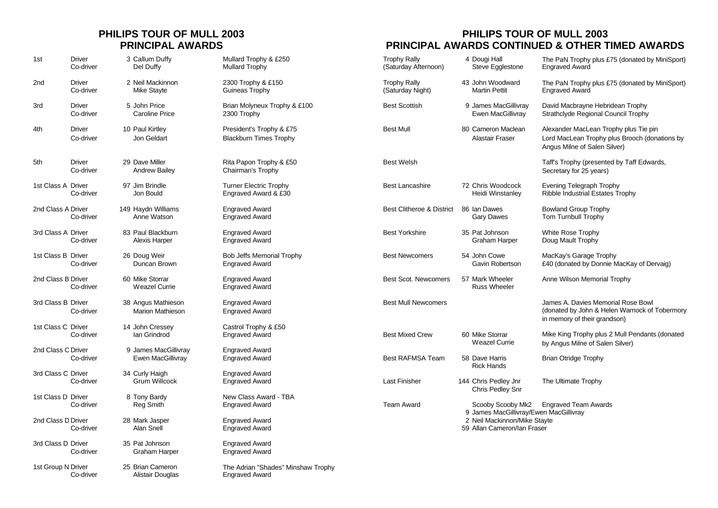| 1st                | <b>Driver</b><br>Co-driver | 3 Callum Duffy<br>Del Duffy                      | Mullard Trophy & £250<br><b>Mullard Trophy</b>              | <b>Trophy Rally</b><br>(Saturday Afternoon) | 4 Dougi Hall<br>Steve Egglestone                            | The PaN Trophy plus £75 (donated by MiniSport)<br><b>Engraved Award</b>                                                |
|--------------------|----------------------------|--------------------------------------------------|-------------------------------------------------------------|---------------------------------------------|-------------------------------------------------------------|------------------------------------------------------------------------------------------------------------------------|
| 2 <sub>nd</sub>    | <b>Driver</b><br>Co-driver | 2 Neil Mackinnon<br><b>Mike Stayte</b>           | 2300 Trophy & £150<br>Guineas Trophy                        | <b>Trophy Rally</b><br>(Saturday Night)     | 43 John Woodward<br><b>Martin Pettit</b>                    | The PaN Trophy plus £75 (donated by MiniSport)<br><b>Engraved Award</b>                                                |
| 3rd                | <b>Driver</b><br>Co-driver | 5 John Price<br>Caroline Price                   | Brian Molyneux Trophy & £100<br>2300 Trophy                 | <b>Best Scottish</b>                        | 9 James MacGillivray<br>Ewen MacGillivray                   | David Macbrayne Hebridean Trophy<br>Strathclyde Regional Council Trophy                                                |
| 4th                | Driver<br>Co-driver        | 10 Paul Kirtley<br>Jon Geldart                   | President's Trophy & £75<br><b>Blackburn Times Trophy</b>   | <b>Best Mull</b>                            | 80 Cameron Maclean<br>Alastair Fraser                       | Alexander MacLean Trophy plus Tie pin<br>Lord MacLean Trophy plus Brooch (donations by<br>Angus Milne of Salen Silver) |
| 5th                | <b>Driver</b><br>Co-driver | 29 Dave Miller<br><b>Andrew Bailey</b>           | Rita Papon Trophy & £50<br>Chairman's Trophy                | <b>Best Welsh</b>                           |                                                             | Taff's Trophy (presented by Taff Edwards,<br>Secretary for 25 years)                                                   |
| 1st Class A Driver | Co-driver                  | 97 Jim Brindle<br>Jon Bould                      | <b>Turner Electric Trophy</b><br>Engraved Award & £30       | <b>Best Lancashire</b>                      | 72 Chris Woodcock<br>Heidi Winstanlev                       | <b>Evening Telegraph Trophy</b><br>Ribble Industrial Estates Trophy                                                    |
| 2nd Class A Driver | Co-driver                  | 149 Haydn Williams<br>Anne Watson                | <b>Engraved Award</b><br><b>Engraved Award</b>              | <b>Best Clitheroe &amp; District</b>        | 86 Ian Dawes<br><b>Gary Dawes</b>                           | <b>Bowland Group Trophy</b><br><b>Tom Turnbull Trophy</b>                                                              |
| 3rd Class A Driver | Co-driver                  | 83 Paul Blackburn<br>Alexis Harper               | <b>Engraved Award</b><br><b>Engraved Award</b>              | <b>Best Yorkshire</b>                       | 35 Pat Johnson<br>Graham Harper                             | White Rose Trophy<br>Doug Mault Trophy                                                                                 |
| 1st Class B Driver | Co-driver                  | 26 Doug Weir<br>Duncan Brown                     | Bob Jeffs Memorial Trophy<br><b>Engraved Award</b>          | <b>Best Newcomers</b>                       | 54 John Cowe<br>Gavin Robertson                             | MacKay's Garage Trophy<br>£40 (donated by Donnie MacKay of Dervaig)                                                    |
| 2nd Class B Driver | Co-driver                  | 60 Mike Storrar<br><b>Weazel Currie</b>          | <b>Engraved Award</b><br><b>Engraved Award</b>              | <b>Best Scot. Newcomers</b>                 | 57 Mark Wheeler<br><b>Russ Wheeler</b>                      | Anne Wilson Memorial Trophy                                                                                            |
| 3rd Class B Driver | Co-driver                  | 38 Angus Mathieson<br><b>Marion Mathieson</b>    | <b>Engraved Award</b><br><b>Engraved Award</b>              | <b>Best Mull Newcomers</b>                  |                                                             | James A. Davies Memorial Rose Bowl<br>(donated by John & Helen Warnock of Tobermory<br>in memory of their grandson)    |
| 1st Class C Driver | Co-driver                  | 14 John Cressey<br>Ian Grindrod                  | Castrol Trophy & £50<br><b>Engraved Award</b>               | <b>Best Mixed Crew</b>                      | 60 Mike Storrar<br>Weazel Currie                            | Mike King Trophy plus 2 Mull Pendants (donated<br>by Angus Milne of Salen Silver)                                      |
| 2nd Class C Driver | Co-driver                  | 9 James MacGillivray<br><b>Ewen MacGillivray</b> | <b>Engraved Award</b><br><b>Engraved Award</b>              | <b>Best RAFMSA Team</b>                     | 58 Dave Harris<br><b>Rick Hands</b>                         | <b>Brian Otridge Trophy</b>                                                                                            |
| 3rd Class C Driver | Co-driver                  | 34 Curly Haigh<br>Grum Willcock                  | <b>Engraved Award</b><br><b>Engraved Award</b>              | <b>Last Finisher</b>                        | 144 Chris Pedley Jnr<br>Chris Pedley Snr                    | The Ultimate Trophy                                                                                                    |
| 1st Class D Driver | Co-driver                  | 8 Tony Bardy<br>Reg Smith                        | New Class Award - TBA<br><b>Engraved Award</b>              | <b>Team Award</b>                           | Scooby Scooby Mk2<br>9 James MacGillivray/Ewen MacGillivray | <b>Engraved Team Awards</b>                                                                                            |
| 2nd Class D Driver | Co-driver                  | 28 Mark Jasper<br>Alan Snell                     | <b>Engraved Award</b><br><b>Engraved Award</b>              |                                             | 2 Neil Mackinnon/Mike Stayte<br>59 Allan Cameron/Ian Fraser |                                                                                                                        |
| 3rd Class D Driver | Co-driver                  | 35 Pat Johnson<br><b>Graham Harper</b>           | <b>Engraved Award</b><br><b>Engraved Award</b>              |                                             |                                                             |                                                                                                                        |
| 1st Group N Driver | Co-driver                  | 25 Brian Cameron<br>Alistair Douglas             | The Adrian "Shades" Minshaw Trophy<br><b>Engraved Award</b> |                                             |                                                             |                                                                                                                        |

### **PHILIPS TOUR OF MULL 2003 PHILIPS TOUR OF MULL 2003 PRINCIPAL AWARDS PRINCIPAL AWARDS CONTINUED & OTHER TIMED AWARDS**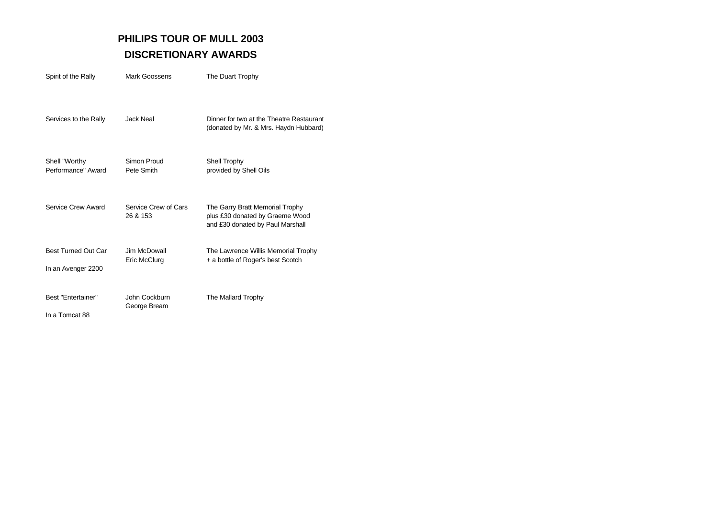## **PHILIPS TOUR OF MULL 2003 DISCRETIONARY AWARDS**

| Spirit of the Rally                              | Mark Goossens                    | The Duart Trophy                                                                                       |
|--------------------------------------------------|----------------------------------|--------------------------------------------------------------------------------------------------------|
| Services to the Rally                            | <b>Jack Neal</b>                 | Dinner for two at the Theatre Restaurant<br>(donated by Mr. & Mrs. Haydn Hubbard)                      |
| Shell "Worthy<br>Performance" Award              | Simon Proud<br>Pete Smith        | Shell Trophy<br>provided by Shell Oils                                                                 |
| Service Crew Award                               | Service Crew of Cars<br>26 & 153 | The Garry Bratt Memorial Trophy<br>plus £30 donated by Graeme Wood<br>and £30 donated by Paul Marshall |
| <b>Best Turned Out Car</b><br>In an Avenger 2200 | Jim McDowall<br>Eric McClurg     | The Lawrence Willis Memorial Trophy<br>+ a bottle of Roger's best Scotch                               |
| Best "Entertainer"<br>In a Tomcat 88             | John Cockburn<br>George Bream    | The Mallard Trophy                                                                                     |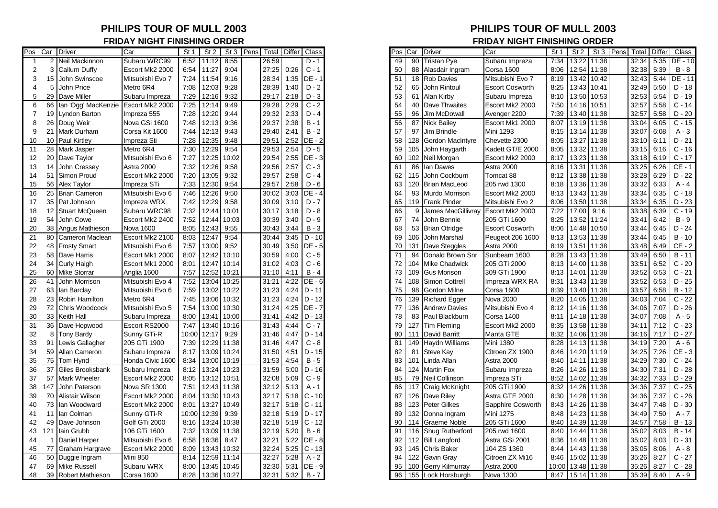## **FRIDAY NIGHT FINISHING ORDER FRIDAY NIGHT FINISHING ORDER**

| Pos | Car  | Driver                | Car              | St 1  | St <sub>2</sub> | St 3        | Pens | Total | Differ | <b>Class</b>  |
|-----|------|-----------------------|------------------|-------|-----------------|-------------|------|-------|--------|---------------|
| 1   | 2    | Neil Mackinnon        | Subaru WRC99     | 6:52  | 11:12           | 8:55        |      | 26:59 |        | D - 1         |
| 2   | 3    | Callum Duffy          | Escort Mk2 2000  | 6:54  | 11:27           | 9:04        |      | 27:25 | 0:26   | $C - 1$       |
| 3   | 15   | John Swinscoe         | Mitsubishi Evo 7 | 7:24  | 11:54           | 9:16        |      | 28:34 | 1:35   | $DE - 1$      |
| 4   | 5    | <b>John Price</b>     | Metro 6R4        | 7:08  | 12:03           | 9:28        |      | 28:39 | 1:40   | $D - 2$       |
| 5   | 29   | Dave Miller           | Subaru Impreza   | 7:29  | 12:16           | 9:32        |      | 29:17 | 2:18   | $D - 3$       |
| 6   | 66   | Ian 'Ogg' MacKenzie   | Escort Mk2 2000  | 7:25  | 12:14           | 9:49        |      | 29:28 | 2:29   | $C - 2$       |
| 7   | 19   | <b>Lyndon Barton</b>  | Impreza 555      | 7:28  | 12:20           | 9:44        |      | 29:32 | 2:33   | $D - 4$       |
| 8   | 26   | Doug Weir             | Nova GSi 1600    | 7:48  | 12:13           | 9:36        |      | 29:37 | 2:38   | $B - 1$       |
| 9   | 21   | Mark Durham           | Corsa Kit 1600   | 7:44  | 12:13           | 9:43        |      | 29:40 | 2:41   | $B - 2$       |
| 10  | 10   | <b>Paul Kirtley</b>   | Impreza Sti      | 7:28  | 12:35           | 9:48        |      | 29:51 | 2:52   | DE - 2        |
| 11  | 28   | Mark Jasper           | Metro 6R4        | 7:30  | 12:29           | 9:54        |      | 29:53 | 2:54   | $D - 5$       |
| 12  | 20   | Dave Taylor           | Mitsubishi Evo 6 | 7:27  | 12:25           | 10:02       |      | 29:54 | 2:55   | DE - 3        |
| 13  |      | 14 John Cressey       | Astra 2000       | 7:32  | 12:26           | 9:58        |      | 29:56 | 2:57   | $C - 3$       |
| 14  | 51   | Simon Proud           | Escort Mk2 2000  | 7:20  | 13:05           | 9:32        |      | 29:57 | 2:58   | $C - 4$       |
| 15  | 56   | Alex Taylor           | Impreza STi      | 7:33  | 12:30           | 9:54        |      | 29:57 | 2:58   | D - 6         |
| 16  | 25   | <b>Brian Cameron</b>  | Mitsubishi Evo 6 | 7:46  | 12:26           | 9:50        |      | 30:02 | 3:03   | DE - 4        |
| 17  |      | 35 Pat Johnson        | Impreza WRX      | 7:42  | 12:29           | 9:58        |      | 30:09 | 3:10   | $D - 7$       |
| 18  | 12   | <b>Stuart McQueen</b> | Subaru WRC98     | 7:32  | 12:44           | 10:01       |      | 30:17 | 3:18   | D - 8         |
| 19  | 54   | John Cowe             | Escort Mk2 2400  | 7:52  | 12:44           | 10:03       |      | 30:39 | 3:40   | $D - 9$       |
| 20  |      | 38 Angus Mathieson    | <b>Nova 1600</b> | 8:05  | 12:43           | 9:55        |      | 30:43 | 3:44   | $B - 3$       |
| 21  | 80   | Cameron Maclean       | Escort Mk2 2100  | 8:03  | 12:47           | 9:54        |      | 30:44 | 3:45   | $D - 10$      |
| 22  | 48   | <b>Frosty Smart</b>   | Mitsubishi Evo 6 | 7:57  | 13:00           | 9:52        |      | 30:49 | 3:50   | $DE - 5$      |
| 23  | 58   | Dave Harris           | Escort Mk1 2000  | 8:07  | 12:42           | 10:10       |      | 30:59 | 4:00   | $C - 5$       |
| 24  | 34   | Curly Haigh           | Escort Mk1 2000  | 8:01  | 12:47           | 10:14       |      | 31:02 | 4:03   | $C - 6$       |
| 25  |      | 60 Mike Storrar       | Anglia 1600      | 7:57  | 12:52           | 10:21       |      | 31:10 | 4:11   | $B - 4$       |
| 26  | 41   | John Morrison         | Mitsubishi Evo 4 | 7:52  | 13:04           | 10:25       |      | 31:21 | 4:22   | DE - 6        |
| 27  | 63   | lan Barclay           | Mitsubishi Evo 6 | 7:59  | 13:02           | 10:22       |      | 31:23 | 4:24   | $D - 11$      |
| 28  | 23 I | Robin Hamilton        | Metro 6R4        | 7:45  | 13:06           | 10:32       |      | 31:23 | 4:24   | $D - 12$      |
| 29  | 72   | Chris Woodcock        | Mitsubishi Evo 5 | 7:54  | 13:00           | 10:30       |      | 31:24 | 4:25   | DE - 7        |
| 30  |      | 33 Keith Hall         | Subaru Impreza   | 8:00  | 13:41           | 10:00       |      | 31:41 | 4:42   | $D - 13$      |
| 31  | 36   | Dave Hopwood          | Escort RS2000    | 7:47  | 13:40           | 10:16       |      | 31:43 | 4:44   | $C - 7$       |
| 32  | 8    | <b>Tony Bardy</b>     | Sunny GTi-R      | 10:00 | 12:17           | 9:29        |      | 31:46 | 4:47   | D - 14        |
| 33  | 91   | Lewis Gallagher       | 205 GTi 1900     | 7:39  | 12:29           | 11:38       |      | 31:46 | 4:47   | $C - 8$       |
| 34  | 59   | Allan Cameron         | Subaru Impreza   | 8:17  | 13:09           | 10:24       |      | 31:50 | 4:51   | D - 15        |
| 35  | 75   | Tom Hynd              | Honda Civic 1600 | 8:34  | 13:00           | 10:19       |      | 31:53 | 4:54   | $B - 5$       |
| 36  | 37   | Giles Brooksbank      | Subaru Impreza   | 8:12  | 13:24           | 10:23       |      | 31:59 | 5:00   | $D - 16$      |
| 37  | 57   | Mark Wheeler          | Escort Mk2 2000  | 8:05  | 13:12           | 10:51       |      | 32:08 | 5:09   | $C - 9$       |
| 38  | 147  | John Paterson         | Nova SR 1300     | 7:51  | 12:43           | 11:38       |      | 32:12 | 5:13   | A - 1         |
| 39  | 70   | Alistair Wilson       | Escort Mk2 2000  | 8:04  | 13:30           | 10:43       |      | 32:17 | 5:18   | $C - 10$      |
| 40  | 73   | Ian Woodward          | Escort Mk2 2000  | 8:01  | 13:27           | 10:49       |      | 32:17 | 5:18   | C - 11        |
| 41  | 11   | lan Colman            | Sunny GTi-R      | 10:00 | 12:39           | 9:39        |      | 32:18 | 5:19   | $D - 17$      |
| 42  | 49   | Dave Johnson          | Golf GTi 2000    | 8:16  | 13:24           | 10:38       |      | 32:18 | 5:19   | $C - 12$      |
| 43  | 121  | lain Grubb            | 106 GTi 1600     | 7:32  | 13:09           | 11:38       |      | 32:19 | 5:20   | $B - 6$       |
| 44  | 1    | Daniel Harper         | Mitsubishi Evo 6 | 6:58  | 16:36           | 8:47        |      | 32:21 | 5:22   | <b>DE - 8</b> |
| 45  | 77   | Graham Hargrave       | Escort Mk2 2000  | 8:09  | 13:43           | 10:32       |      | 32:24 | 5:25   | $C - 13$      |
| 46  | 50   | Duggie Ingram         | <b>Mini 850</b>  | 8:14  | 12:59           | 11:14       |      | 32:27 | 5:28   | $A - 2$       |
| 47  | 69   | <b>Mike Russell</b>   | Subaru WRX       | 8:00  |                 | 13:45 10:45 |      | 32:30 | 5:31   | DE - 9        |
| 48  | 39   | Robert Mathieson      | Corsa 1600       | 8:28  |                 | 13:36 10:27 |      | 32:31 | 5:32   | $B - 7$       |

## **PHILIPS TOUR OF MULL 2003 PHILIPS TOUR OF MULL 2003**

|                       | Pos <b>C</b> ar | <b>Driver</b>         | Car              | St <sub>1</sub> | St <sub>2</sub> |       | St 3 Pens<br>Total | Differ | Class         |
|-----------------------|-----------------|-----------------------|------------------|-----------------|-----------------|-------|--------------------|--------|---------------|
| $\mathbf{2}^{\prime}$ |                 | Neil Mackinnon        | Subaru WRC99     | 6:52            | 11:12           | 8:55  | 26:59              |        | $D - 1$       |
|                       | 3               | Callum Duffy          | Escort Mk2 2000  | 6:54            | 11:27           | 9:04  | 27:25              | 0:26   | $C - 1$       |
| 15                    |                 | John Swinscoe         | Mitsubishi Evo 7 | 7:24            | 11:54           | 9:16  | 28:34              | 1:35   | <b>DE - 1</b> |
| 5                     |                 | John Price            | Metro 6R4        | 7:08            | 12:03           | 9:28  | 28:39              | 1:40   | $D - 2$       |
|                       | 29              | Dave Miller           | Subaru Impreza   | 7:29            | 12:16           | 9:32  | 29:17              | 2:18   | $D-3$         |
| 6                     | 66              | Ian 'Ogg' MacKenzie   | Escort Mk2 2000  | 7:25            | 12:14           | 9:49  | 29:28              | 2:29   | $C - 2$       |
| $\overline{7}$        | 19              | Lyndon Barton         | Impreza 555      | 7:28            | 12:20           | 9:44  | 29:32              | 2:33   | $D - 4$       |
| 8                     | 26              | Doug Weir             | Nova GSi 1600    | 7:48            | 12:13           | 9:36  | 29:37              | 2:38   | $B - 1$       |
| 9                     | 21              | Mark Durham           | Corsa Kit 1600   | 7:44            | 12:13           | 9:43  | 29:40              | 2:41   | $B - 2$       |
| 10                    | 10              | <b>Paul Kirtley</b>   | Impreza Sti      | 7:28            | 12:35           | 9:48  | 29:51              | 2:52   | DE - 2        |
| 11                    | 28              | Mark Jasper           | Metro 6R4        | 7:30            | 12:29           | 9:54  | 29:53              | 2:54   | $D - 5$       |
| 12                    | 20              | Dave Taylor           | Mitsubishi Evo 6 | 7:27            | 12:25           | 10:02 | 29:54              | 2:55   | $DE - 3$      |
| 13                    | 14              | John Cressey          | Astra 2000       | 7:32            | 12:26           | 9:58  | 29:56              | 2:57   | $C - 3$       |
| 14                    | 51              | Simon Proud           | Escort Mk2 2000  | 7:20            | 13:05           | 9:32  | 29:57              | 2:58   | $C - 4$       |
| 15                    | 56              | Alex Taylor           | Impreza STi      | 7:33            | 12:30           | 9:54  | 29:57              | 2:58   | $D - 6$       |
| 16                    | 25              | <b>Brian Cameron</b>  | Mitsubishi Evo 6 | 7:46            | 12:26           | 9:50  | 30:02              | 3:03   | $DE - 4$      |
| 17                    | 35              | Pat Johnson           | Impreza WRX      | 7:42            | 12:29           | 9:58  | 30:09              | 3:10   | $D - 7$       |
| 18                    | 12              | <b>Stuart McQueen</b> | Subaru WRC98     | 7:32            | 12:44           | 10:01 | 30:17              | 3:18   | $D - 8$       |
| 19                    | 54              | John Cowe             | Escort Mk2 2400  | 7:52            | 12:44           | 10:03 | 30:39              | 3:40   | $D - 9$       |
| 20                    | 38              | Angus Mathieson       | <b>Nova 1600</b> | 8:05            | 12:43           | 9:55  | 30:43              | 3:44   | $B - 3$       |
| 21                    | 80              | Cameron Maclean       | Escort Mk2 2100  | 8:03            | 12:47           | 9:54  | 30:44              | 3:45   | $D - 10$      |
| 22                    | 48              | <b>Frosty Smart</b>   | Mitsubishi Evo 6 | 7:57            | 13:00           | 9:52  | 30:49              | 3:50   | $DE - 5$      |
| 23                    | 58              | Dave Harris           | Escort Mk1 2000  | 8:07            | 12:42           | 10:10 | 30:59              | 4:00   | $C - 5$       |
| 24                    | 34              | <b>Curly Haigh</b>    | Escort Mk1 2000  | 8:01            | 12:47           | 10:14 | 31:02              | 4:03   | $C - 6$       |
| 25                    | 60              | <b>Mike Storrar</b>   | Anglia 1600      | 7:57            | 12:52           | 10:21 | 31:10              | 4:11   | $B - 4$       |
| 26                    | 41              | John Morrison         | Mitsubishi Evo 4 | 7:52            | 13:04           | 10:25 | 31:21              | 4:22   | $DE - 6$      |
| 27                    | 63              | lan Barclay           | Mitsubishi Evo 6 | 7:59            | 13:02           | 10:22 | 31:23              | 4:24   | $D - 11$      |
| 28                    | 23              | Robin Hamilton        | Metro 6R4        | 7:45            | 13:06           | 10:32 | 31:23              | 4:24   | $D - 12$      |
|                       | 72              | Chris Woodcock        |                  | 7:54            |                 |       | 31:24              |        | <b>DE - 7</b> |
| 29                    |                 |                       | Mitsubishi Evo 5 |                 | 13:00           | 10:30 |                    | 4:25   |               |
| 30                    | 33              | Keith Hall            | Subaru Impreza   | 8:00            | 13:41           | 10:00 | 31:41              | 4:42   | $D - 13$      |
| 31                    | 36              | Dave Hopwood          | Escort RS2000    | 7:47            | 13:40           | 10:16 | 31:43              | 4:44   | $C - 7$       |
| 32                    | 8               | <b>Tony Bardy</b>     | Sunny GTi-R      | 10:00           | 12:17           | 9:29  | 31:46              | 4:47   | $D - 14$      |
| 33                    | 91              | Lewis Gallagher       | 205 GTi 1900     | 7:39            | 12:29           | 11:38 | 31:46              | 4:47   | $C - 8$       |
| 34                    | 59              | Allan Cameron         | Subaru Impreza   | 8:17            | 13:09           | 10:24 | 31:50              | 4:51   | $D - 15$      |
| 35                    | 75              | Tom Hynd              | Honda Civic 1600 | 8:34            | 13:00           | 10:19 | 31:53              | 4:54   | $B - 5$       |
| 36                    | 37              | Giles Brooksbank      | Subaru Impreza   | 8:12            | 13:24           | 10:23 | 31:59              | 5:00   | $D - 16$      |
| 37                    | 57              | <b>Mark Wheeler</b>   | Escort Mk2 2000  | 8:05            | 13:12           | 10:51 | 32:08              | 5:09   | $C - 9$       |
| 38                    | 147             | John Paterson         | Nova SR 1300     | 7:51            | 12:43           | 11:38 | 32:12              | 5:13   | $A - 1$       |
| 39                    | 70              | Alistair Wilson       | Escort Mk2 2000  | 8:04            | 13:30           | 10:43 | 32:17              | 5:18   | $C - 10$      |
| 40                    | 73              | Ian Woodward          | Escort Mk2 2000  | 8:01            | 13:27           | 10:49 | 32:17              | 5:18   | $C - 11$      |
| 41                    | 11              | lan Colman            | Sunny GTi-R      | 10:00           | 12:39           | 9:39  | 32:18              | 5:19   | $D - 17$      |
| 42                    | 49              | Dave Johnson          | Golf GTi 2000    | 8:16            | 13:24           | 10:38 | 32:18              | 5:19   | $C - 12$      |
| 43                    | 121             | lain Grubb            | 106 GTi 1600     | 7:32            | 13:09           | 11:38 | 32:19              | 5:20   | $B - 6$       |
| 44                    |                 | Daniel Harper         | Mitsubishi Evo 6 | 6:58            | 16:36           | 8:47  | 32:21              | 5:22   | DE - 8        |
| 45                    | 77              | Graham Hargrave       | Escort Mk2 2000  | 8:09            | 13:43           | 10:32 | 32:24              | 5:25   | $C - 13$      |
| 46                    | 50              | Duggie Ingram         | <b>Mini 850</b>  | 8:14            | 12:59           | 11:14 | 32:27              | 5:28   | $A - 2$       |
| 47                    | 69              | <b>Mike Russell</b>   | Subaru WRX       | 8:00            | 13:45           | 10:45 | 32:30              | 5:31   | DE - 9        |
| 48                    |                 | 39 Robert Mathieson   | Corsa 1600       | 8:28            | 13:36           | 10:27 | 32:31              | 5:32   | $B - 7$       |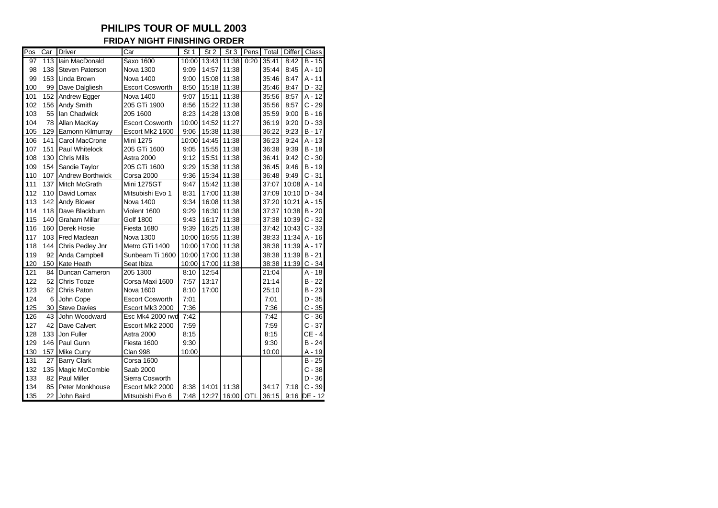**FRIDAY NIGHT FINISHING ORDER**

| Pos | Car | <b>Driver</b>          | Car                    | St <sub>1</sub> | St <sub>2</sub> | St <sub>3</sub> | Pens | Total | <b>Differ</b> | Class               |
|-----|-----|------------------------|------------------------|-----------------|-----------------|-----------------|------|-------|---------------|---------------------|
| 97  | 113 | Iain MacDonald         | <b>Saxo 1600</b>       | 10:00           | 13:43           | 11:38           | 0:20 | 35:41 | 8:42          | $\overline{B}$ - 15 |
| 98  | 138 | <b>Steven Paterson</b> | <b>Nova 1300</b>       | 9:09            | 14:57           | 11:38           |      | 35:44 | 8:45          | $A - 10$            |
| 99  | 153 | Linda Brown            | <b>Nova 1400</b>       | 9:00            | 15:08           | 11:38           |      | 35:46 | 8:47          | $A - 11$            |
| 100 | 99  | Dave Dalgliesh         | <b>Escort Cosworth</b> | 8:50            | 15:18           | 11:38           |      | 35:46 | 8:47          | $D - 32$            |
| 101 | 152 | Andrew Egger           | <b>Nova 1400</b>       | 9:07            | 15:11           | 11:38           |      | 35:56 | 8:57          | $\overline{A}$ - 12 |
| 102 | 156 | Andy Smith             | 205 GTi 1900           | 8:56            | 15:22           | 11:38           |      | 35:56 | 8:57          | $C - 29$            |
| 103 | 55  | Ian Chadwick           | 205 1600               | 8:23            | 14:28           | 13:08           |      | 35:59 | 9:00          | $B - 16$            |
| 104 | 78  | Allan MacKay           | <b>Escort Cosworth</b> | 10:00           | 14:52           | 11:27           |      | 36:19 | 9:20          | $D - 33$            |
| 105 | 129 | Eamonn Kilmurray       | Escort Mk2 1600        | 9:06            | 15:38           | 11:38           |      | 36:22 | 9:23          | $B - 17$            |
| 106 | 141 | Carol MacCrone         | Mini 1275              | 10:00           | 14:45           | 11:38           |      | 36:23 | 9:24          | $A - 13$            |
| 107 | 151 | Paul Whitelock         | 205 GTi 1600           | 9:05            | 15:55           | 11:38           |      | 36:38 | 9:39          | $B - 18$            |
| 108 | 130 | <b>Chris Mills</b>     | <b>Astra 2000</b>      | 9:12            | 15:51           | 11:38           |      | 36:41 | 9:42          | $C - 30$            |
| 109 | 154 | Sandie Taylor          | 205 GTi 1600           | 9:29            | 15:38           | 11:38           |      | 36:45 | 9:46          | $B - 19$            |
| 110 | 107 | Andrew Borthwick       | Corsa 2000             | 9:36            | 15:34           | 11:38           |      | 36:48 | 9:49          | $C - 31$            |
| 111 | 137 | Mitch McGrath          | <b>Mini 1275GT</b>     | 9:47            | 15:42           | 11:38           |      | 37:07 | 10:08         | $A - 14$            |
| 112 | 110 | David Lomax            | Mitsubishi Evo 1       | 8:31            | 17:00           | 11:38           |      | 37:09 | 10:10         | $D - 34$            |
| 113 | 142 | <b>Andy Blower</b>     | <b>Nova 1400</b>       | 9:34            | 16:08           | 11:38           |      | 37:20 | 10:21         | $A - 15$            |
| 114 | 118 | Dave Blackburn         | Violent 1600           | 9:29            | 16:30           | 11:38           |      | 37:37 | 10:38         | $B - 20$            |
| 115 | 140 | <b>Graham Millar</b>   | <b>Golf 1800</b>       | 9:43            | 16:17           | 11:38           |      | 37:38 | 10:39         | $C - 32$            |
| 116 | 160 | Derek Hosie            | Fiesta 1680            | 9:39            | 16:25           | 11:38           |      | 37:42 | 10:43         | $C - 33$            |
| 117 | 103 | <b>Fred Maclean</b>    | <b>Nova 1300</b>       | 10:00           | 16:55           | 11:38           |      | 38:33 | 11:34         | $A - 16$            |
| 118 | 144 | Chris Pedley Jnr       | Metro GTi 1400         | 10:00           | 17:00           | 11:38           |      | 38:38 | 11:39         | A - 17              |
| 119 | 92  | Anda Campbell          | Sunbeam Ti 1600        | 10:00           | 17:00           | 11:38           |      | 38:38 | 11:39         | $B - 21$            |
| 120 | 150 | Kate Heath             | Seat Ibiza             | 10:00           | 17:00           | 11:38           |      | 38:38 | 11:39         | $C - 34$            |
| 121 | 84  | Duncan Cameron         | 205 1300               | 8:10            | 12:54           |                 |      | 21:04 |               | $A - 18$            |
| 122 | 52  | Chris Tooze            | Corsa Maxi 1600        | 7:57            | 13:17           |                 |      | 21:14 |               | $B - 22$            |
| 123 | 62  | Chris Paton            | <b>Nova 1600</b>       | 8:10            | 17:00           |                 |      | 25:10 |               | $B - 23$            |
| 124 | 6   | John Cope              | <b>Escort Cosworth</b> | 7:01            |                 |                 |      | 7:01  |               | $D - 35$            |
| 125 | 30  | <b>Steve Davies</b>    | Escort Mk3 2000        | 7:36            |                 |                 |      | 7:36  |               | $C - 35$            |
| 126 | 43  | John Woodward          | Esc Mk4 2000 rwd       | 7:42            |                 |                 |      | 7:42  |               | $C - 36$            |
| 127 | 42  | Dave Calvert           | Escort Mk2 2000        | 7:59            |                 |                 |      | 7:59  |               | $C - 37$            |
| 128 | 133 | Jon Fuller             | <b>Astra 2000</b>      | 8:15            |                 |                 |      | 8:15  |               | $CE - 4$            |
| 129 | 146 | Paul Gunn              | Fiesta 1600            | 9:30            |                 |                 |      | 9:30  |               | $B - 24$            |
| 130 | 157 | <b>Mike Curry</b>      | Clan 998               | 10:00           |                 |                 |      | 10:00 |               | A - 19              |
| 131 | 27  | <b>Barry Clark</b>     | Corsa 1600             |                 |                 |                 |      |       |               | $B - 25$            |
| 132 | 135 | Magic McCombie         | Saab 2000              |                 |                 |                 |      |       |               | $C - 38$            |
| 133 | 82  | <b>Paul Miller</b>     | Sierra Cosworth        |                 |                 |                 |      |       |               | $D - 36$            |
| 134 | 85  | Peter Monkhouse        | Escort Mk2 2000        | 8:38            | 14:01           | 11:38           |      | 34:17 | 7:18          | $C - 39$            |
| 135 |     | 22 John Baird          | Mitsubishi Evo 6       | 7:48            |                 | 12:27 16:00 OTL |      | 36:15 |               | 9:16 DE - 12        |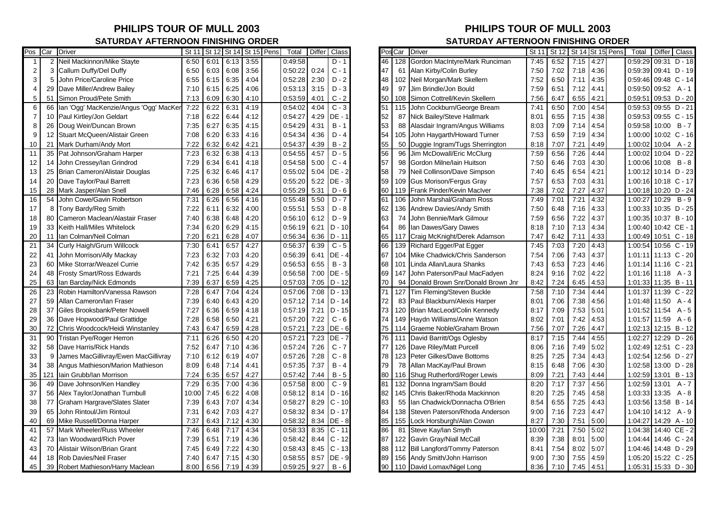## **SATURDAY AFTERNOON FINISHING ORDER SATURDAY AFTERNOON FINISHING ORDER**

|                | Pos Car        | <b>Driver</b>                          | St 11 | St 12 |      | St 14 St 15 Pens | Total   | Differ | Class    |    | Pos Car | Driver                            | St 11 | St 12 | St 14 St 15 Pens |      | Total   | Class<br><b>Differ</b> |
|----------------|----------------|----------------------------------------|-------|-------|------|------------------|---------|--------|----------|----|---------|-----------------------------------|-------|-------|------------------|------|---------|------------------------|
| $\overline{1}$ | $\overline{2}$ | Neil Mackinnon/Mike Stayte             | 6:50  | 6:01  | 6:13 | 3:55             | 0:49:58 |        | $D - 1$  | 46 | 128     | Gordon MacIntyre/Mark Runciman    | 7:45  | 6:52  | 7:15             | 4:27 | 0:59:29 | 09:31 D-18             |
| $\overline{2}$ | 3              | Callum Duffy/Del Duffy                 | 6:50  | 6:03  | 6:08 | 3:56             | 0:50:22 | 0:24   | $C - 1$  | 47 | 61      | Alan Kirby/Colin Burley           | 7:50  | 7:02  | 7:18             | 4:36 | 0:59:39 | 09:41 D - 19           |
| 3              | 5              | John Price/Caroline Price              | 6:55  | 6:15  | 6:35 | 4:04             | 0:52:28 | 2:30   | $D - 2$  | 48 | 102     | Neil Morgan/Mark Skellern         | 7:52  | 6:50  | 7:11             | 4:35 | 0:59:46 | 09:48 C - 14           |
| $\overline{4}$ | 29             | Dave Miller/Andrew Bailey              | 7:10  | 6:15  | 6:25 | 4:06             | 0:53:13 | 3:15   | $D - 3$  | 49 | 97      | Jim Brindle/Jon Bould             | 7:59  | 6:51  | 7:12             | 4:41 | 0:59:50 | $09:52 \quad A - 1$    |
| 5              | 51             | Simon Proud/Pete Smith                 | 7:13  | 6:09  | 6:30 | 4:10             | 0.53.59 | 4:01   | $C - 2$  | 50 | 108     | Simon Cottrell/Kevin Skellern     | 7:56  | 6:47  | 6:55             | 4:21 | 0:59:51 | 09:53 D - 20           |
| 6              | 66             | Ian 'Ogg' MacKenzie/Angus 'Ogg' MacKer | 7:22  | 6:22  | 6:31 | 4:19             | 0:54:02 | 4:04   | $C - 3$  | 51 | 115     | John Cockburn/George Bream        | 7:41  | 6:50  | 7:00             | 4:54 | 0:59:53 | 09:55 D - 21           |
| $\overline{7}$ | 10             | Paul Kirtley/Jon Geldart               | 7:18  | 6:22  | 6:44 | 4:12             | 0:54:27 | 4:29   | DE -     | 52 | 87      | Nick Bailey/Steve Hallmark        | 8:01  | 6:55  | 7:15             | 4:38 | 0:59:53 | 09:55 C - 15           |
| 8              | 26             | Doug Weir/Duncan Brown                 | 7:35  | 6:27  | 6:35 | 4:15             | 0:54:29 | 4:31   | $B - 1$  | 53 | 88      | Alasdair Ingram/Angus Williams    | 8:03  | 7:09  | 7:14             | 4:54 | 0:59:58 | $10:00$ B - 7          |
| 9              | 12             | Stuart McQueen/Alistair Green          | 7:08  | 6:20  | 6:33 | 4:16             | 0:54:34 | 4:36   | $D - 4$  | 54 | 105     | John Haygarth/Howard Turner       | 7:53  | 6:59  | 7:19             | 4:34 | 1:00:00 | 10:02 C - 16           |
| 10             | 21             | Mark Durham/Andy Mort                  | 7:22  | 6:32  | 6:42 | 4:21             | 0:54:37 | 4:39   | $B - 2$  | 55 | 50      | Duggie Ingram/Tugs Sherrington    | 8:18  | 7:07  | 7:21             | 4:49 | 1:00:02 | $10:04$ A - 2          |
| 11             | 35             | Pat Johnson/Graham Harper              | 7:23  | 6:32  | 6:38 | 4:13             | 0:54:55 | 4:57   | $D - 5$  | 56 | 96      | Jim McDowall/Eric McClurg         | 7:59  | 6:56  | 7:26             | 4:44 | 1:00:02 | 10:04 D - 22           |
| 12             | 14             | John Cressey/lan Grindrod              | 7:29  | 6:34  | 6:41 | 4:18             | 0:54:58 | 5:00   | $C - 4$  | 57 | 98      | Gordon Milne/Iain Huitson         | 7:50  | 6:46  | 7:03             | 4:30 | 1:00:06 | $10:08$ B - 8          |
| 13             | 25             | Brian Cameron/Alistair Douglas         | 7:25  | 6:32  | 6:46 | 4:17             | 0:55:02 | 5:04   | DE - 2   | 58 | 79      | Neil Collinson/Dave Simpson       | 7:40  | 6:45  | 6:54             | 4:21 | 1:00:12 | 10:14 D - 23           |
| 14             | 20             | Dave Taylor/Paul Barrett               | 7:23  | 6:36  | 6:58 | 4:29             | 0:55:20 | 5:22   | DE - 3   | 59 | 109     | <b>Gus Morison/Fergus Gray</b>    | 7:57  | 6:53  | 7:03             | 4:31 | 1:00:16 | 10:18 C - 17           |
| 15             | 28             | Mark Jasper/Alan Snell                 | 7:46  | 6:28  | 6:58 | 4:24             | 0:55:29 | 5:31   | $D - 6$  | 60 | 119     | Frank Pinder/Kevin MacIver        | 7:38  | 7:02  | 7:27             | 4:37 | 1:00:18 | 10:20 D - 24           |
| 16             | 54             | John Cowe/Gavin Robertson              | 7:31  | 6:26  | 6:56 | 4:16             | 0:55:48 | 5:50   | $D - 7$  | 61 | 106     | John Marshal/Graham Ross          | 7:49  | 7:01  | 7:21             | 4:32 | 1:00:27 | $10:29$ B - 9          |
| 17             | 8              | Tony Bardy/Reg Smith                   | 7:22  | 6:11  | 6:32 | 4:00             | 0:55:51 | 5:53   | $D - 8$  | 62 | 136     | Andrew Davies/Andy Smith          | 7:50  | 6:48  | 7:16             | 4:33 | 1:00:33 | 10:35 D - 25           |
| 18             | 80             | Cameron Maclean/Alastair Fraser        | 7:40  | 6:38  | 6:48 | 4:20             | 0:56:10 | 6:12   | $D - 9$  | 63 | 74      | John Bennie/Mark Gilmour          | 7:59  | 6:56  | 7:22             | 4:37 | 1:00:35 | 10:37 B - 10           |
| 19             | 33             | Keith Hall/Miles Whitelock             | 7:34  | 6:20  | 6:29 | 4:15             | 0:56:19 | 6:21   | $D - 10$ | 64 | 86      | Ian Dawes/Gary Dawes              | 8:18  | 7:10  | 7:13             | 4:34 | 1:00:40 | 10:42 CE-1             |
| 20             | 11             | Ian Colman/Neil Colman                 | 7:20  | 6:21  | 6:28 | 4:07             | 0:56:34 | 6:36   | $D - 11$ | 65 | 117     | Craig McKnight/Derek Adamson      | 7:47  | 6:42  | 7:11             | 4:33 | 1:00:49 | 10:51 C - 18           |
| 21             | 34             | Curly Haigh/Grum Willcock              | 7:30  | 6:41  | 6:57 | 4:27             | 0:56:37 | 6:39   | $C - 5$  | 66 | 139     | Richard Egger/Pat Egger           | 7:45  | 7:03  | 7:20             | 4:43 | 1:00:54 | 10:56 C - 19           |
| 22             | 41             | John Morrison/Ally Mackay              | 7:23  | 6:32  | 7:03 | 4:20             | 0:56:39 | 6:41   | DE - 4   | 67 | 104     | Mike Chadwick/Chris Sanderson     | 7:54  | 7:06  | 7:43             | 4:37 | 1:01:11 | 11:13 C - 20           |
| 23             | 60             | Mike Storrar/Weazel Currie             | 7:42  | 6:35  | 6:57 | 4:29             | 0:56:53 | 6:55   | $B - 3$  | 68 | 101     | Linda Allan/Laura Shanks          | 7:43  | 6:53  | 7:23             | 4:46 | 1:01:14 | $11:16$ C - 21         |
| 24             | 48             | Frosty Smart/Ross Edwards              | 7:21  | 7:25  | 6:44 | 4:39             | 0:56:58 | 7:00   | $DE - 5$ | 69 | 147     | John Paterson/Paul MacFadyen      | 8:24  | 9:16  | 7:02             | 4:22 | 1:01:16 | $11:18$ A - 3          |
| 25             | 63             | lan Barclay/Nick Edmonds               | 7:39  | 6:37  | 6:59 | 4:25             | 0:57:03 | 7:05   | $D - 12$ | 70 | 94      | Donald Brown Snr/Donald Brown Jnr | 8:42  | 7:24  | 6:45             | 4:53 | 1:01:33 | $11:35$ B - 11         |
| 26             | 23             | Robin Hamilton/Vanessa Rawson          | 7:28  | 6:47  | 7:04 | 4:24             | 0:57:06 | 7:08   | $D - 13$ | 71 | 127     | Tim Fleming/Steven Buckle         | 7:58  | 7:10  | 7:34             | 4:44 | 1:01:37 | 11:39 C - 22           |
| 27             | 59             | Allan Cameron/Ian Fraser               | 7:39  | 6:40  | 6:43 | 4:20             | 0:57:12 | 7:14   | $D - 14$ | 72 | 83      | Paul Blackburn/Alexis Harper      | 8:01  | 7:06  | 7:38             | 4:56 | 1:01:48 | 11:50 $A - 4$          |
| 28             | 37             | Giles Brooksbank/Peter Nowell          | 7:27  | 6:36  | 6:59 | 4:18             | 0.57.19 | 7:21   | $D - 15$ | 73 | 120     | Brian MacLeod/Colin Kennedy       | 8:17  | 7:09  | 7:53             | 5:01 | 1:01:52 | $11:54 \quad A - 5$    |
| 29             | 36             | Dave Hopwood/Paul Grattidge            | 7:28  | 6:58  | 6:50 | 4:21             | 0:57:20 | 7:22   | $C - 6$  | 74 | 149     | Haydn Williams/Anne Watson        | 8:02  | 7:01  | 7:42             | 4:53 | 1:01:57 | $11:59$ A - 6          |
| 30             | 72             | Chris Woodcock/Heidi Winstanley        | 7:43  | 6:47  | 6:59 | 4:28             | 0.57:21 | 7:23   | DE - 6   | 75 | 114     | Graeme Noble/Graham Brown         | 7:56  | 7:07  | 7:26             | 4:47 | 1:02:13 | 12:15 B - 12           |
| 31             | 90             | Tristan Pye/Roger Herron               | 7:11  | 6:26  | 6:50 | 4:20             | 0.57:21 | 7:23   | DE - 7   | 76 | 111     | David Barritt/Ogs Oglesby         | 8:17  | 7:15  | 7:44             | 4:55 | 1:02:27 | 12:29 D - 26           |
| 32             | 58             | Dave Harris/Rick Hands                 | 7:52  | 6:47  | 7:10 | 4:36             | 0:57:24 | 7:26   | $C - 7$  | 77 | 126     | Dave Riley/Matt Purcell           | 8:06  | 7:16  | 7:49             | 5:02 | 1:02:49 | 12:51 C - 23           |
| 33             | 9              | James MacGillivray/Ewen MacGillivray   | 7:10  | 6:12  | 6:19 | 4:07             | 0.57.26 | 7:28   | $C - 8$  | 78 | 123     | Peter Gilkes/Dave Bottoms         | 8:25  | 7:25  | 7:34             | 4:43 | 1:02:54 | 12:56 D - 27           |
| 34             | 38             | Angus Mathieson/Marion Mathieson       | 8:09  | 6:48  | 7:14 | 4:41             | 0:57:35 | 7:37   | $B - 4$  | 79 | 78      | Allan MacKay/Paul Brown           | 8:15  | 6:48  | 7:06             | 4:30 | 1:02:58 | 13:00 D - 28           |
| 35             | 121            | lain Grubb/lan Morrison                | 7:24  | 6:35  | 6:57 | 4:27             | 0:57:42 | 7:44   | $B - 5$  | 80 | 116     | Shug Rutherford/Roger Lewis       | 8:09  | 7:21  | 7:43             | 4:44 | 1:02:59 | 13:01 B-13             |
| 36             | 49             | Dave Johnson/Ken Handley               | 7:29  | 6:35  | 7:00 | 4:36             | 0.57:58 | 8:00   | $C - 9$  | 81 | 132     | Donna Ingram/Sam Bould            | 8:20  | 7:17  | 7:37             | 4:56 | 1:02:59 | $A - 7$<br>13:01       |
| 37             | 56             | Alex Taylor/Jonathan Turnbull          | 10:00 | 7:45  | 6:22 | 4:08             | 0:58:12 | 8:14   | $D - 16$ | 82 | 145     | Chris Baker/Rhoda Mackinnon       | 8:20  | 7:25  | 7:45             | 4:58 | 1:03:33 | $13:35 \quad A - 8$    |
| 38             | 77             | <b>Graham Hargrave/Slates Slater</b>   | 7:39  | 6:43  | 7:07 | 4:34             | 0:58:27 | 8:29   | $C - 10$ | 83 | 55      | Ian Chadwick/Donnacha O'Brien     | 8:54  | 6:55  | 7:25             | 4:43 | 1:03:56 | 13:58 B - 14           |
| 39             | 65             | John Rintoul/Jim Rintoul               | 7:31  | 6:42  | 7:03 | 4:27             | 0:58:32 | 8:34   | $D - 17$ | 84 | 138     | Steven Paterson/Rhoda Anderson    | 9:00  | 7:16  | 7:23             | 4:47 | 1:04:10 | $14:12 \quad A - 9$    |
| 40             | 69             | Mike Russell/Donna Harper              | 7:37  | 6:43  | 7:12 | 4:30             | 0:58:32 | 8:34   | DE - 8   | 85 | 155     | Lock Horsburgh/Alan Cowan         | 8:27  | 7:30  | 7:51             | 5:00 | 1:04:27 | 14:29 A - 10           |
| 41             | 57             | Mark Wheeler/Russ Wheeler              | 7:46  | 6:48  | 7:17 | 4:34             | 0:58:33 | 8:35   | $C - 11$ | 86 | 81      | Steve Kay/lan Smyth               | 10:00 | 7:21  | 7:50             | 5:02 | 1:04:38 | 14:40 CE - 2           |
| 42             | 73             | lan Woodward/Rich Pover                | 7:39  | 6:51  | 7:19 | 4:36             | 0:58:42 | 8:44   | $C - 12$ | 87 | 122     | Gavin Gray/Niall McCall           | 8:39  | 7:38  | 8:01             | 5:00 | 1:04:44 | 14:46 C - 24           |
| 43             | 70             | Alistair Wilson/Brian Grant            | 7:45  | 6:49  | 7:22 | 4:30             | 0.58.43 | 8:45   | $C - 13$ | 88 |         | 112 Bill Langford/Tommy Paterson  | 8:41  | 7:54  | 8:02             | 5:07 | 1:04:46 | 14:48 D - 29           |
| 44             | 18             | Rob Davies/Neil Fraser                 | 7:40  | 6:47  | 7:15 | 4:30             | 0:58:55 | 8:57   | DE - 9   | 89 | 156     | Andy Smith/John Harrison          | 9:00  | 7:30  | 7:55             | 4:59 | 1:05:20 | 15:22 C - 25           |
| 45             | 39             | Robert Mathieson/Harry Maclean         | 8:00  | 6:56  | 7:19 | 4:39             | 0:59:25 | 9:27   | $B - 6$  | 90 |         | 110 David Lomax/Nigel Long        | 8:36  | 7:10  | 7:45             | 4:51 | 1:05:31 | 15:33 D - 30           |

## **PHILIPS TOUR OF MULL 2003 PHILIPS TOUR OF MULL 2003**

| Pos | Car | <b>Driver</b>                     | St 11 | St 12 |      | St 14 St 15 Pens | Total                |       | Differ Class |
|-----|-----|-----------------------------------|-------|-------|------|------------------|----------------------|-------|--------------|
| 46  | 128 | Gordon MacIntyre/Mark Runciman    | 7:45  | 6:52  | 7:15 | 4:27             | 0:59:29              | 09:31 | $D - 18$     |
| 47  | 61  | Alan Kirby/Colin Burley           | 7:50  | 7:02  | 7:18 | 4:36             | 0:59:39              |       | 09:41 D-19   |
| 48  | 102 | Neil Morgan/Mark Skellern         | 7:52  | 6:50  | 7:11 | 4:35             | 0.59.46              |       | 09:48 C-14   |
| 49  | 97  | Jim Brindle/Jon Bould             | 7:59  | 6:51  | 7:12 | 4:41             | 0:59:50              | 09:52 | $A - 1$      |
| 50  | 108 | Simon Cottrell/Kevin Skellern     | 7:56  | 6:47  | 6:55 | 4:21             | 0:59:51              |       | 09:53 D - 20 |
| 51  | 115 | John Cockburn/George Bream        | 7:41  | 6:50  | 7:00 | 4:54             | 0:59:53              |       | 09:55 D - 21 |
| 52  | 87  | Nick Bailey/Steve Hallmark        | 8:01  | 6:55  | 7:15 | 4:38             | 0:59:53              |       | 09:55 C - 15 |
| 53  | 88  | Alasdair Ingram/Angus Williams    | 8:03  | 7:09  | 7:14 | 4:54             | 0:59:58              | 10:00 | $B - 7$      |
| 54  | 105 | John Haygarth/Howard Turner       | 7:53  | 6:59  | 7:19 | 4:34             | 1:00:00              |       | 10:02 C - 16 |
| 55  | 50  | Duggie Ingram/Tugs Sherrington    | 8:18  | 7:07  | 7:21 | 4:49             | 1:00:02              | 10:04 | A - 2        |
| 56  | 96  | Jim McDowall/Eric McClurg         | 7:59  | 6:56  | 7:26 | 4:44             | 1:00:02              | 10:04 | $D - 22$     |
| 57  | 98  | Gordon Milne/Iain Huitson         | 7:50  | 6:46  | 7:03 | 4:30             | 1:00:06              | 10:08 | $B - 8$      |
| 58  | 79  | Neil Collinson/Dave Simpson       | 7:40  | 6:45  | 6:54 | 4:21             | 1:00:12              |       | 10:14 D - 23 |
| 59  | 109 | <b>Gus Morison/Fergus Gray</b>    | 7:57  | 6:53  | 7:03 | 4:31             | 1:00:16              |       | 10:18 C - 17 |
| 60  | 119 | Frank Pinder/Kevin MacIver        | 7:38  | 7:02  | 7:27 | 4:37             | 1:00:18              | 10:20 | $D - 24$     |
| 61  | 106 | John Marshal/Graham Ross          | 7:49  | 7:01  | 7:21 | 4:32             | 1:00:27              | 10:29 | $B - 9$      |
| 62  | 136 | Andrew Davies/Andy Smith          | 7:50  | 6:48  | 7:16 | 4:33             | 1:00:33              |       | 10:35 D - 25 |
| 63  | 74  | John Bennie/Mark Gilmour          | 7:59  | 6:56  | 7:22 | 4:37             | 1:00:35              |       | 10:37 B - 10 |
| 64  | 86  | Ian Dawes/Gary Dawes              | 8:18  | 7:10  | 7:13 | 4:34             | 1:00:40              |       | 10:42 CE-1   |
| 65  | 117 | Craig McKnight/Derek Adamson      | 7:47  | 6:42  | 7:11 | 4:33             | 1:00:49              |       | 10:51 C - 18 |
| 66  | 139 | Richard Egger/Pat Egger           | 7:45  | 7:03  | 7:20 | 4:43             | 1:00:54              |       | 10:56 C - 19 |
| 67  | 104 | Mike Chadwick/Chris Sanderson     | 7:54  | 7:06  | 7:43 | 4:37             | 1:01:11              |       | 11:13 C - 20 |
| 68  | 101 | Linda Allan/Laura Shanks          | 7:43  | 6:53  | 7:23 | 4:46             | 1:01:14              |       | 11:16 C - 21 |
| 69  | 147 | John Paterson/Paul MacFadyen      | 8:24  | 9:16  | 7:02 | 4:22             | 1:01:16              | 11:18 | $A - 3$      |
| 70  | 94  | Donald Brown Snr/Donald Brown Jnr | 8:42  | 7:24  | 6:45 | 4:53             | 1:01:33              | 11:35 | $B - 11$     |
| 71  | 127 | Tim Fleming/Steven Buckle         | 7:58  | 7:10  | 7:34 | 4:44             | 1:01:37              | 11:39 | $C - 22$     |
| 72  | 83  | Paul Blackburn/Alexis Harper      | 8:01  | 7:06  | 7:38 | 4:56             | 1:01:48              | 11:50 | A - 4        |
| 73  | 120 | Brian MacLeod/Colin Kennedy       | 8:17  | 7:09  | 7:53 | 5:01             | 1:01:52              | 11:54 | A - 5        |
| 74  | 149 | Haydn Williams/Anne Watson        | 8:02  | 7:01  | 7:42 | 4:53             | 1:01:57              | 11:59 | $A - 6$      |
| 75  | 114 | Graeme Noble/Graham Brown         | 7:56  | 7:07  | 7:26 | 4:47             | 1:02:13              |       | 12:15 B - 12 |
| 76  | 111 | David Barritt/Ogs Oglesby         | 8:17  | 7:15  | 7:44 | 4:55             | 1:02:27              | 12:29 | D - 26       |
| 77  | 126 | Dave Riley/Matt Purcell           | 8:06  | 7:16  | 7:49 | 5:02             | 1:02:49              |       | 12:51 C - 23 |
| 78  | 123 | Peter Gilkes/Dave Bottoms         | 8:25  | 7:25  | 7:34 | 4:43             | 1:02:54              |       | 12:56 D - 27 |
| 79  | 78  | Allan MacKay/Paul Brown           | 8:15  | 6:48  | 7:06 | 4:30             | 1:02:58              |       | 13:00 D - 28 |
| 80  | 116 | Shug Rutherford/Roger Lewis       | 8:09  | 7:21  | 7:43 | 4:44             | 1:02:59              | 13:01 | $B - 13$     |
| 81  | 132 | Donna Ingram/Sam Bould            | 8:20  | 7:17  | 7:37 | 4:56             | 1:02:59              | 13:01 | $A - 7$      |
| 82  | 145 | Chris Baker/Rhoda Mackinnon       | 8:20  | 7:25  | 7:45 | 4:58             | 1:03:33              | 13:35 | $A - 8$      |
| 83  | 55  | Ian Chadwick/Donnacha O'Brien     | 8:54  | 6:55  | 7:25 | 4:43             | 1:03:56              |       | 13:58 B - 14 |
| 84  | 138 | Steven Paterson/Rhoda Anderson    | 9:00  | 7:16  | 7:23 | 4:47             | 1:04:10              | 14:12 | $A - 9$      |
| 85  | 155 | Lock Horsburgh/Alan Cowan         | 8:27  | 7:30  | 7:51 | 5:00             | 1:04:27              | 14:29 | $A - 10$     |
| 86  | 81  | Steve Kay/lan Smyth               | 10:00 | 7:21  | 7:50 | 5:02             | 1:04:38              |       | 14:40 CE-2   |
| 87  | 122 | Gavin Gray/Niall McCall           | 8:39  | 7:38  | 8:01 | 5:00             | 1:04:44              |       | 14:46 C - 24 |
| 88  | 112 | Bill Langford/Tommy Paterson      | 8:41  | 7:54  | 8:02 | 5:07             | 1:04:46              |       | 14:48 D - 29 |
| 89  | 156 | Andy Smith/John Harrison          | 9:00  | 7:30  | 7:55 | 4:59             | 1:05:20              |       | 15:22 C - 25 |
| 90  |     | 110 David Lomax/Nigel Long        | 8:36  | 7:10  | 7:45 | 4:51             | 1:05:31 15:33 D - 30 |       |              |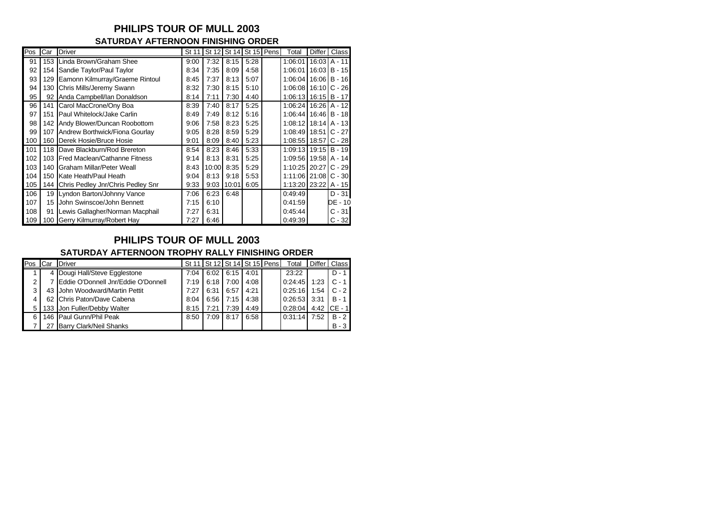### **PHILIPS TOUR OF MULL 2003 SATURDAY AFTERNOON FINISHING ORDER**

| Pos | Car              | <b>Driver</b>                     | St 11 |       | St 12 St 14 St 15 Pens |      | Total                    | <b>Differ</b> | Class            |
|-----|------------------|-----------------------------------|-------|-------|------------------------|------|--------------------------|---------------|------------------|
| 91  | 153              | Linda Brown/Graham Shee           | 9:00  | 7:32  | 8:15                   | 5:28 | 1:06:01                  |               | $16:03$ A - 11   |
| 92  | 154              | Sandie Taylor/Paul Taylor         | 8:34  | 7:35  | 8:09                   | 4:58 | 1:06:01                  | 16:03         | $B - 15$         |
| 93  | 129              | Eamonn Kilmurray/Graeme Rintoul   | 8:45  | 7:37  | 8:13                   | 5:07 | 1:06:04                  | 16:06         | $B - 16$         |
| 94  | 130              | Chris Mills/Jeremy Swann          | 8:32  | 7:30  | 8:15                   | 5:10 | 1:06:08                  | 16:10         | $C - 26$         |
| 95  | 92               | Anda Campbell/Ian Donaldson       | 8:14  | 7:11  | 7:30                   | 4:40 | $1:06:13$ 16:15   B - 17 |               |                  |
| 96  | 141              | Carol MacCrone/Ony Boa            | 8:39  | 7:40  | 8:17                   | 5:25 | 1:06:24   16:26   A - 12 |               |                  |
| 97  | 151              | Paul Whitelock/Jake Carlin        | 8:49  | 7:49  | 8:12                   | 5:16 | 1:06:44                  | 16:46         | $B - 18$         |
| 98  | 142              | Andy Blower/Duncan Roobottom      | 9:06  | 7:58  | 8:23                   | 5:25 | 1:08:12                  |               | $18:14$ $A - 13$ |
| 99  | 107              | Andrew Borthwick/Fiona Gourlay    | 9:05  | 8:28  | 8:59                   | 5:29 | 1:08:49 18:51            |               | $C - 27$         |
| 100 | 160 <sub>1</sub> | Derek Hosie/Bruce Hosie           | 9:01  | 8:09  | 8:40                   | 5:23 | 1:08:55 18:57            |               | $C - 28$         |
| 101 | 118              | Dave Blackburn/Rod Brereton       | 8:54  | 8:23  | 8:46                   | 5:33 | 1:09:13 19:15 B - 19     |               |                  |
| 102 | 103 <sub>l</sub> | Fred Maclean/Cathanne Fitness     | 9:14  | 8:13  | 8:31                   | 5:25 | 1:09:56 19:58            |               | $A - 14$         |
| 103 | 140              | Graham Millar/Peter Weall         | 8:43  | 10:00 | 8:35                   | 5:29 | 1:10:25                  | 20:27         | $C - 29$         |
| 104 | 150              | Kate Heath/Paul Heath             | 9:04  | 8:13  | 9:18                   | 5:53 | 1:11:06 21:08            |               | $C - 30$         |
| 105 | 144              | Chris Pedley Jnr/Chris Pedley Snr | 9:33  | 9:03  | 10:01                  | 6:05 | 1:13:20 23:22            |               | A - 15           |
| 106 | 19 I             | Lyndon Barton/Johnny Vance        | 7:06  | 6:23  | 6:48                   |      | 0:49:49                  |               | $D - 31$         |
| 107 | 15               | John Swinscoe/John Bennett        | 7:15  | 6:10  |                        |      | 0:41:59                  |               | DE - 10          |
| 108 | 91               | Lewis Gallagher/Norman Macphail   | 7:27  | 6:31  |                        |      | 0:45:44                  |               | $C - 31$         |
| 109 |                  | 100 Gerry Kilmurray/Robert Hay    | 7:27  | 6:46  |                        |      | 0:49:39                  |               | $C - 32$         |

## **PHILIPS TOUR OF MULL 2003**

#### **SATURDAY AFTERNOON TROPHY RALLY FINISHING ORDER**

| Pos | Car | <b>Driver</b>                       |      | St 11   St 12   St 14   St 15   Pens |      |      | Total   |      | Differ Class |
|-----|-----|-------------------------------------|------|--------------------------------------|------|------|---------|------|--------------|
|     |     | Dougi Hall/Steve Egglestone         | 7:04 | 6:02                                 | 6:15 | 4:01 | 23:22   |      | $D - 1$      |
|     |     | Eddie O'Donnell Jnr/Eddie O'Donnell | 7:19 | 6:18                                 | 7:00 | 4:08 | 0:24:45 | 1:23 | $C - 1$      |
|     | 43  | John Woodward/Martin Pettit         | 7:27 | 6:31                                 | 6:57 | 4:21 | 0:25:16 | 1:54 | $C - 2$      |
|     |     | 62 Chris Paton/Dave Cabena          | 8:04 | 6:56                                 | 7:15 | 4:38 | 0:26:53 | 3:31 | $B - 1$      |
|     |     | 133 Jon Fuller/Debby Walter         | 8:15 | 7:21                                 | 7:39 | 4:49 | 0:28:04 | 4:42 | $CE - 1$     |
|     |     | 146 Paul Gunn/Phil Peak             | 8:50 | 7:09                                 | 8:17 | 6:58 | 0:31:14 | 7:52 | $B - 2$      |
|     |     | Barry Clark/Neil Shanks             |      |                                      |      |      |         |      | $B - 3$      |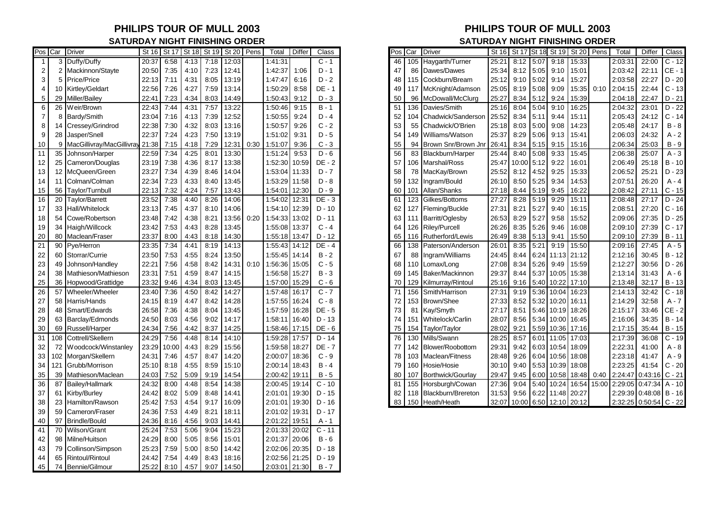### **PHILIPS TOUR OF MULL 2003 PHILIPS TOUR OF MULL 2003 SATURDAY NIGHT FINISHING ORDER SATURDAY NIGHT FINISHING ORDER**

|                | Pos Car        | <b>Driver</b>             | St 16 |       | St 17 St 18 |      | St 19   St 20   Pens |      | Total         | Differ | Class    | ⊃os            | Car | <b>Driver</b>         | St 16 | St 17 | <b>St 18</b> | St 19 | St 20 Pens  |       | Total   | Differ           | Class    |
|----------------|----------------|---------------------------|-------|-------|-------------|------|----------------------|------|---------------|--------|----------|----------------|-----|-----------------------|-------|-------|--------------|-------|-------------|-------|---------|------------------|----------|
|                | 3              | Duffy/Duffy               | 20:37 | 6:58  | 4:13        | 7:18 | 12:03                |      | 1:41:31       |        | $C - 1$  | 46             | 105 | Haygarth/Turner       | 25:21 | 8:12  | 5:07         | 9:18  | 15:33       |       | 2:03:31 | 22:00            | $C - 12$ |
| $\overline{2}$ | $\overline{2}$ | Mackinnon/Stayte          | 20:50 | 7:35  | 4:10        | 7:23 | 12:41                |      | 1:42:37       | 1:06   | $D - 1$  | 47             | 86  | Dawes/Dawes           | 25:34 | 8:12  | 5:05         | 9:10  | 15:01       |       | 2:03:42 | 22:11            | CE - 1   |
| 3              | 5              | Price/Price               | 22:13 | 7:11  | 4:31        | 8:05 | 13:19                |      | 1:47:47       | 6:16   | $D - 2$  | 48             |     | 115 Cockburn/Bream    | 25:12 | 9:10  | 5:02         | 9:14  | 15:27       |       | 2:03:58 | 22:27            | $D - 20$ |
| $\overline{4}$ | 10             | Kirtley/Geldart           | 22:56 | 7:26  | 4:27        | 7:59 | 13:14                |      | 1:50:29       | 8:58   | DE - 1   | 49             | 117 | McKnight/Adamson      | 25:05 | 8:19  | 5:08         | 9:09  | 15:35       | 0:10  | 2:04:15 | 22:44            | $C - 13$ |
| 5              | 29             | Miller/Bailey             | 22:41 | 7:23  | 4:34        | 8:03 | 14:49                |      | 1:50:43       | 9:12   | $D - 3$  | 50             | 96  | McDowall/McClurg      | 25:27 | 8:34  | 5:12         | 9:24  | 15:39       |       | 2:04:18 | 22:47            | $D - 21$ |
| 6              | 26             | Weir/Brown                | 22:43 | 7:44  | 4:31        | 7:57 | 13:22                |      | 1:50:46       | 9:15   | $B - 1$  | 51             | 136 | Davies/Smith          | 25:16 | 8:04  | 5:04         | 9:10  | 16:25       |       | 2:04:32 | 23:01            | $D - 22$ |
| $\overline{7}$ | 8              | Bardy/Smith               | 23:04 | 7:16  | 4:13        | 7:39 | 12:52                |      | 1:50:55       | 9:24   | $D - 4$  | 52             | 104 | Chadwick/Sanderson    | 25:52 | 8:34  | 5:11         | 9:44  | 15:11       |       | 2:05:43 | 24:12            | $C - 14$ |
| 8              | 14             | Cressey/Grindrod          | 22:38 | 7:30  | 4:32        | 8:03 | 13:16                |      | 1:50:57       | 9:26   | $C - 2$  | 53             | 55  | Chadwick/O'Brien      | 25:18 | 8:03  | 5:00         | 9:08  | 14:23       |       | 2:05:48 | 24:17            | $B - 8$  |
| g              | 28             | Jasper/Snell              | 22:37 | 7:24  | 4:23        | 7:50 | 13:19                |      | 1:51:02       | 9:31   | $D - 5$  | 54             | 149 | Williams/Watson       | 25:37 | 8:29  | 5:06         | 9:13  | 15:41       |       | 2:06:03 | 24:32            | $A - 2$  |
| 10             | $\mathbf{Q}$   | MacGillivray/MacGillivray | 21:38 | 7:15  | 4:18        | 7:29 | 12:31                | 0:30 | 1:51:07       | 9:36   | $C - 3$  | 55             | 94  | Brown Snr/Brown Jnr   | 26:4' | 8:34  | 5:15         | 9:15  | 15:16       |       | 2:06:34 | 25:03            | $B - 9$  |
| 11             | 35             | Johnson/Harper            | 22:59 | 7:34  | 4:25        | 8:01 | 13:30                |      | 1:51:24       | 9:53   | $D - 6$  | 56             |     | 83 Blackburn/Harper   | 25:44 | 8:40  | 5:08         | 9:33  | 15:45       |       | 2:06:38 | 25:07            | $A - 3$  |
| 12             | 25             | Cameron/Douglas           | 23:19 | 7:38  | 4:36        | 8:17 | 13:38                |      | 1:52:30       | 10:59  | DE - 2   | 57             | 106 | Marshal/Ross          | 25:47 | 10:00 | 5:12         | 9:22  | 16:01       |       | 2:06:49 | 25:18            | $B - 10$ |
| 13             | 12             | McQueen/Green             | 23:27 | 7:34  | 4:39        | 8:46 | 14:04                |      | 1:53:04       | 11:33  | $D - 7$  | 58             | 78  | MacKay/Brown          | 25:52 | 8:12  | 4:52         | 9:25  | 15:33       |       | 2:06:52 | 25:21            | $D - 23$ |
| 14             | 11             | Colman/Colman             | 22:34 | 7:23  | 4:33        | 8:40 | 13:45                |      | 1:53:29       | 11:58  | $D - 8$  | 59             | 132 | Ingram/Bould          | 26:10 | 8:50  | 5:25         | 9:34  | 14:53       |       | 2:07:51 | 26:20            | $A - 4$  |
| 15             | 56             | Taylor/Turnbull           | 22:13 | 7:32  | 4:24        | 7:57 | 13:43                |      | 1:54:01       | 12:30  | $D - 9$  | 60             | 101 | Allan/Shanks          | 27:18 | 8:44  | 5:19         | 9:45  | 16:22       |       | 2:08:42 | 27:11            | $C - 15$ |
| 16             | 20             | Taylor/Barrett            | 23:52 | 7:38  | 4:40        | 8:26 | 14:06                |      | 1:54:02       | 12:31  | $DE - 3$ | 6 <sup>′</sup> | 123 | Gilkes/Bottoms        | 27:27 | 8:28  | 5:19         | 9:29  | 15:11       |       | 2:08:48 | 27:17            | $D - 24$ |
| 17             | 33             | Hall/Whitelock            | 23:13 | 7:45  | 4:37        | 8:10 | 14:06                |      | 1:54:10       | 12:39  | $D - 10$ | 62             | 127 | Fleming/Buckle        | 27:31 | 8:21  | 5:27         | 9:40  | 16:15       |       | 2:08:5' | 27:20            | $C - 16$ |
| 18             | 54             | Cowe/Robertson            | 23:48 | 7:42  | 4:38        | 8:21 | 13:56                | 0:20 | 1:54:33       | 13:02  | $D - 11$ | 63             | 111 | Barritt/Oglesby       | 26:53 | 8:29  | 5:27         | 9:58  | 15:52       |       | 2:09:06 | 27:35            | $D - 25$ |
| 19             | 34             | Haigh/Willcock            | 23:42 | 7:53  | 4:43        | 8:28 | 13:45                |      | 1:55:08       | 13:37  | $C - 4$  | 64             | 126 | <b>Riley/Purcell</b>  | 26:26 | 8:35  | 5:26         | 9:46  | 16:08       |       | 2:09:10 | 27:39            | $C - 17$ |
| 20             | 80             | Maclean/Fraser            | 23:37 | 8:00  | 4:43        | 8:18 | 14:30                |      | 1:55:18       | 13:47  | $D - 12$ | 65             | 116 | Rutherford/Lewis      | 26:49 | 8:38  | 5:13         | 9:41  | 15:50       |       | 2:09:10 | 27:39            | $B - 11$ |
| 21             | 90             | Pye/Herron                | 23:35 | 7:34  | 4:41        | 8:19 | 14:13                |      | 1:55:43       | 14:12  | DE - 4   | 66             |     | 138 Paterson/Anderson | 26:01 | 8:35  | 5:21         | 9:19  | 15:50       |       | 2:09:16 | 27:45            | $A - 5$  |
| 22             | 60             | Storrar/Currie            | 23:50 | 7:53  | 4:55        | 8:24 | 13:50                |      | 1:55:45       | 14:14  | $B - 2$  | 67             |     | 88 Ingram/Williams    | 24:45 | 8:44  | 6:24         | 11:13 | 21:12       |       | 2:12:16 | 30:45            | $B - 12$ |
| 23             | 49             | Johnson/Handley           | 22:21 | 7:56  | 4:58        | 8:42 | 14:31                | 0:10 | 1:56:36       | 15:05  | $C - 5$  | 68             | 110 | Lomax/Long            | 27:08 | 8:34  | 5:26         | 9:49  | 15:59       |       | 2:12:27 | 30:56            | $D - 26$ |
| 24             | 38             | Mathieson/Mathieson       | 23:31 | 7:51  | 4:59        | 8:47 | 14:15                |      | 1:56:58       | 15:27  | $B - 3$  | 69             | 145 | Baker/Mackinnon       | 29:37 | 8:44  | 5:37         | 10:05 | 15:38       |       | 2:13:14 | 31:43            | $A - 6$  |
| 25             | 36             | Hopwood/Grattidge         | 23:32 | 9:46  | 4:34        | 8:03 | 13:45                |      | 1:57:00       | 15:29  | $C - 6$  | 70             | 129 | Kilmurray/Rintoul     | 25:16 | 9:16  | 5:40         | 10:22 | 17:10       |       | 2:13:48 | 32:17            | $B - 13$ |
| 26             | 57             | Wheeler/Wheeler           | 23:40 | 7:36  | 4:50        | 8:42 | 14:27                |      | 1:57:48       | 16:17  | $C - 7$  | 71             | 156 | Smith/Harrison        | 27:31 | 9:19  | 5:36         | 10:04 | 16:23       |       | 2:14:13 | 32:42            | $C - 18$ |
| 27             | 58             | Harris/Hands              | 24:15 | 8:19  | 4:47        | 8:42 | 14:28                |      | 1:57:55       | 16:24  | $C - 8$  | 72             | 153 | Brown/Shee            | 27:33 | 8:52  | 5:32         | 10:20 | 16:11       |       | 2:14:29 | 32:58            | $A - 7$  |
| 28             | 48             | Smart/Edwards             | 26:58 | 7:36  | 4:38        | 8:04 | 13:45                |      | 1:57:59       | 16:28  | DE - 5   | 73             | 81  | Kay/Smyth             | 27:17 | 8:51  | 5:46         | 10:19 | 18:26       |       | 2:15:17 | 33:46            | CE - 2   |
| 29             | 63             | Barclay/Edmonds           | 24:50 | 8:03  | 4:56        | 9:02 | 14:17                |      | 1:58:11       | 16:40  | $D - 13$ | 74             | 151 | Whitelock/Carlin      | 28:07 | 8:56  | 5:34         | 10:00 | 16:45       |       | 2:16:06 | 34:35            | $B - 14$ |
| 30             | 69             | Russell/Harper            | 24:34 | 7:56  | 4:42        | 8:37 | 14:25                |      | 1:58:46       | 17:15  | DE - 6   | 75             | 154 | Taylor/Taylor         | 28:02 | 9:21  | 5:59         | 10:36 | 17:16       |       | 2:17:15 | 35:44            | $B - 15$ |
| 31             | 108            | Cottrell/Skellern         | 24:29 | 7:56  | 4:48        | 8:14 | 14:10                |      | 1:59:28       | 17:57  | $D - 14$ | 76             | 130 | Mills/Swann           | 28:25 | 8:57  | 6:01         | 11:05 | 17:03       |       | 2:17:39 | 36:08            | $C - 19$ |
| 32             | 72             | Woodcock/Winstanley       | 23:29 | 10:00 | 4:43        | 8:29 | 15:56                |      | 1:59:58       | 18:27  | DE - 7   | 77             | 142 | Blower/Roobottom      | 29:31 | 9:42  | 6:03         | 10:54 | 18:09       |       | 2:22:31 | 41:00            | $A - 8$  |
| 33             | 102            | Morgan/Skellern           | 24:31 | 7:46  | 4:57        | 8:47 | 14:20                |      | 2:00:07       | 18:36  | $C - 9$  | 78             | 103 | Maclean/Fitness       | 28:48 | 9:26  | 6:04         | 10:56 | 18:08       |       | 2:23:18 | 41:47            | $A - 9$  |
| 34             | 12'            | Grubb/Morrison            | 25:10 | 8:18  | 4:55        | 8:59 | 15:10                |      | 2:00:14       | 18:43  | $B - 4$  | 79             | 160 | Hosie/Hosie           | 30:10 | 9:40  | 5:53         | 10:39 | 18:08       |       | 2:23:25 | 41:54            | $C - 20$ |
| 35             | 39             | Mathieson/Maclean         | 24:03 | 7:52  | 5:09        | 9:19 | 14:54                |      | 2:00:42       | 19:11  | $B - 5$  | 80             | 107 | Borthwick/Gourlay     | 29:47 | 9:45  | 6:00         | 10:58 | 18:48       | 0:40  | 2:24:47 | 0.43:16          | $C - 21$ |
| 36             | 87             | Bailey/Hallmark           | 24:32 | 8:00  | 4:48        | 8:54 | 14:38                |      | 2:00:45       | 19:14  | $C - 10$ | 8'             | 155 | Horsburgh/Cowan       | 27:36 | 9:04  | 5:40         | 10:24 | 16:54       | 15:00 | 2:29:05 | 0:47:34          | $A - 10$ |
| 37             | 61             | Kirby/Burley              | 24:42 | 8:02  | 5:09        | 8:48 | 14:41                |      | 2:01:01       | 19:30  | $D - 15$ | 82             | 118 | Blackburn/Brereton    | 31:53 | 9:56  | 6:22         | 11:48 | 20:27       |       | 2:29:39 | $0.48:08$ B - 16 |          |
| 38             | 23             | Hamilton/Rawson           | 25:42 | 7:53  | 4:54        | 9:17 | 16:09                |      | 2:01:01       | 19:30  | $D - 16$ | 83             |     | 150 Heath/Heath       | 32:07 | 10:00 | 6:50         |       | 12:10 20:12 |       | 2:32:25 | $0:50:54$ C - 22 |          |
| 39             | 59             | Cameron/Fraser            | 24:36 | 7:53  | 4:49        | 8:21 | 18:11                |      | 2:01:02       | 19:31  | $D - 17$ |                |     |                       |       |       |              |       |             |       |         |                  |          |
| 40             | 97             | <b>Brindle/Bould</b>      | 24:36 | 8:16  | 4:56        | 9:03 | 14:41                |      | 2:01:22       | 19:51  | $A - 1$  |                |     |                       |       |       |              |       |             |       |         |                  |          |
| 41             | 70             | Wilson/Grant              | 25:24 | 7:53  | 5:06        | 9:04 | 15:23                |      | 2:01:33       | 20:02  | $C - 11$ |                |     |                       |       |       |              |       |             |       |         |                  |          |
| 42             | 98             | Milne/Huitson             | 24:29 | 8:00  | 5:05        | 8:56 | 15:01                |      | 2:01:37       | 20:06  | $B - 6$  |                |     |                       |       |       |              |       |             |       |         |                  |          |
| 43             | 79             | Collinson/Simpson         | 25:23 | 7:59  | 5:00        | 8:50 | 14:42                |      | 2:02:06       | 20:35  | $D - 18$ |                |     |                       |       |       |              |       |             |       |         |                  |          |
| 44             | 65             | Rintoul/Rintoul           | 24:42 | 7:54  | 4:49        | 8:43 | 18:16                |      | 2:02:56 21:25 |        | $D - 19$ |                |     |                       |       |       |              |       |             |       |         |                  |          |
| 45             | 74             | Bennie/Gilmour            | 25:22 | 8:10  | 4:57        | 9:07 | 14:50                |      | 2:03:01 21:30 |        | $B - 7$  |                |     |                       |       |       |              |       |             |       |         |                  |          |

| Pos | Car | Driver              | St 16 | St 17 | St 18 | St 19 | St 20 | Pens  | Total   | <b>Differ</b> | Class                  |
|-----|-----|---------------------|-------|-------|-------|-------|-------|-------|---------|---------------|------------------------|
| 46  | 105 | Haygarth/Turner     | 25:21 | 8:12  | 5:07  | 9:18  | 15:33 |       | 2:03:31 | 22:00         | $C - 12$               |
| 47  | 86  | Dawes/Dawes         | 25:34 | 8:12  | 5:05  | 9:10  | 15:01 |       | 2:03:42 | 22:11         | $CE - 1$               |
| 48  | 115 | Cockburn/Bream      | 25:12 | 9:10  | 5:02  | 9:14  | 15:27 |       | 2:03:58 | 22:27         | $D - 20$               |
| 49  | 117 | McKnight/Adamson    | 25:05 | 8:19  | 5:08  | 9:09  | 15:35 | 0:10  | 2:04:15 | 22:44         | $C - 13$               |
| 50  | 96  | McDowall/McClurg    | 25:27 | 8:34  | 5:12  | 9:24  | 15:39 |       | 2:04:18 | 22:47         | $D - 21$               |
| 51  | 136 | Davies/Smith        | 25:16 | 8:04  | 5:04  | 9:10  | 16:25 |       | 2:04:32 | 23:01         | $D - 22$               |
| 52  | 104 | Chadwick/Sanderson  | 25:52 | 8:34  | 5:11  | 9:44  | 15:11 |       | 2:05:43 | 24:12         | $\overline{C}$ -<br>14 |
| 53  | 55  | Chadwick/O'Brien    | 25:18 | 8:03  | 5:00  | 9:08  | 14:23 |       | 2:05:48 | 24:17         | $B - 8$                |
| 54  | 149 | Williams/Watson     | 25:37 | 8:29  | 5:06  | 9:13  | 15:41 |       | 2:06:03 | 24:32         | $A - 2$                |
| 55  | 94  | Brown Snr/Brown Jnr | 26:41 | 8:34  | 5:15  | 9:15  | 15:16 |       | 2:06:34 | 25:03         | $B - 9$                |
| 56  | 83  | Blackburn/Harper    | 25:44 | 8:40  | 5:08  | 9:33  | 15:45 |       | 2:06:38 | 25:07         | $A - 3$                |
| 57  | 106 | Marshal/Ross        | 25:47 | 10:00 | 5:12  | 9:22  | 16:01 |       | 2:06:49 | 25:18         | $B - 10$               |
| 58  | 78  | MacKay/Brown        | 25:52 | 8:12  | 4:52  | 9:25  | 15:33 |       | 2:06:52 | 25:21         | $D - 23$               |
| 59  | 132 | Ingram/Bould        | 26:10 | 8:50  | 5:25  | 9:34  | 14:53 |       | 2:07:51 | 26:20         | A - 4                  |
| 60  | 101 | Allan/Shanks        | 27:18 | 8:44  | 5:19  | 9:45  | 16:22 |       | 2:08:42 | 27:11         | $C - 15$               |
| 61  | 123 | Gilkes/Bottoms      | 27:27 | 8:28  | 5:19  | 9:29  | 15:11 |       | 2:08:48 | 27:17         | 24<br>D-               |
| 62  | 127 | Fleming/Buckle      | 27:31 | 8:21  | 5:27  | 9:40  | 16:15 |       | 2:08:51 | 27:20         | $C - 16$               |
| 63  | 111 | Barritt/Oglesby     | 26:53 | 8:29  | 5:27  | 9:58  | 15:52 |       | 2:09:06 | 27:35         | $D - 25$               |
| 64  | 126 | Riley/Purcell       | 26:26 | 8:35  | 5:26  | 9:46  | 16:08 |       | 2:09:10 | 27:39         | $C - 17$               |
| 65  | 116 | Rutherford/Lewis    | 26:49 | 8:38  | 5:13  | 9:41  | 15:50 |       | 2:09:10 | 27:39         | B - 11                 |
| 66  | 138 | Paterson/Anderson   | 26:01 | 8:35  | 5:21  | 9:19  | 15:50 |       | 2:09:16 | 27:45         | 5<br>$A -$             |
| 67  | 88  | Ingram/Williams     | 24:45 | 8:44  | 6:24  | 11:13 | 21:12 |       | 2:12:16 | 30:45         | $B - 12$               |
| 68  | 110 | Lomax/Long          | 27:08 | 8:34  | 5:26  | 9:49  | 15:59 |       | 2:12:27 | 30:56         | $D - 26$               |
| 69  | 145 | Baker/Mackinnon     | 29:37 | 8:44  | 5:37  | 10:05 | 15:38 |       | 2:13:14 | 31:43         | $A - 6$                |
| 70  | 129 | Kilmurray/Rintoul   | 25:16 | 9:16  | 5:40  | 10:22 | 17:10 |       | 2:13:48 | 32:17         | $B - 13$               |
| 71  | 156 | Smith/Harrison      | 27:31 | 9:19  | 5:36  | 10:04 | 16:23 |       | 2:14:13 | 32:42         | $C - 18$               |
| 72  | 153 | Brown/Shee          | 27:33 | 8:52  | 5:32  | 10:20 | 16:11 |       | 2:14:29 | 32:58         | $A - 7$                |
| 73  | 81  | Kay/Smyth           | 27:17 | 8:51  | 5:46  | 10:19 | 18:26 |       | 2:15:17 | 33:46         | $CE - 2$               |
| 74  | 151 | Whitelock/Carlin    | 28:07 | 8:56  | 5:34  | 10:00 | 16:45 |       | 2:16:06 | 34:35         | $B - 14$               |
| 75  | 154 | Taylor/Taylor       | 28:02 | 9:21  | 5:59  | 10:36 | 17:16 |       | 2:17:15 | 35:44         | $B - 15$               |
| 76  | 130 | Mills/Swann         | 28:25 | 8:57  | 6:01  | 11:05 | 17:03 |       | 2:17:39 | 36:08         | $C - 19$               |
| 77  | 142 | Blower/Roobottom    | 29:31 | 9:42  | 6:03  | 10:54 | 18:09 |       | 2:22:31 | 41:00         | $A - 8$                |
| 78  | 103 | Maclean/Fitness     | 28:48 | 9:26  | 6:04  | 10:56 | 18:08 |       | 2:23:18 | 41:47         | $A - 9$                |
| 79  | 160 | Hosie/Hosie         | 30:10 | 9:40  | 5:53  | 10:39 | 18:08 |       | 2:23:25 | 41:54         | $C - 20$               |
| 80  | 107 | Borthwick/Gourlay   | 29:47 | 9:45  | 6:00  | 10:58 | 18:48 | 0:40  | 2:24:47 | 0.43:16       | $C - 21$               |
| 81  | 155 | Horsburgh/Cowan     | 27:36 | 9:04  | 5:40  | 10:24 | 16:54 | 15:00 | 2:29:05 | 0:47:34       | $A - 10$               |
| 82  | 118 | Blackburn/Brereton  | 31:53 | 9:56  | 6:22  | 11:48 | 20:27 |       | 2:29:39 | 0.48:08       | $B - 16$               |
| 83  | 150 | Heath/Heath         | 32:07 | 10:00 | 6:50  | 12:10 | 20:12 |       | 2:32:25 | 0:50:54       | $C - 22$               |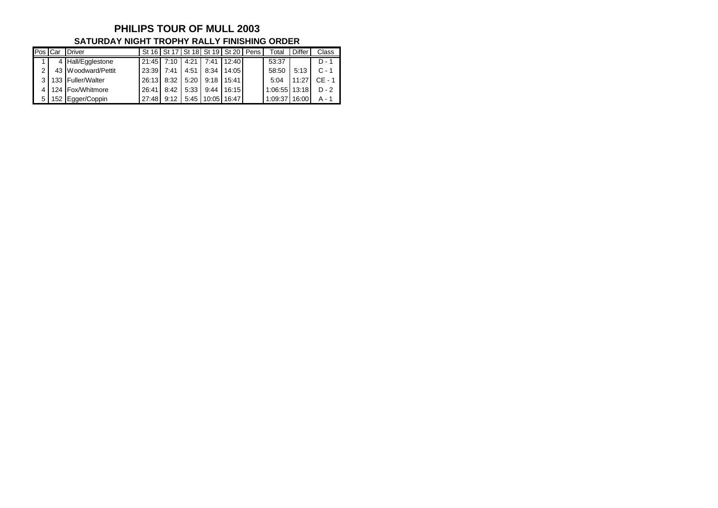#### **PHILIPS TOUR OF MULL 2003 SATURDAY NIGHT TROPHY RALLY FINISHING ORDER**

| Pos | <b>I</b> Car | Driver             |       |      |      | St 16   St 17   St 18   St 19   St 20   Pens |       | Total   | <b>Differ</b> | Class   |
|-----|--------------|--------------------|-------|------|------|----------------------------------------------|-------|---------|---------------|---------|
|     |              | 4 Hall/Egglestone  | 21:45 |      | 4:21 | 7:41                                         | 12:40 | 53:37   |               | D -     |
| ◠   |              | 43 Woodward/Pettit | 23:39 | 7:41 | 4:51 | 8:34                                         | 14:05 | 58:50   | 5:13          |         |
| ว   |              | 133 Fuller/Walter  | 26:13 | 8:32 | 5:20 | 9:18                                         | 15:41 | 5:04    | $11:2^{-}$    | CE - 1  |
|     |              | 124 Fox/Whitmore   | 26:41 | 8:42 | 5:33 | 9:44                                         | 16:15 | 1:06:55 | 13:18         | $D - 2$ |
| 5   |              | 152 Egger/Coppin   | 27:48 | Q·12 | 5:45 | 10:05                                        | 16:47 | 1:09:37 | 16:00         | A -     |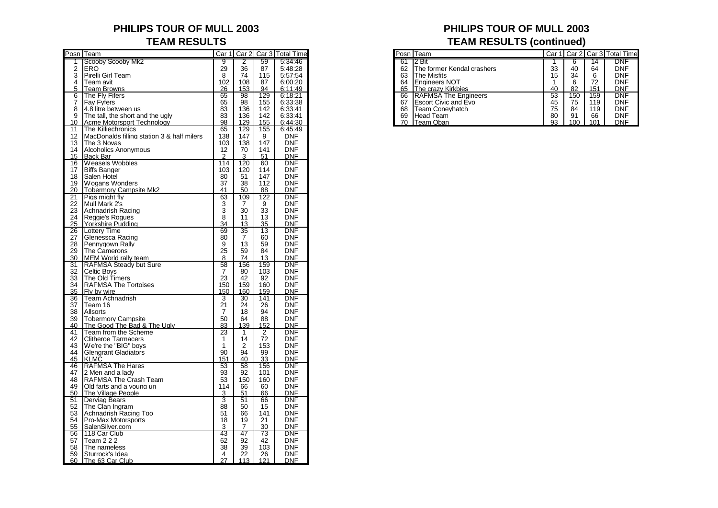# **PHILIPS TOUR OF MULL 2003 PHILIPS TOUR OF MULL 2003**

|                 | Posn Team                                  |                |          |                 | Car 1   Car 2   Car 3   Total Time |
|-----------------|--------------------------------------------|----------------|----------|-----------------|------------------------------------|
| 1               | Scooby Scooby Mk2                          | 9              | 2        | 59              | 5:34:46                            |
| 2               | ERO                                        | 29             | 36       | 87              | 5:48:28                            |
| $\bar{3}$       | Pirelli Girl Team                          | 8              | 74       | 115             | 5:57:54                            |
| 4               | Team avit                                  | 102            | 108      | 87              | 6:00:20                            |
|                 |                                            |                |          |                 |                                    |
| 5               | Team Browns                                | 26             | 153      | 94              | 6:11:49                            |
| 6               | The Fly Fifers                             | 65             | 98       | 129             | 6:18:21                            |
| 7               | Fay Fyfers                                 | 65             | 98       | 155             | 6:33:38                            |
| 8               | 4.8 litre between us                       | 83             | 136      | 142             | 6:33:41                            |
| 9               | The tall, the short and the ugly           | 83             | 136      | 142             | 6:33:41                            |
| 10              | <b>Acme Motorsport Technology</b>          | 98             | 129      | 155             | 6:44:30                            |
| $\overline{1}1$ | The Killiechronics                         | 65             | 129      | 155             | 6:45:49                            |
|                 |                                            |                |          |                 |                                    |
| 12              | MacDonalds filling station 3 & half milers | 138            | 147      | 9               | DNF                                |
| 13              | The 3 Novas                                | 103            | 138      | 147             | DNF                                |
| 14              | <b>Alcoholics Anonymous</b>                | 12             | 70       | 141             | DNF                                |
| 15              | Back Bar                                   | $\overline{2}$ | 3        | 51              | <b>DNF</b>                         |
| 16              | Weasels Wobbles                            | 114            | 120      | 60              | <b>DNF</b>                         |
| 17              | <b>Biffs Banger</b>                        | 103            | 120      | 114             | <b>DNF</b>                         |
| 18              | Salen Hotel                                | 80             | 51       | 147             | <b>DNF</b>                         |
| 19              | <b>Wogans Wonders</b>                      | 37             | 38       | 112             | <b>DNF</b>                         |
|                 |                                            |                |          |                 |                                    |
| 20              | <b>Tobermory Campsite Mk2</b>              | 41             | 50       | 88              | <b>DNF</b>                         |
| 21              | Pigs might fly                             | 63             | 109      | 122             | <b>DNF</b>                         |
| 22              | Mull Mark 2's                              | 3              | 7        | 9               | DNF                                |
| 23              | Achnadrish Racing                          | 3              | 30       | 33              | DNF                                |
| 24              | Reggie's Rogues                            | 8              | 11       | 13              | DNF                                |
| 25              | Yorkshire Pudding                          | 34             | 13       | 35              | DNF                                |
| 26              | Lottery Time                               | 69             | 35       | $\overline{13}$ | <b>DNF</b>                         |
| 27              | Glenessca Racing                           | 80             | 7        | 60              | <b>DNF</b>                         |
| 28              | Pennygown Rally                            | 9              | 13       | 59              | <b>DNF</b>                         |
| 29              | The Camerons                               | 25             | 59       | 84              | <b>DNF</b>                         |
|                 |                                            |                |          |                 |                                    |
| 30              | MEM World rally team                       | 8              | 74       | 13              | DNF                                |
| 31              | <b>RAFMSA Steady but Sure</b>              | 58             | 156      | 159             | <b>DNF</b>                         |
| 32              | Celtic Boys                                | 7              | 80       | 103             | DNF                                |
| 33              | The Old Timers                             | 23             | 42       | 92              | DNF                                |
| 34              | <b>RAFMSA The Tortoises</b>                | 150            | 159      | 160             | DNF                                |
| 35              | Fly by wire                                | 150            | 160      | 159             | <b>DNF</b>                         |
| 36              | Team Achnadrish                            | 3              | 30       | 141             | DNF                                |
| 37              | Team 16                                    | 21             | 24       | 26              | <b>DNF</b>                         |
| 38              | Allsorts                                   | 7              | 18       | 94              | DNF                                |
| 39              | <b>Tobermory Campsite</b>                  | 50             | 64       | 88              | <b>DNF</b>                         |
| 40              | The Good The Bad & The Ugly                | 83             | 139      | 152             | DNF                                |
| 41              | Team from the Scheme                       | 23             | 1        | 2               | <b>DNF</b>                         |
|                 |                                            |                |          |                 |                                    |
| 42              | <b>Clitheroe Tarmacers</b>                 | 1              | 14       | 72              | <b>DNF</b>                         |
| 43              | We're the "BIG" boys                       | 1              | 2        | 153             | <b>DNF</b>                         |
| 44              | <b>Glengrant Gladiators</b>                | 90             | 94       | 99              | DNF                                |
| 45              | <b>KLMC</b>                                | 151            | 40       | 33              | <b>DNF</b>                         |
| 46              | <b>RAFMSA The Hares</b>                    | 53             | 58       | 156             | DNF                                |
| 47              | 2 Men and a lady                           | 93             | 92       | 101             | DNF                                |
| 48              | RAFMSA The Crash Team                      | 53             | 150      | 160             | <b>DNF</b>                         |
| 49              | Old farts and a young un                   | 114            | 66       | 60              | <b>DNF</b>                         |
| 50              | <b>The Village People</b>                  | 3              | 51       | 66              | <b>DNF</b>                         |
| 51              | <b>Derviag Bears</b>                       | 3              | 51       | 66              | <b>DNF</b>                         |
| 52              | The Clan Ingram                            | 88             |          | 15              | DNF                                |
| 53              | Achnadrish Racing Too                      | 51             | 50<br>66 | 141             | <b>DNF</b>                         |
|                 |                                            |                |          |                 |                                    |
| 54              | Pro-Max Motorsports                        | 18             | 19       | 21              | DNF                                |
| 55              | SalenSilver.com                            | 3              | 7        | 30              | <b>DNF</b>                         |
| 56              | 118 Car Club                               | 43             | 47       | 73              | DNF                                |
| 57              | <b>Team 2 2 2</b>                          | 62             | 92       | 42              | DNF                                |
| 58              | The nameless                               | 38             | 39       | 103             | <b>DNF</b>                         |
| 59              | Sturrock's Idea                            | 4              | 22       | 26              | <b>DNF</b>                         |
| 60              | The 63 Car Club                            | 27             | 113      | 121             | <b>DNF</b>                         |

# **TEAM RESULTS TEAM RESULTS (continued)**

| Posn Team   |                                    |     |     |     | Car 1   Car 2   Car 3   Total Time |  | Posn Team                     |    |     |     | Car 1 Car 2 Car 3 Total Time |
|-------------|------------------------------------|-----|-----|-----|------------------------------------|--|-------------------------------|----|-----|-----|------------------------------|
|             | <b>IScooby Scooby Mk2</b>          |     |     | 59  | 5:34:46                            |  | $61$ $12$ Bit                 |    |     |     | <b>DNF</b>                   |
| 2 IERO      |                                    | 29  | 36  | 87  | 5:48:28                            |  | 62 The former Kendal crashers | 33 | 40  | 64  | <b>DNF</b>                   |
|             | 3 Pirelli Girl Team                | o   | 74  | 115 | 5:57:54                            |  | 63 IThe Misfits               | 15 | 34  |     | <b>DNF</b>                   |
| 4 Team avit |                                    | 102 | 108 | 87  | 6:00:20                            |  | 64 Engineers NOT              |    |     |     | <b>DNF</b>                   |
|             | 5 Team Browns                      | 26  | 153 | 94  | 6:11:49                            |  | 65 The crazy Kirkbies         | 40 | 82  | 151 | <b>DNF</b>                   |
|             | 6 The Fly Fifers                   | 65  | 98  | 129 | 6:18:21                            |  | 66 RAFMSA The Engineers       | 53 | 150 | 159 | <b>DNF</b>                   |
|             | <sup>7</sup> IFav Fvfers           | 65  | 98  | 155 | 6:33:38                            |  | 67 Escort Civic and Evo       | 45 | 75  | 119 | <b>DNF</b>                   |
|             | 8 4.8 litre between us             | 83  | 136 | 142 | 6:33:41                            |  | 68 Team Conevhatch            | 75 | 84  | 119 | <b>DNF</b>                   |
|             | 9 The tall, the short and the ugly | 83  | 136 | 142 | 6:33:41                            |  | 69 Head Team                  | 80 | 91  | 66  | <b>DNF</b>                   |
|             | 10 Acme Motorsport Technology      | 98  | 129 | 155 | 6:44:30                            |  | 70 Team Oban                  | a3 | 100 | 101 | <b>DNF</b>                   |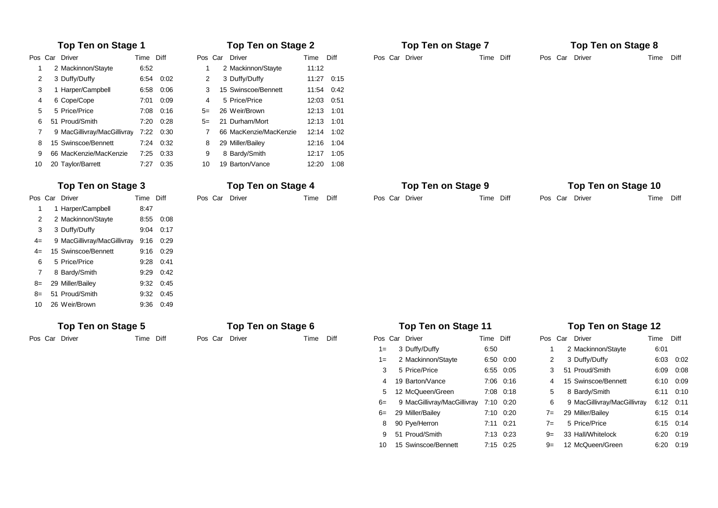|      | <b>Top Ten on Stage 1</b>   |           |      |      | <b>Top Ten on Stage 2</b> |            |            |       | <b>Top Ten on Stage 7</b>   |           |           |    | <b>Top Ten on Stage 8</b>   |           |           |
|------|-----------------------------|-----------|------|------|---------------------------|------------|------------|-------|-----------------------------|-----------|-----------|----|-----------------------------|-----------|-----------|
|      | Pos Car Driver              | Time Diff |      |      | Pos Car Driver            | Time Diff  |            |       | Pos Car Driver              | Time Diff |           |    | Pos Car Driver              | Time      | Diff      |
| -1   | 2 Mackinnon/Stayte          | 6:52      |      |      | 2 Mackinnon/Stayte        | 11:12      |            |       |                             |           |           |    |                             |           |           |
| 2    | 3 Duffy/Duffy               | 6:54      | 0:02 | 2    | 3 Duffy/Duffy             |            | 11:27 0:15 |       |                             |           |           |    |                             |           |           |
| 3    | 1 Harper/Campbell           | 6:58      | 0:06 | 3    | 15 Swinscoe/Bennett       |            | 11:54 0:42 |       |                             |           |           |    |                             |           |           |
|      | 6 Cope/Cope                 | 7:01      | 0:09 | 4    | 5 Price/Price             | 12:03 0:51 |            |       |                             |           |           |    |                             |           |           |
|      | 5 Price/Price               | 7:08      | 0:16 | $5=$ | 26 Weir/Brown             | 12:13 1:01 |            |       |                             |           |           |    |                             |           |           |
| 6    | 51 Proud/Smith              | 7:20      | 0:28 | 5=   | 21 Durham/Mort            | 12:13 1:01 |            |       |                             |           |           |    |                             |           |           |
| 7    | 9 MacGillivray/MacGillivray | 7:22      | 0:30 |      | 66 MacKenzie/MacKenzie    | 12:14 1:02 |            |       |                             |           |           |    |                             |           |           |
| 8    | 15 Swinscoe/Bennett         | 7:24      | 0:32 | 8    | 29 Miller/Bailey          |            | 12:16 1:04 |       |                             |           |           |    |                             |           |           |
| 9    | 66 MacKenzie/MacKenzie      | 7:25      | 0:33 | 9    | 8 Bardy/Smith             |            | 12:17 1:05 |       |                             |           |           |    |                             |           |           |
| 10   | 20 Taylor/Barrett           | 7:27      | 0:35 | 10   | 19 Barton/Vance           |            | 12:20 1:08 |       |                             |           |           |    |                             |           |           |
|      | Top Ten on Stage 3          |           |      |      | Top Ten on Stage 4        |            |            |       | <b>Top Ten on Stage 9</b>   |           |           |    | Top Ten on Stage 10         |           |           |
|      | Pos Car Driver              | Time Diff |      |      | Pos Car Driver            | Time Diff  |            |       | Pos Car Driver              | Time Diff |           |    | Pos Car Driver              | Time Diff |           |
| -1   | 1 Harper/Campbell           | 8:47      |      |      |                           |            |            |       |                             |           |           |    |                             |           |           |
| 2    | 2 Mackinnon/Stayte          | 8:55      | 0:08 |      |                           |            |            |       |                             |           |           |    |                             |           |           |
| 3    | 3 Duffy/Duffy               | 9:04      | 0:17 |      |                           |            |            |       |                             |           |           |    |                             |           |           |
| $4=$ | 9 MacGillivray/MacGillivray | 9:16      | 0:29 |      |                           |            |            |       |                             |           |           |    |                             |           |           |
| $4=$ | 15 Swinscoe/Bennett         | 9:16      | 0:29 |      |                           |            |            |       |                             |           |           |    |                             |           |           |
| 6    | 5 Price/Price               | 9:28      | 0:41 |      |                           |            |            |       |                             |           |           |    |                             |           |           |
| 7    | 8 Bardy/Smith               | 9:29      | 0:42 |      |                           |            |            |       |                             |           |           |    |                             |           |           |
| 8=   | 29 Miller/Bailey            | 9:32      | 0:45 |      |                           |            |            |       |                             |           |           |    |                             |           |           |
| 8=   | 51 Proud/Smith              | 9:32      | 0:45 |      |                           |            |            |       |                             |           |           |    |                             |           |           |
| 10   | 26 Weir/Brown               | 9:36      | 0:49 |      |                           |            |            |       |                             |           |           |    |                             |           |           |
|      | Top Ten on Stage 5          |           |      |      | Top Ten on Stage 6        |            |            |       | <b>Top Ten on Stage 11</b>  |           |           |    | Top Ten on Stage 12         |           |           |
|      | Pos Car Driver              | Time Diff |      |      | Pos Car Driver            | Time       | Diff       |       | Pos Car Driver              | Time Diff |           |    | Pos Car Driver              | Time Diff |           |
|      |                             |           |      |      |                           |            |            | $1 =$ | 3 Duffy/Duffy               | 6:50      |           | -1 | 2 Mackinnon/Stayte          | 6:01      |           |
|      |                             |           |      |      |                           |            |            | $1 =$ | 2 Mackinnon/Stayte          |           | 6:50 0:00 | 2  | 3 Duffy/Duffy               |           | 6:03 0:02 |
|      |                             |           |      |      |                           |            |            | 3     | 5 Price/Price               |           | 6:55 0:05 | 3  | 51 Proud/Smith              | 6:09      | 0:08      |
|      |                             |           |      |      |                           |            |            |       | 19 Barton/Vance             |           | 7:06 0:16 | 4  | 15 Swinscoe/Bennett         |           | 6:10 0:09 |
|      |                             |           |      |      |                           |            |            |       | 12 McQueen/Green            |           | 7:08 0:18 | 5  | 8 Bardy/Smith               |           | 6:11 0:10 |
|      |                             |           |      |      |                           |            |            | $6=$  | 9 MacGillivray/MacGillivray |           | 7:10 0:20 | 6  | 9 MacGillivray/MacGillivray |           | 6:12 0:11 |

### 8 Bardy/Smith #### ##### ### 12 McQueen/Green #### ###### 8 90 Pye/Herron 7:11 0:21 0 7= 5 Price/Price 6:15 0:14 ### 9 MacGillivray/MacGillivray #### ##### ### 14 Cressey/Grindrod #### ###### 9 51 Proud/Smith 7:13 0:23 0 9= 33 Hall/Whitelock 6:20 0:19

 $6 = 29$  Miller/Bailey  $7:10$  0:20  $7 = 29$  Miller/Bailey 6:15 0:14

### 10 Kirtley/Geldart #### ##### ### 15 Swinscoe/Bennett #### ###### 10 15 Swinscoe/Bennett 7:15 0:25 0 9= 12 McQueen/Green 6:20 0:19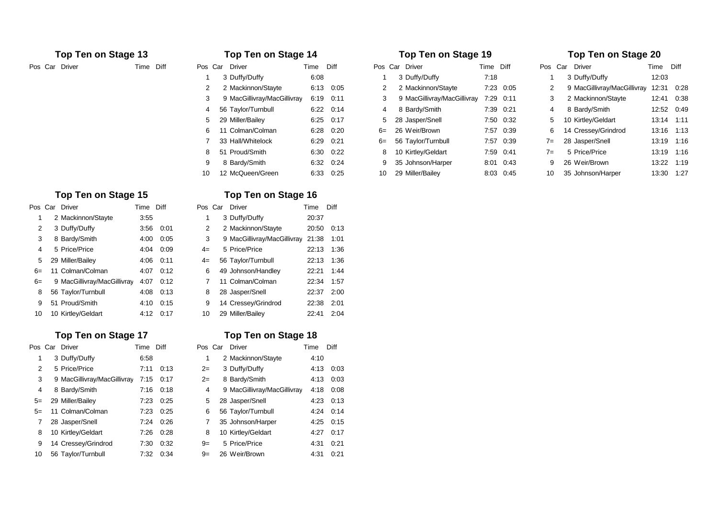| OS.            | Car | Driver                      | Time | Diff |
|----------------|-----|-----------------------------|------|------|
| 1              |     | 3 Duffy/Duffy               | 6:08 |      |
| 2              |     | 2 Mackinnon/Stayte          | 6:13 | 0:05 |
| 3              |     | 9 MacGillivray/MacGillivray | 6:19 | 0:11 |
| 4              |     | 56 Taylor/Turnbull          | 6:22 | 0:14 |
| 5              |     | 29 Miller/Bailey            | 6:25 | 0:17 |
| 6              |     | 11 Colman/Colman            | 6:28 | 0:20 |
| $\overline{7}$ |     | 33 Hall/Whitelock           | 6:29 | 0:21 |
| 8              |     | 51 Proud/Smith              | 6:30 | 0:22 |
| 9              |     | 8 Bardy/Smith               | 6:32 | 0:24 |
| 10             |     | 12 McQueen/Green            | 6:33 | 0:25 |

### **Top Ten on Stage 15 Top Ten on Stage 16 Top Ten on Stage 21**

|      | Pos Car Driver                        | Time Diff |           |      | Pos Car Driver                         | Time Diff |            |
|------|---------------------------------------|-----------|-----------|------|----------------------------------------|-----------|------------|
|      | 2 Mackinnon/Stayte                    | 3:55      |           |      | 3 Duffy/Duffy                          | 20:37     |            |
| 2    | 3 Duffy/Duffy                         |           | 3:56 0:01 |      | 2 Mackinnon/Stayte                     |           | 20:50 0:13 |
| 3    | 8 Bardy/Smith                         |           | 4:00 0:05 | 3    | 9 MacGillivray/MacGillivray 21:38 1:01 |           |            |
| 4    | 5 Price/Price                         |           | 4:04 0:09 | $4=$ | 5 Price/Price                          |           | 22:13 1:36 |
|      | 5 29 Miller/Bailey                    |           | 4:06 0:11 | $4=$ | 56 Taylor/Turnbull                     |           | 22:13 1:36 |
|      | 6= 11 Colman/Colman                   |           | 4:07 0:12 |      | 6 49 Johnson/Handley                   |           | 22:21 1:44 |
| $6=$ | 9 MacGillivray/MacGillivray 4:07 0:12 |           |           |      | 7 11 Colman/Colman                     |           | 22:34 1:57 |
|      | 8 56 Taylor/Turnbull                  |           | 4:08 0:13 |      | 8 28 Jasper/Snell                      |           | 22:37 2:00 |
|      | 9 51 Proud/Smith                      |           | 4:10 0:15 |      | 9 14 Cressey/Grindrod                  |           | 22:38 2:01 |
|      | 10 10 Kirtley/Geldart                 |           | 4:12 0:17 | 10   | 29 Miller/Bailey                       |           | 22:41 2:04 |

### **Top Ten on Stage 17 Top Ten on Stage 18**

| Pos  | Car Driver                  | Time Diff |      |      | Pos Car Driver              | Time | Diff |
|------|-----------------------------|-----------|------|------|-----------------------------|------|------|
|      | 3 Duffy/Duffy               | 6:58      |      |      | 2 Mackinnon/Stayte          | 4:10 |      |
| 2    | 5 Price/Price               | 7:11      | 0:13 | $2=$ | 3 Duffy/Duffy               | 4:13 | 0:03 |
| 3    | 9 MacGillivray/MacGillivray | 7:15      | 0:17 | $2=$ | 8 Bardy/Smith               | 4:13 | 0:03 |
| 4    | 8 Bardy/Smith               | 7:16      | 0:18 | 4    | 9 MacGillivray/MacGillivray | 4:18 | 0:08 |
| $5=$ | 29 Miller/Bailey            | 7:23      | 0:25 | 5    | 28 Jasper/Snell             | 4:23 | 0:13 |
| $5=$ | 11 Colman/Colman            | 7:23      | 0:25 | 6    | 56 Taylor/Turnbull          | 4:24 | 0:14 |
|      | 28 Jasper/Snell             | 7:24      | 0:26 |      | 35 Johnson/Harper           | 4:25 | 0:15 |
| 8    | 10 Kirtley/Geldart          | 7:26      | 0:28 | 8    | 10 Kirtley/Geldart          | 4:27 | 0:17 |
| 9    | 14 Cressey/Grindrod         | 7:30      | 0:32 | $9=$ | 5 Price/Price               | 4:31 | 0:21 |
| 10   | 56 Taylor/Turnbull          | 7:32      | 0:34 | $9=$ | 26 Weir/Brown               | 4:31 | 0:21 |

| Pos Car       | Driver                      | Time  | Diff |
|---------------|-----------------------------|-------|------|
| 1             | 3 Duffy/Duffy               | 20:37 |      |
| $\mathcal{P}$ | 2 Mackinnon/Stayte          | 20:50 | 0:13 |
| 3             | 9 MacGillivray/MacGillivray | 21:38 | 1:01 |
| $4=$          | 5 Price/Price               | 22:13 | 1:36 |
| $4=$          | 56 Taylor/Turnbull          | 22:13 | 1:36 |
| 6             | 49 Johnson/Handley          | 22:21 | 1:44 |
| 7             | 11 Colman/Colman            | 22:34 | 1:57 |
| 8             | 28 Jasper/Snell             | 22:37 | 2:00 |
| 9             | 14 Cressey/Grindrod         | 22:38 | 2:01 |
| 10            | 29 Miller/Bailev            | 22.41 | 2:04 |

### **Top Ten on Stage 13 Top Ten on Stage 14 Top Ten on Stage 19**

| Pos Car Driver | Time Diff |    | Pos Car Driver              | Time | Diff      |    | Pos Car Driver              | Time Diff |           |       | Pos Car Driver              | Time       | Diff       |
|----------------|-----------|----|-----------------------------|------|-----------|----|-----------------------------|-----------|-----------|-------|-----------------------------|------------|------------|
|                |           |    | 3 Duffy/Duffy               | 6:08 |           |    | 3 Duffy/Duffy               | 7:18      |           |       | 3 Duffy/Duffy               | 12:03      |            |
|                |           |    | 2 Mackinnon/Stayte          |      | 6:13 0:05 |    | 2 Mackinnon/Stayte          |           | 7:23 0:05 | 2     | 9 MacGillivray/MacGillivray | 12:31 0:28 |            |
|                |           |    | 9 MacGillivray/MacGillivray |      | 6:19 0:11 | 3  | 9 MacGillivray/MacGillivray | 7:29 0:11 |           | 3     | 2 Mackinnon/Stayte          | 12:41 0:38 |            |
|                |           | 4  | 56 Taylor/Turnbull          |      | 6:22 0:14 | 4  | 8 Bardy/Smith               |           | 7:39 0:21 | 4     | 8 Bardy/Smith               | 12:52 0:49 |            |
|                |           |    | 29 Miller/Bailey            |      | 6:25 0:17 |    | 5 28 Jasper/Snell           |           | 7:50 0:32 |       | 5 10 Kirtley/Geldart        | 13:14 1:11 |            |
|                |           | 6  | 11 Colman/Colman            |      | 6:28 0:20 |    | 6= 26 Weir/Brown            |           | 7:57 0:39 |       | 6 14 Cressey/Grindrod       | 13:16 1:13 |            |
|                |           |    | 33 Hall/Whitelock           |      | 6:29 0:21 |    | 6= 56 Taylor/Turnbull       |           | 7:57 0:39 |       | 7= 28 Jasper/Snell          | 13:19 1:16 |            |
|                |           | 8  | 51 Proud/Smith              |      | 6:30 0:22 | 8  | 10 Kirtley/Geldart          |           | 7:59 0:41 | $7 =$ | 5 Price/Price               | 13:19 1:16 |            |
|                |           | 9  | 8 Bardy/Smith               |      | 6:32 0:24 |    | 9 35 Johnson/Harper         |           | 8:01 0:43 | 9     | 26 Weir/Brown               | 13:22 1:19 |            |
|                |           | 10 | 12 McQueen/Green            |      | 6:33 0:25 | 10 | 29 Miller/Bailey            |           | 8:03 0:45 | 10    | 35 Johnson/Harper           |            | 13:30 1:27 |

### **Top Ten on Stage 20**

| Pos  | Car | Driver                      | Time  | Diff |
|------|-----|-----------------------------|-------|------|
| 1    |     | 3 Duffy/Duffy               | 12:03 |      |
| 2    |     | 9 MacGillivray/MacGillivray | 12:31 | 0:28 |
| 3    |     | 2 Mackinnon/Stayte          | 12:41 | 0:38 |
| 4    |     | 8 Bardy/Smith               | 12:52 | 0:49 |
| 5    |     | 10 Kirtley/Geldart          | 13:14 | 1:11 |
| 6    |     | 14 Cressey/Grindrod         | 13:16 | 1:13 |
| $7=$ |     | 28 Jasper/Snell             | 13:19 | 1:16 |
| $7=$ |     | 5 Price/Price               | 13:19 | 1:16 |
| 9    |     | 26 Weir/Brown               | 13:22 | 1:19 |
| 10   |     | 35 Johnson/Harper           | 13:30 | 1:27 |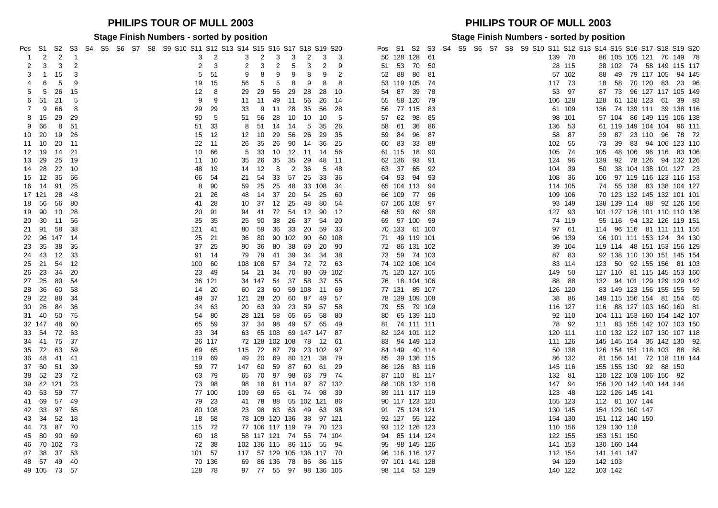### **PHILIPS TOUR OF MULL 2003 PHILIPS TOUR OF MULL 2003**

**Stage Finish Numbers - sorted by position Stage Finish Numbers - sorted by position**

| ⊃os<br>-1 | S1        | S2<br>2      | S3<br>-1 |  |  |  | S4 S5 S6 S7 S8 S9 S10 S11 S12 S13 S14 S15 S16 S17 S18 S19 S20 | 3   | 2      |     | 3<br>2   |           | 3                  | 3              | 2      | 3   | -3                        | Pos |        | S1<br>50 128 128 | S <sub>2</sub> | S3<br>-61 |  |  |  | 139 70  |     | S4 S5 S6 S7 S8 S9 S10 S11 S12 S13 S14 S15 S16 S17 S18 S19 S20 |         |                         |  | 86 105 105 121 70 149 78    |
|-----------|-----------|--------------|----------|--|--|--|---------------------------------------------------------------|-----|--------|-----|----------|-----------|--------------------|----------------|--------|-----|---------------------------|-----|--------|------------------|----------------|-----------|--|--|--|---------|-----|---------------------------------------------------------------|---------|-------------------------|--|-----------------------------|
| 2         | 3         | 3            | 2        |  |  |  |                                                               | 2   | 3      |     | 2        | 3         | 2                  | 5              | 3      | 2   | 9                         |     | 51     | - 53             | 70             | -50       |  |  |  | 28 115  |     |                                                               |         |                         |  | 38 102 74 58 149 115 117    |
| 3         | -1        | 15           | 3        |  |  |  |                                                               | 5   | 51     | 9   |          | 8         | 9                  | 9              | 8      | 9   | 2                         |     | 52     | 88               | 86             | -81       |  |  |  | 57 102  |     |                                                               |         |                         |  | 88 49 79 117 105 94 145     |
|           | 6         | 5            | 9        |  |  |  |                                                               | 19  | 15     | 56  | -5       |           | 5                  | 8              | 9      | 8   | 8                         |     |        | 53 119 105       |                | -74       |  |  |  | 117 73  |     | 18                                                            |         | 58 70 120 83            |  | 23 96                       |
| 5         | 5         | 26           | 15       |  |  |  |                                                               | 12  | 8      | 29  | 29       |           | 56                 | 29             | 28     | 28  | 10                        |     | 54     | 87               | 39             | 78        |  |  |  | 53 97   |     | 87                                                            |         |                         |  | 73 96 127 117 105 149       |
| 6         | -51       | 21           | 5        |  |  |  |                                                               | 9   | 9      | 11  | -11      |           | 49                 | 11             | 56     | 26  | -14                       |     | 55     | 58 120           |                | 79        |  |  |  | 106 128 |     | 128                                                           |         | 61 128 123 61           |  | 39 83                       |
| 7         | 9         | 66           | 8        |  |  |  |                                                               | 29  | 29     | 33  |          | 9<br>- 11 |                    | 28             | 35     | 56  | 28                        |     | 56     | 77 115           |                | -83       |  |  |  | 61 109  |     |                                                               |         |                         |  | 136 74 139 111 39 138 116   |
| 8         | 15        | 29           | 29       |  |  |  |                                                               | 90  | 5      | 51  | 56       |           | 28                 | 10             | 10     | 10  | -5                        |     | 57     | 62               | 98             | 85        |  |  |  | 98 101  |     |                                                               | 57 104  |                         |  | 86 149 119 106 138          |
| 9         | 66        | 8            | 51       |  |  |  |                                                               | 51  | 33     | 8   | 51       | 14        |                    | 14             | -5     | 35  | 26                        |     | 58     | 61               | 36             | 86        |  |  |  | 136 53  |     |                                                               |         |                         |  | 61 119 149 104 104 96 111   |
| 10        | 20        | 19           | 26       |  |  |  |                                                               | 15  | 12     | 12  | 10       |           | 29                 | 56             | 26     | 29  | 35                        |     | 59     | 84               | 96             | 87        |  |  |  | 58      | -87 | 39                                                            | 87      |                         |  | 23 110 96 78 72             |
| 11 10     |           | 20           | $-11$    |  |  |  |                                                               | 22  | 11     | 26  | 35       | 26        |                    | 90             | 14     | 36  | 25                        |     | 60 83  |                  | 33             | 88        |  |  |  | 102 55  |     | 73                                                            | 39      |                         |  | 83 94 106 123 110           |
| 12        | - 19      | 14           | 21       |  |  |  |                                                               | 10  | 66     | 5   | 33       | 10        |                    | 12             | $-11$  | 14  | 56                        |     | 61 115 |                  | 18             | 90        |  |  |  | 105 74  |     | 105                                                           |         |                         |  | 48 106 96 116 83 106        |
| 13 29     |           | 25           | 19       |  |  |  |                                                               | 11  | -10    | 35  | 26       |           | 35                 | 35             | 29     | 48  | $-11$                     |     | 62 136 |                  | 93             | 91        |  |  |  | 124 96  |     | 139                                                           |         |                         |  | 92 78 126 94 132 126        |
| 14        | -28       | 22           | 10       |  |  |  |                                                               | 48  | 19     | 14  | 12       |           | 8                  | $\overline{2}$ | 36     | 5   | 48                        |     | 63     | - 37             | 65             | 92        |  |  |  | 104 39  |     | 50                                                            |         |                         |  | 38 104 138 101 127 23       |
| 15 12     |           | 35           | 66       |  |  |  |                                                               | 66  | 54     | 21  | 54       |           | 33                 | 57             | 25     | 33  | 36                        |     | 64 93  |                  | 94             | 93        |  |  |  | 108 36  |     | 106                                                           |         |                         |  | 97 119 116 123 116 153      |
| 16 14     |           | 91           | 25       |  |  |  |                                                               | 8   | 90     | 59  | 25       | 25        |                    | 48             | 33     | 108 | 34                        |     |        | 65 104 113       |                | 94        |  |  |  | 114 105 |     | 74                                                            |         |                         |  | 55 138 83 138 104 127       |
| 17 121    |           | 28           | 48       |  |  |  |                                                               | 21  | 26     | 48  | 14       |           | 37                 | 20             | 54     | 25  | 60                        |     |        | 66 109 77        |                | 96        |  |  |  | 109 106 |     |                                                               |         |                         |  | 70 123 132 145 132 101 101  |
| 18        | -56       | 56           | 80       |  |  |  |                                                               | 41  | 28     | 10  | 37       | 12        |                    | 25             | 48     | 80  | 54                        |     |        | 67 106 108       |                | 97        |  |  |  | 93 149  |     |                                                               |         |                         |  | 138 139 114 88 92 126 156   |
| 19        | - 90      | 10           | 28       |  |  |  |                                                               | 20  | 91     | 94  | -41      |           | 72                 | 54             | 12     | 90  | -12                       |     |        | 68 50 69         |                | 98        |  |  |  | 127 93  |     |                                                               |         |                         |  | 101 127 126 101 110 110 136 |
| 20        | 30        | 11           | 56       |  |  |  |                                                               | 35  | 35     | 25  | 90       |           | 38                 | 26             | 37     | 54  | -20                       |     |        | 69 97 100        |                | 99        |  |  |  | 74 119  |     |                                                               |         |                         |  | 55 116 94 132 126 119 151   |
| 21        | 91        | 58           | 38       |  |  |  |                                                               | 121 | 41     | 80  | 59       |           | 36                 | 33             | 20     | 59  | - 33                      |     |        | 70 133 61 100    |                |           |  |  |  | 97 61   |     |                                                               |         |                         |  | 114 96 116 81 111 111 155   |
|           | 22 96 147 |              | 14       |  |  |  |                                                               | 25  | 21     | 36  | 80       |           | 90 102             |                | 90     |     | 60 108                    |     |        | 71 49 119 101    |                |           |  |  |  | 96 139  |     |                                                               |         |                         |  | 96 101 111 153 124 34 130   |
| 23        | 35        | 38           | 35       |  |  |  |                                                               | 37  | 25     | 90  | 36       | -80       |                    | 38             | 69     | 20  | -90                       |     |        | 72 86 131 102    |                |           |  |  |  | 39 104  |     |                                                               |         |                         |  | 119 114 48 151 153 156 129  |
| 24        | 43        | 12           | 33       |  |  |  |                                                               | 91  | 14     | 79  | 79       |           | 41                 | 39             | 34     | 34  | 38                        |     |        | 73 59 74 103     |                |           |  |  |  | 87 83   |     |                                                               |         |                         |  | 92 138 110 130 151 145 154  |
| 25        | - 21      | 54           | 12       |  |  |  |                                                               | 100 | 60     |     | 108 108  |           | 57                 | 34             | 72     |     | 72 63                     |     |        | 74 102 106 104   |                |           |  |  |  | 83 114  |     |                                                               |         |                         |  | 123 50 92 155 156 81 103    |
| 26 23     |           | 34           | -20      |  |  |  |                                                               | 23  | 49     | 54  | -21      |           | 34                 | 70             | 80     |     | 69 102                    |     |        | 75 120 127 105   |                |           |  |  |  | 149 50  |     |                                                               |         |                         |  | 127 110 81 115 145 153 160  |
| 27        | -25       | 80           | 54       |  |  |  |                                                               | 36  | 121    |     | 34 147   |           | 54                 | 37             | 58     | 37  | - 55                      |     |        | 76 18 104 106    |                |           |  |  |  | 88 88   |     |                                                               |         |                         |  | 132 94 101 129 129 129 142  |
| 28        | 36        | 60           | 58       |  |  |  |                                                               | 14  | 20     | 60  | 23       |           | 60                 | 59 108         |        |     | 11 69                     |     |        | 77 131 85 107    |                |           |  |  |  | 126 120 |     |                                                               |         |                         |  | 83 149 123 156 155 155 59   |
| 29        | 22        | 88           | 34       |  |  |  |                                                               | 49  | 37     | 121 | 28       |           | 20                 | 60             | 87     | 49  | 57                        |     |        | 78 139 109 108   |                |           |  |  |  | 38 86   |     |                                                               |         |                         |  | 149 115 156 154 81 154 65   |
| 30 26     |           | 84           | 36       |  |  |  |                                                               | 34  | 63     |     | 20<br>63 |           | 39                 | 23 59          |        | 57  | 58                        |     |        | 79 55 79 109     |                |           |  |  |  | 116 127 |     |                                                               |         |                         |  | 116 88 127 103 160 160 81   |
| 31 40     |           | 50           | 75       |  |  |  |                                                               | 54  | 80     |     | 28 121   |           | 58                 | 65             | 65     | 58  | -80                       |     |        | 80 65 139 110    |                |           |  |  |  | 92 110  |     |                                                               |         |                         |  | 104 111 153 160 154 142 107 |
| 32 147    |           | 48           | 60       |  |  |  |                                                               | 65  | 59     | 37  | -34      | 98        |                    | 49             | 57     | 65  | 49                        |     |        | 81 74 111 111    |                |           |  |  |  | 78 92   |     |                                                               |         |                         |  | 111 83 155 142 107 103 150  |
| 33        | 54        | 72           | 63       |  |  |  |                                                               | 33  | 34     | 63  |          | 65 108    |                    |                |        |     | 69 147 147 87             |     |        | 82 124 101 112   |                |           |  |  |  | 120 111 |     |                                                               |         |                         |  | 110 132 122 107 130 107 118 |
| 34 41     |           | 75           | 37       |  |  |  |                                                               | 26  | 117    |     |          |           | 72 128 102 108 78  |                |        |     | 12 61                     |     |        | 83 94 149 113    |                |           |  |  |  | 111 126 |     |                                                               |         |                         |  | 145 145 154 36 142 130 92   |
| 35        | 72        | 63           | 59       |  |  |  |                                                               | 69  | 65     | 115 | 72       |           | 87 79 23 102       |                |        |     | - 97                      |     |        | 84 149 40 114    |                |           |  |  |  | 50 138  |     |                                                               |         |                         |  | 126 154 151 118 103 88 88   |
| 36        | 48        | -41          | -41      |  |  |  |                                                               | 119 | 69     | 49  | 20       |           | 69                 |                | 80 121 |     | 38 79                     |     |        | 85 39 136 115    |                |           |  |  |  | 86 132  |     |                                                               |         |                         |  | 81 156 141 72 118 118 144   |
| 37        | 60        | 51           | 39       |  |  |  |                                                               | 59  | -77    | 147 | 60       |           | 59                 | 87             | 60     |     | 61 29                     |     |        | 86 126 83 116    |                |           |  |  |  | 145 116 |     |                                                               |         | 155 155 130 92 88 150   |  |                             |
| 38        | 52        | 23           | 72       |  |  |  |                                                               | 63  | - 79   | 65  | 70       |           | 97 98              |                | 63     |     | 79 74                     |     |        | 87 110 81 117    |                |           |  |  |  | 132 81  |     |                                                               |         | 120 122 103 106 150 92  |  |                             |
| 39        | 42 121    |              | 23       |  |  |  |                                                               | 73  | 98     | 98  | 18       |           | 61 114             |                | 97     |     | 87 132                    |     |        | 88 108 132 118   |                |           |  |  |  | 147 94  |     |                                                               |         | 156 120 142 140 144 144 |  |                             |
| 40        | 63        | 59           | 77       |  |  |  |                                                               |     | 77 100 | 109 | 69       |           | 65                 | 61 74          |        | 98  | - 39                      |     |        | 89 111 117 119   |                |           |  |  |  | 123 48  |     |                                                               |         | 122 126 145 141         |  |                             |
| 41        | 69        | 57           | 49       |  |  |  |                                                               | 79  | -23    | 41  | 78       | 88        |                    |                |        |     | 55 102 121 86             |     |        | 90 117 123 120   |                |           |  |  |  | 155 123 |     |                                                               |         | 112 81 107 144          |  |                             |
| 42        | - 33      | 97           | 65       |  |  |  |                                                               | 80  | 108    | 23  | 98       |           | 63                 | 63             | 49     |     | 63 98                     |     |        | 91 75 124 121    |                |           |  |  |  | 130 145 |     |                                                               |         | 154 129 160 147         |  |                             |
| 43        | -34       | 52           | 18       |  |  |  |                                                               | 18  | 58     |     |          |           | 78 109 120 136     |                | 38     |     | 97 121                    |     |        | 92 127 55 122    |                |           |  |  |  | 154 130 |     |                                                               |         | 151 112 140 150         |  |                             |
| 44 73     |           | 87           | 70       |  |  |  |                                                               | 115 | 72     |     |          |           | 77 106 117 119 79  |                |        |     | 70 123                    |     |        | 93 112 126 123   |                |           |  |  |  | 110 156 |     |                                                               |         | 129 130 118             |  |                             |
| 45        | - 80      | 90           | 69       |  |  |  |                                                               | 60  | -18    |     |          |           | 58 117 121 74 55   |                |        |     | 74 104                    |     |        | 94 85 114 124    |                |           |  |  |  | 122 155 |     |                                                               |         | 153 151 150             |  |                             |
| 46        | 70 102    |              | - 73     |  |  |  |                                                               | 72  | -38    |     |          |           | 102 136 115 86 115 |                |        |     | 55 94                     |     |        | 95 98 145 126    |                |           |  |  |  | 141 153 |     |                                                               |         | 130 160 144             |  |                             |
| 47 38     |           | 37           | 53       |  |  |  |                                                               |     | 101 57 |     |          |           |                    |                |        |     | 117 57 129 105 136 117 70 |     |        | 96 116 116 127   |                |           |  |  |  | 112 154 |     |                                                               |         | 141 141 147             |  |                             |
| 48 57     |           | 49           | 40       |  |  |  |                                                               |     | 70 136 | 69  |          |           | 86 136 78          |                | 86     |     | 86 115                    |     |        | 97 101 141 128   |                |           |  |  |  | 94 129  |     |                                                               | 142 103 |                         |  |                             |
|           |           | 49 105 73 57 |          |  |  |  |                                                               |     | 128 78 |     |          |           |                    |                |        |     | 97 77 55 97 98 136 105    |     |        | 98 114 53 129    |                |           |  |  |  | 140 122 |     |                                                               | 103 142 |                         |  |                             |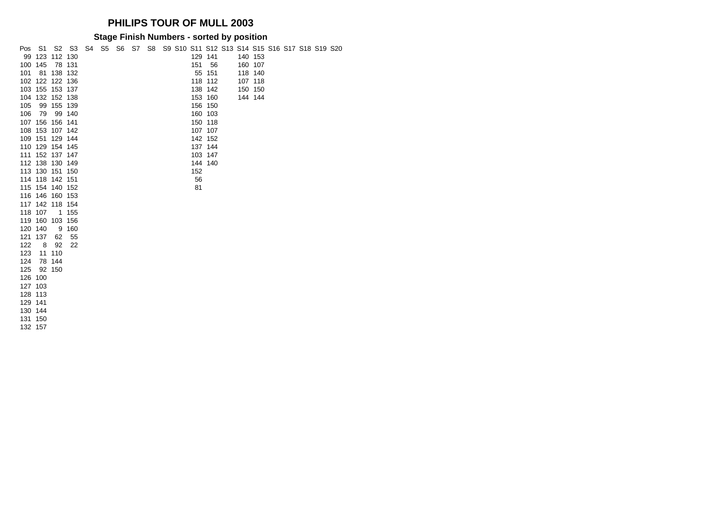#### **Stage Finish Numbers - sorted by position**

| Pos | - S1            |              | S <sub>2</sub> S <sub>3</sub> |  |  |  | S4 S5 S6 S7 S8 S9 S10 S11 S12 S13 S14 S15 S16 S17 S18 S19 S20 |         |  |         |  |  |  |
|-----|-----------------|--------------|-------------------------------|--|--|--|---------------------------------------------------------------|---------|--|---------|--|--|--|
|     | 99 123          | 112 130      |                               |  |  |  |                                                               | 129 141 |  | 140 153 |  |  |  |
|     | 100 145         |              | 78 131                        |  |  |  | 151                                                           | 56      |  | 160 107 |  |  |  |
| 101 | 81              |              | 138 132                       |  |  |  |                                                               | 55 151  |  | 118 140 |  |  |  |
|     | 102 122 122 136 |              |                               |  |  |  |                                                               | 118 112 |  | 107 118 |  |  |  |
|     | 103 155 153 137 |              |                               |  |  |  |                                                               | 138 142 |  | 150 150 |  |  |  |
|     | 104 132 152 138 |              |                               |  |  |  |                                                               | 153 160 |  | 144 144 |  |  |  |
| 105 | 99              | 155 139      |                               |  |  |  |                                                               | 156 150 |  |         |  |  |  |
| 106 | 79              |              | 99 140                        |  |  |  |                                                               | 160 103 |  |         |  |  |  |
|     | 107 156         | 156 141      |                               |  |  |  |                                                               | 150 118 |  |         |  |  |  |
|     | 108 153 107 142 |              |                               |  |  |  |                                                               | 107 107 |  |         |  |  |  |
|     | 109 151 129 144 |              |                               |  |  |  |                                                               | 142 152 |  |         |  |  |  |
|     | 110 129 154 145 |              |                               |  |  |  |                                                               | 137 144 |  |         |  |  |  |
|     | 111 152 137 147 |              |                               |  |  |  |                                                               | 103 147 |  |         |  |  |  |
|     | 112 138 130 149 |              |                               |  |  |  |                                                               | 144 140 |  |         |  |  |  |
|     | 113 130 151 150 |              |                               |  |  |  | 152                                                           |         |  |         |  |  |  |
|     | 114 118 142 151 |              |                               |  |  |  | 56                                                            |         |  |         |  |  |  |
|     | 115 154 140 152 |              |                               |  |  |  | 81                                                            |         |  |         |  |  |  |
|     | 116 146 160 153 |              |                               |  |  |  |                                                               |         |  |         |  |  |  |
|     | 117 142 118 154 |              |                               |  |  |  |                                                               |         |  |         |  |  |  |
|     | 118 107         | $\mathbf{1}$ | 155                           |  |  |  |                                                               |         |  |         |  |  |  |
|     | 119 160         | 103 156      |                               |  |  |  |                                                               |         |  |         |  |  |  |
|     | 120 140         | 9            | 160                           |  |  |  |                                                               |         |  |         |  |  |  |
| 121 | 137             | 62           | 55                            |  |  |  |                                                               |         |  |         |  |  |  |
| 122 | 8               | 92           | 22                            |  |  |  |                                                               |         |  |         |  |  |  |
| 123 |                 | 11 110       |                               |  |  |  |                                                               |         |  |         |  |  |  |
| 124 |                 | 78 144       |                               |  |  |  |                                                               |         |  |         |  |  |  |
| 125 |                 | 92 150       |                               |  |  |  |                                                               |         |  |         |  |  |  |
|     | 126 100         |              |                               |  |  |  |                                                               |         |  |         |  |  |  |
|     | 127 103         |              |                               |  |  |  |                                                               |         |  |         |  |  |  |
|     | 128 113         |              |                               |  |  |  |                                                               |         |  |         |  |  |  |
|     | 129 141         |              |                               |  |  |  |                                                               |         |  |         |  |  |  |
|     | 130 144         |              |                               |  |  |  |                                                               |         |  |         |  |  |  |
|     | 131 150         |              |                               |  |  |  |                                                               |         |  |         |  |  |  |

157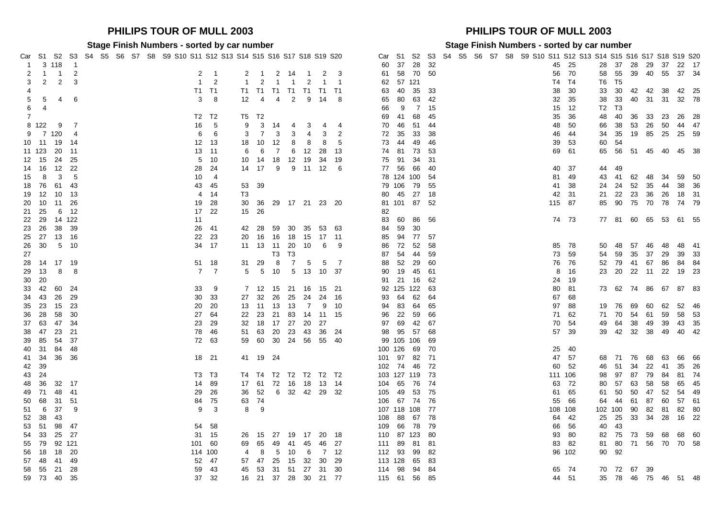#### Car S1 S2 S3 S4 S5 S6 S7 S8 S9 S10 S11 S12 S13 S14 S15 S16 S17 S18 S19 S20 Car S1 S2 3 118 1 60 37 28 32 45 25 28 37 28 29 37 22 17 1 1 2 2 1 2 1 2 14 1 2 3 61 58 70 50 56 70 58 55 39 40 55 37 34 2 2 3 1 2 1 2 1 1 2 1 1 62 57 121 T4 T4 T6 T5 4 T1 T1 T1 T1 T1 T1 T1 T1 T1 T1 T1 S3 40 35<br> $\frac{1}{5}$  5 4 6 30 63 35 38 42 4 4 2 9 14 8 65 80 63 5 4 6 3 8 12 4 4 2 9 14 8 65 80 63 42 32 35 38 33 40 31 31 32 78 6 4 5 66 9 7 15 12 13 13 14 15 16 17 18 17 18 18 19 11 11 12 13 14 15 17 18 17 18 17 18 17 18 17 18 17 18 17 1 T2 T2 T5 T2 69 41 68 45 35 36 48 40 36 33 23 26 28 122 9 7 16 5 9 3 14 4 3 4 4 70 46 51 44 48 50 66 38 53 26 50 44 47 7 120 4 6 6 3 7 3 3 4 3 2 72 35 33 38 46 44 34 35 19 85 25 25 59 11 19 14 12 13 18 10 12 8 8 8 5 73 44 49 46 39 53 60 54 123 20 11 13 11 6 6 7 6 12 28 13 74 81 73 53 69 61 65 56 51 45 40 45 38 15 24 25 5 10 10 14 18 12 19 34 19 75 91 34 31 16 12 22 28 24 14 17 9 9 11 12 6 77 56 66 40 40 37 44 49 8 3 5 10 4 78 124 100 54 81 49 43 41 62 48 34 59 50 76 61 43 43 45 53 39 79 106 79 55 41 38 24 24 52 35 44 38 36 12 10 13 4 14 T3 80 45 27 18 42 31 21 22 23 36 26 18 31 10 11 26 19 28 30 36 29 17 21 23 20 81 101 87 52 115 87 85 90 75 70 78 74 79 25 6 12 17 22 15 26 82 29 14 122 11 83 60 86 56 74 73 77 81 60 65 53 61 55 26 38 39 26 41 42 28 59 30 35 53 63 84 59 30 27 13 16 22 23 20 16 16 18 15 17 11 85 94 77 57 30 5 10 34 17 11 13 11 20 10 6 9 86 72 52 58 85 78 50 48 57 46 48 48 41 T3 T3 87 54 44 59 73 59 54 59 35 37 29 39 33 14 17 19 51 18 31 29 8 7 5 5 7 88 52 29 60 76 76 52 79 41 67 86 84 84 13 8 8 7 7 5 5 10 5 13 10 37 90 19 45 61 8 16 23 20 22 11 22 19 23 20 91 21 16 62 24 19 42 60 24 33 9 7 12 15 21 16 15 21 92 125 122 63 80 81 73 62 74 86 67 87 83 43 26 29 30 33 27 32 26 25 24 24 16 93 64 62 64 67 68 23 15 23 20 20 13 11 13 13 7 9 10 94 83 64 65 97 88 19 76 69 60 62 52 46 28 58 30 27 64 22 23 21 83 14 11 15 96 22 59 66 71 62 71 70 54 61 59 58 53 63 47 34 23 29 32 18 17 27 20 27 97 69 42 67 70 54 49 64 38 49 39 43 35 47 23 21 78 46 51 63 20 23 43 36 24 98 95 57 68 57 39 39 42 32 38 49 40 42 85 54 37 72 63 59 60 30 24 56 55 40 99 105 106 69 31 84 48 100 126 69 70 25 40 41 34 36 36 18 21 41 19 24 101 97 82 71 47 57 68 71 76 68 63 66 66 39 102 74 46 72 60 52 46 51 34 22 41 35 26 24 T3 T3 T4 T4 T2 T2 T2 T2 T2 103 127 119 73 111 106 98 97 87 79 84 81 74 36 32 17 14 89 17 61 72 16 18 13 14 104 65 76 74 63 72 80 57 63 58 58 65 45 71 48 41 29 26 36 52 6 32 42 29 32 105 49 53 75 61 65 61 50 50 47 52 54 49 68 31 51 84 75 63 74 106 67 74 76 55 66 64 44 61 87 60 57 61 6 37 9 9 3 8 9 107 118 108 77 108 108 102 100 90 82 81 82 80 38 43 108 88 67 78 64 42 25 25 33 34 28 16 22 51 98 47 54 58 109 66 78 79 66 56 40 43 33 25 27 31 15 26 15 27 19 17 20 18 110 87 123 80 93 80 82 75 73 59 68 68 60 79 92 121 101 60 69 65 49 41 45 46 27 111 89 81 81 83 82 81 80 71 56 70 70 58 18 18 20 114 100 4 8 5 10 6 7 12 112 93 99 82 96 102 90 92 48 41 49 52 47 57 47 25 15 32 30 29 113 128 65 83 55 21 28 59 43 45 53 31 51 27 31 30 114 98 94 84 65 74 70 72 67 39

#### **PHILIPS TOUR OF MULL 2003 PHILIPS TOUR OF MULL 2003**

#### **Stage Finish Numbers - sorted by car number Stage Finish Numbers - sorted by car number**

|                |                | 3 118          | $\overline{1}$ |  |  |  | ar S1 S2 S3 S4 S5 S6 S7 S8 S9 S10 S11 S12 S13 S14 S15 S16 S17 S18 S19 S20 |             |                |                            |                |                |                       |                |                      |                |      | 60 37 28 32   |      |  |  | Car S1 S2 S3 S4 S5 S6 S7 S8 S9 S10 S11 S12 S13 S14 S15 S16 S17 S18 S19 S20 |         | 45 25  | 28 |       |               |       |                |      | 37  28  29  37  22  17     |  |
|----------------|----------------|----------------|----------------|--|--|--|---------------------------------------------------------------------------|-------------|----------------|----------------------------|----------------|----------------|-----------------------|----------------|----------------------|----------------|------|---------------|------|--|--|----------------------------------------------------------------------------|---------|--------|----|-------|---------------|-------|----------------|------|----------------------------|--|
| 2              | $\overline{1}$ | $\overline{1}$ | $\overline{2}$ |  |  |  |                                                                           | $2 \quad 1$ |                |                            |                |                |                       |                | 2 1 2 14 1 2 3       |                |      | 61 58 70 50   |      |  |  |                                                                            |         | 56 70  | 58 |       |               |       | 55 39 40 55    |      | 37 34                      |  |
| 3              | $\overline{2}$ | $\overline{2}$ | $\mathbf{3}$   |  |  |  |                                                                           | $1\quad 2$  | $\overline{1}$ | $\overline{\phantom{0}}^2$ |                |                | 1 1 2 1 1             |                |                      |                |      | 62 57 121     |      |  |  |                                                                            |         | T4 T4  |    | T6 T5 |               |       |                |      |                            |  |
| 4              |                |                |                |  |  |  | T1 T1                                                                     |             |                |                            |                |                | T1 T1 T1 T1 T1 T1 T1  |                |                      | 63             |      | 40 35 33      |      |  |  |                                                                            |         | 38 30  | 33 |       |               |       |                |      | 30 42 42 38 42 25          |  |
| $5\quad 5$     |                | 4              | - 6            |  |  |  |                                                                           | $3 \quad 8$ |                |                            |                |                | 12  4  4  2  9  14  8 |                |                      | 65             |      | 80 63 42      |      |  |  |                                                                            |         | 32 35  | 38 |       |               |       |                |      | 33 40 31 31 32 78          |  |
| 6 4            |                |                |                |  |  |  |                                                                           |             |                |                            |                |                |                       |                |                      | 66             | - 9  |               | 7 15 |  |  |                                                                            |         | 15 12  |    | T2 T3 |               |       |                |      |                            |  |
| $\overline{7}$ |                |                |                |  |  |  | T2 T2                                                                     |             | T5 T2          |                            |                |                |                       |                |                      | 69             | - 41 | 68            | - 45 |  |  |                                                                            |         | 35 36  |    |       |               |       | 48 40 36 33 23 |      | 26 28                      |  |
| 8 122          |                | - 9            | $\overline{7}$ |  |  |  |                                                                           | 16 5        | 9              | $\mathbf{3}$               | 14             | $\overline{4}$ | $\mathbf{3}$          | $\overline{4}$ | - 4                  | 70             |      | 46 51 44      |      |  |  |                                                                            |         | 48 50  | 66 |       |               |       |                |      | 38 53 26 50 44 47          |  |
|                | 9 7 1 20       |                | -4             |  |  |  | 6                                                                         | 6           |                | $3 \overline{7}$           | $\mathbf{3}$   | $\mathbf{3}$   | 4                     | 3              | $\overline{2}$       |                |      | 72 35 33 38   |      |  |  |                                                                            |         | 46 44  |    |       |               |       |                |      | 34 35 19 85 25 25 59       |  |
| 10 11          |                | 19             | - 14           |  |  |  | 12 13                                                                     |             |                | 18 10                      | -12            | 8              | 8                     | 8              | - 5                  |                |      | 73 44 49 46   |      |  |  |                                                                            |         | 39 53  |    | 60 54 |               |       |                |      |                            |  |
|                | 11 123 20      |                | 11             |  |  |  | 13 11                                                                     |             | 6              | $6\overline{6}$            | $\overline{7}$ |                | 6 12 28 13            |                |                      |                |      | 74 81 73 53   |      |  |  |                                                                            |         | 69 61  |    |       |               |       |                |      | 65 56 51 45 40 45 38       |  |
|                | 12 15 24       |                | -25            |  |  |  |                                                                           | 5 10        |                |                            |                |                |                       |                | 10 14 18 12 19 34 19 |                |      | 75 91 34 31   |      |  |  |                                                                            |         |        |    |       |               |       |                |      |                            |  |
| 14 16          |                | - 12           | -22            |  |  |  |                                                                           | 28 24       |                | 14 17                      |                |                | 9 9 11 12 6           |                |                      |                |      | 77 56 66 40   |      |  |  |                                                                            |         | 40 37  | 44 | 49    |               |       |                |      |                            |  |
| 15 8           |                | 3              | -5             |  |  |  | $10 \quad 4$                                                              |             |                |                            |                |                |                       |                |                      |                |      | 78 124 100 54 |      |  |  |                                                                            |         | 81 49  | 43 |       | 41 62         |       | - 48           | 34   | 59 50                      |  |
|                | 18 76          | 61 43          |                |  |  |  |                                                                           | 43 45       | 53 39          |                            |                |                |                       |                |                      |                |      | 79 106 79 55  |      |  |  |                                                                            |         | 41 38  | 24 |       |               |       |                |      | 24 52 35 44 38 36          |  |
|                |                |                | -13            |  |  |  |                                                                           | 4 14        | T3             |                            |                |                |                       |                |                      |                |      | 80 45 27 18   |      |  |  |                                                                            |         | 42 31  | 21 |       |               |       |                |      | 22 23 36 26 18 31          |  |
|                |                |                | -26            |  |  |  |                                                                           | 19 28       |                |                            |                |                |                       |                | 30 36 29 17 21 23 20 |                |      | 81 101 87 52  |      |  |  |                                                                            | 115 87  |        | 85 |       |               |       |                |      | 90 75 70 78 74 79          |  |
| 21 25          |                | 6              | 12             |  |  |  |                                                                           | 17 22       | 15 26          |                            |                |                |                       |                |                      | 82             |      |               |      |  |  |                                                                            |         |        |    |       |               |       |                |      |                            |  |
|                |                | 22 29 14 122   |                |  |  |  | 11                                                                        |             |                |                            |                |                |                       |                |                      |                |      | 83 60 86 56   |      |  |  |                                                                            |         | 74 73  |    |       |               |       |                |      | 77 81 60 65 53 61 55       |  |
|                | 23 26 38       |                | 39             |  |  |  |                                                                           | 26 41       |                | 42 28                      |                |                | 59 30 35 53 63        |                |                      |                |      | 84 59 30      |      |  |  |                                                                            |         |        |    |       |               |       |                |      |                            |  |
|                |                |                |                |  |  |  |                                                                           | 22 23       |                |                            |                |                | 20 16 16 18 15 17 11  |                |                      |                |      | 85 94 77 57   |      |  |  |                                                                            |         |        |    |       |               |       |                |      |                            |  |
| 26 30          |                | 5 10           |                |  |  |  |                                                                           | 34 17       |                |                            |                |                | 11  13  11  20  10    | 6              | - 9                  |                |      | 86 72 52 58   |      |  |  |                                                                            |         | 85 78  | 50 |       | 48 57 46      |       |                | - 48 | 48 41                      |  |
| 27             |                |                |                |  |  |  |                                                                           |             |                |                            |                | T3 T3          |                       |                |                      |                |      | 87 54 44 59   |      |  |  |                                                                            |         | 73 59  | 54 |       |               |       | 59 35 37 29    |      | 39 33                      |  |
|                |                | 28 14 17 19    |                |  |  |  |                                                                           | 51 18       | 31 29          |                            | 8              |                | 7 5                   | $5^{\circ}$    | $\overline{7}$       | 88             |      | 52 29 60      |      |  |  |                                                                            |         | 76 76  |    |       |               |       | 52 79 41 67 86 |      | 84 84                      |  |
| 29 13          |                | 8              | -8             |  |  |  |                                                                           | 7 7         |                | 5 5 10                     |                |                | 5 13                  | 10 37          |                      | 90             |      |               |      |  |  |                                                                            |         | 8 16   |    |       |               |       | 23 20 22 11 22 |      | 19 23                      |  |
| 30 20          |                |                |                |  |  |  |                                                                           |             |                |                            |                |                |                       |                |                      |                |      | 91 21 16      | - 62 |  |  |                                                                            |         | 24 19  |    |       |               |       |                |      |                            |  |
|                |                |                |                |  |  |  |                                                                           | 33 9        |                |                            |                |                | 7 12 15 21 16         | 15 21          |                      |                |      | 92 125 122 63 |      |  |  |                                                                            |         | 80 81  |    |       |               |       |                |      | 73 62 74 86 67 87 83       |  |
| 34 43          |                | - 26           | 29             |  |  |  |                                                                           | 30 33       |                | 27 32                      | 26             |                | 25 24                 |                | 24 16                |                |      | 93 64 62 64   |      |  |  |                                                                            |         | 67 68  |    |       |               |       |                |      |                            |  |
| 35 23          |                | - 15           | -23            |  |  |  |                                                                           | 20 20       |                | 13 11 13                   |                | 13             | $\overline{7}$        |                | 9 10                 |                |      | 94 83 64 65   |      |  |  |                                                                            |         | 97 88  | 19 |       | 76 69         |       | 60             | 62   | 52 46                      |  |
| 36 28          |                | 58             | 30             |  |  |  | 27 64                                                                     |             |                | 22 23 21                   |                | 83             | 14 11 15              |                |                      |                |      | 96 22 59 66   |      |  |  |                                                                            |         | 71 62  |    |       | 71 70 54 61   |       |                | 59   | 58 53                      |  |
|                | 37 63 47       |                | 34             |  |  |  |                                                                           | 23 29       |                |                            |                |                | 32 18 17 27 20        | - 27           |                      |                |      | 97 69 42 67   |      |  |  |                                                                            |         | 70 54  | 49 |       | 64 38 49      |       |                | - 39 | 43 35                      |  |
|                | 38 47 23       |                | 21             |  |  |  |                                                                           | 78 46       |                | 51 63 20 23                |                |                | - 43                  |                | 36 24                |                |      | 98 95 57 68   |      |  |  |                                                                            |         | 57 39  |    |       |               |       |                |      | 39  42  32  38  49  40  42 |  |
|                | 39 85 54       |                | 37             |  |  |  | 72 63                                                                     |             |                |                            |                |                | 59 60 30 24 56        | 55 40          |                      |                |      | 99 105 106    | - 69 |  |  |                                                                            |         |        |    |       |               |       |                |      |                            |  |
|                | 40 31 84       |                | -48            |  |  |  |                                                                           |             |                |                            |                |                |                       |                |                      | 100 126 69 70  |      |               |      |  |  |                                                                            |         | 25 40  |    |       |               |       |                |      |                            |  |
|                |                | 41 34 36 36    |                |  |  |  | 18 21                                                                     |             |                | 41 19 24                   |                |                |                       |                |                      | 101 97 82 71   |      |               |      |  |  |                                                                            |         | 47 57  | 68 |       | 71 76         |       | - 68           | 63   | 66 66                      |  |
| 42 39          |                |                |                |  |  |  |                                                                           |             |                |                            |                |                |                       |                |                      | 102 74 46 72   |      |               |      |  |  |                                                                            |         | 60 52  | 46 |       | 51            | 34 22 |                | -41  | 35 26                      |  |
| 43 24          |                |                |                |  |  |  | T3 T3                                                                     |             |                |                            |                |                |                       |                | T4 T4 T2 T2 T2 T2 T2 | 103 127 119 73 |      |               |      |  |  |                                                                            | 111 106 |        | 98 |       | 97 87 79      |       |                | 84   | 81 74                      |  |
|                |                | 48 36 32 17    |                |  |  |  | 14 89                                                                     |             |                |                            |                |                | 17 61 72 16 18 13 14  |                |                      | 104 65 76 74   |      |               |      |  |  |                                                                            |         | 63 72  | 80 |       | 57 63 58      |       |                | 58   | 65 45                      |  |
| 49 71          |                | 48             | 41             |  |  |  |                                                                           | 29 26       |                |                            |                |                |                       |                | 36 52 6 32 42 29 32  | 105 49 53 75   |      |               |      |  |  |                                                                            |         | 61 65  | 61 | 50    |               | 50 47 |                | 52   | 54 49                      |  |
| 50 68          |                | - 31           | -51            |  |  |  |                                                                           | 84 75       | 63 74          |                            |                |                |                       |                |                      | 106 67 74 76   |      |               |      |  |  |                                                                            |         | 55 66  | 64 | 44    |               | 61 87 |                | 60   | 57 61                      |  |
|                | 51 6 37        |                | -9             |  |  |  |                                                                           | $9 \quad 3$ |                | 8 9                        |                |                |                       |                |                      | 107 118 108 77 |      |               |      |  |  |                                                                            | 108 108 |        |    |       | 102 100 90 82 |       |                | - 81 | 82 80                      |  |
| 52 38          |                | - 43           |                |  |  |  |                                                                           |             |                |                            |                |                |                       |                |                      | 108            |      | 88 67 78      |      |  |  |                                                                            |         | 64 42  |    |       |               |       | 25 25 33 34    |      | 28 16 22                   |  |
| 53 51          |                | 98             | - 47           |  |  |  |                                                                           | 54 58       |                |                            |                |                |                       |                |                      | 109            |      | 66 78 79      |      |  |  |                                                                            |         | 66 56  | 40 | - 43  |               |       |                |      |                            |  |
| 54 33          |                | 25 27          |                |  |  |  | 31 15                                                                     |             |                |                            |                |                | 26 15 27 19 17 20 18  |                |                      | 110 87 123 80  |      |               |      |  |  |                                                                            |         | 93 80  |    |       |               |       |                |      | 82 75 73 59 68 68 60       |  |
|                |                | 55 79 92 121   |                |  |  |  | 101 60                                                                    |             |                | 69 65 49 41 45             |                |                |                       |                | 46 27                | 111 89 81 81   |      |               |      |  |  |                                                                            |         | 83 82  | 81 |       |               |       |                |      | 80 71 56 70 70 58          |  |
|                | 56 18 18       |                | -20            |  |  |  | 114 100                                                                   |             |                | 4 8                        | 5 10           |                | - 6                   |                | 7 12                 | 112 93 99 82   |      |               |      |  |  |                                                                            |         | 96 102 |    | 90 92 |               |       |                |      |                            |  |
|                |                |                | 49             |  |  |  | 52 47                                                                     |             |                | 57 47 25                   |                |                | 15 32                 |                | 30 29                | 113 128 65 83  |      |               |      |  |  |                                                                            |         |        |    |       |               |       |                |      |                            |  |
|                | 58 55 21       |                | 28             |  |  |  |                                                                           | 59 43       |                |                            |                |                |                       |                | 45 53 31 51 27 31 30 | 114 98 94 84   |      |               |      |  |  |                                                                            |         | 65 74  |    |       | 70 72 67 39   |       |                |      |                            |  |
|                |                | 59 73 40 35    |                |  |  |  |                                                                           | 37 32       |                |                            |                |                |                       |                | 16 21 37 28 30 21 77 | 115 61 56 85   |      |               |      |  |  |                                                                            |         | 44 51  |    |       |               |       |                |      | 35 78 46 75 46 51 48       |  |
|                |                |                |                |  |  |  |                                                                           |             |                |                            |                |                |                       |                |                      |                |      |               |      |  |  |                                                                            |         |        |    |       |               |       |                |      |                            |  |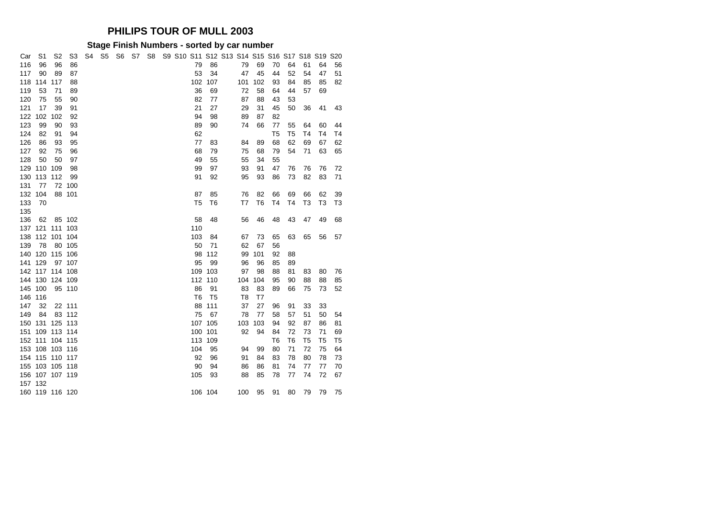### **Stage Finish Numbers - sorted by car number**

| Car | S1              | S <sub>2</sub> | S3     | S4 | S <sub>5</sub> | S6 | S7 | S8 | S9 S10 S11 S12 S13 S14 S15 S16 S17 S18 S19 |                |                |     |                |                |                |                |    |                | <b>S20</b>     |  |
|-----|-----------------|----------------|--------|----|----------------|----|----|----|--------------------------------------------|----------------|----------------|-----|----------------|----------------|----------------|----------------|----|----------------|----------------|--|
| 116 | 96              | 96             | 86     |    |                |    |    |    |                                            | 79             | 86             |     | 79             | 69             | 70             | 64             | 61 | 64             | 56             |  |
| 117 | 90              | 89             | 87     |    |                |    |    |    |                                            | 53             | 34             |     | 47             | 45             | 44             | 52             | 54 | 47             | 51             |  |
| 118 | 114             | 117            | 88     |    |                |    |    |    |                                            | 102            | 107            | 101 |                | 102            | 93             | 84             | 85 | 85             | 82             |  |
| 119 | 53              | 71             | 89     |    |                |    |    |    |                                            | 36             | 69             |     | 72             | 58             | 64             | 44             | 57 | 69             |                |  |
| 120 | 75              | 55             | 90     |    |                |    |    |    |                                            | 82             | 77             |     | 87             | 88             | 43             | 53             |    |                |                |  |
| 121 | 17              | 39             | 91     |    |                |    |    |    |                                            | 21             | 27             |     | 29             | 31             | 45             | 50             | 36 | 41             | 43             |  |
| 122 | 102             | 102            | 92     |    |                |    |    |    |                                            | 94             | 98             |     | 89             | 87             | 82             |                |    |                |                |  |
| 123 | 99              | 90             | 93     |    |                |    |    |    |                                            | 89             | 90             |     | 74             | 66             | 77             | 55             | 64 | 60             | 44             |  |
| 124 | 82              | 91             | 94     |    |                |    |    |    |                                            | 62             |                |     |                |                | T <sub>5</sub> | T5             | T4 | T4             | T4             |  |
| 126 | 86              | 93             | 95     |    |                |    |    |    |                                            | 77             | 83             |     | 84             | 89             | 68             | 62             | 69 | 67             | 62             |  |
| 127 | 92              | 75             | 96     |    |                |    |    |    |                                            | 68             | 79             |     | 75             | 68             | 79             | 54             | 71 | 63             | 65             |  |
| 128 | 50              | 50             | 97     |    |                |    |    |    |                                            | 49             | 55             |     | 55             | 34             | 55             |                |    |                |                |  |
| 129 | 110 109         |                | 98     |    |                |    |    |    |                                            | 99             | 97             |     | 93             | 91             | 47             | 76             | 76 | 76             | 72             |  |
| 130 | 113             | 112            | 99     |    |                |    |    |    |                                            | 91             | 92             |     | 95             | 93             | 86             | 73             | 82 | 83             | 71             |  |
| 131 | 77              | 72             | 100    |    |                |    |    |    |                                            |                |                |     |                |                |                |                |    |                |                |  |
| 132 | 104             |                | 88 101 |    |                |    |    |    |                                            | 87             | 85             |     | 76             | 82             | 66             | 69             | 66 | 62             | 39             |  |
| 133 | 70              |                |        |    |                |    |    |    |                                            | T <sub>5</sub> | T6             |     | T7             | T <sub>6</sub> | T4             | T <sub>4</sub> | T3 | T <sub>3</sub> | T <sub>3</sub> |  |
| 135 |                 |                |        |    |                |    |    |    |                                            |                |                |     |                |                |                |                |    |                |                |  |
| 136 | 62              |                | 85 102 |    |                |    |    |    |                                            | 58             | 48             |     | 56             | 46             | 48             | 43             | 47 | 49             | 68             |  |
| 137 | 121             | 111            | 103    |    |                |    |    |    |                                            | 110            |                |     |                |                |                |                |    |                |                |  |
| 138 | 112             | 101            | 104    |    |                |    |    |    |                                            | 103            | 84             |     | 67             | 73             | 65             | 63             | 65 | 56             | 57             |  |
| 139 | 78              | 80             | 105    |    |                |    |    |    |                                            | 50             | 71             |     | 62             | 67             | 56             |                |    |                |                |  |
| 140 | 120             | 115            | 106    |    |                |    |    |    |                                            | 98             | 112            |     | 99             | 101            | 92             | 88             |    |                |                |  |
| 141 | 129             | 97             | 107    |    |                |    |    |    |                                            | 95             | 99             |     | 96             | 96             | 85             | 89             |    |                |                |  |
|     | 142 117 114 108 |                |        |    |                |    |    |    |                                            | 109            | 103            |     | 97             | 98             | 88             | 81             | 83 | 80             | 76             |  |
| 144 | 130 124 109     |                |        |    |                |    |    |    |                                            | 112            | 110            | 104 |                | 104            | 95             | 90             | 88 | 88             | 85             |  |
| 145 | 100             |                | 95 110 |    |                |    |    |    |                                            | 86             | 91             |     | 83             | 83             | 89             | 66             | 75 | 73             | 52             |  |
| 146 | 116             |                |        |    |                |    |    |    |                                            | T <sub>6</sub> | T <sub>5</sub> |     | T <sub>8</sub> | T7             |                |                |    |                |                |  |
| 147 | 32              |                | 22 111 |    |                |    |    |    |                                            | 88             | 111            |     | 37             | 27             | 96             | 91             | 33 | 33             |                |  |
| 149 | 84              |                | 83 112 |    |                |    |    |    |                                            | 75             | 67             |     | 78             | 77             | 58             | 57             | 51 | 50             | 54             |  |
| 150 | 131             | 125 113        |        |    |                |    |    |    |                                            | 107            | 105            | 103 |                | 103            | 94             | 92             | 87 | 86             | 81             |  |
| 151 |                 | 109 113 114    |        |    |                |    |    |    |                                            | 100            | 101            |     | 92             | 94             | 84             | 72             | 73 | 71             | 69             |  |
|     | 152 111 104 115 |                |        |    |                |    |    |    |                                            | 113            | 109            |     |                |                | T <sub>6</sub> | T <sub>6</sub> | T5 | T <sub>5</sub> | T <sub>5</sub> |  |
|     | 153 108 103 116 |                |        |    |                |    |    |    |                                            | 104            | 95             |     | 94             | 99             | 80             | 71             | 72 | 75             | 64             |  |
| 154 | 115 110 117     |                |        |    |                |    |    |    |                                            | 92             | 96             |     | 91             | 84             | 83             | 78             | 80 | 78             | 73             |  |
|     | 155 103 105 118 |                |        |    |                |    |    |    |                                            | 90             | 94             |     | 86             | 86             | 81             | 74             | 77 | 77             | 70             |  |
|     | 156 107 107 119 |                |        |    |                |    |    |    |                                            | 105            | 93             |     | 88             | 85             | 78             | 77             | 74 | 72             | 67             |  |
|     | 157 132         |                |        |    |                |    |    |    |                                            |                |                |     |                |                |                |                |    |                |                |  |
|     | 160 119 116 120 |                |        |    |                |    |    |    |                                            |                | 106 104        | 100 |                | 95             | 91             | 80             | 79 | 79             | 75             |  |
|     |                 |                |        |    |                |    |    |    |                                            |                |                |     |                |                |                |                |    |                |                |  |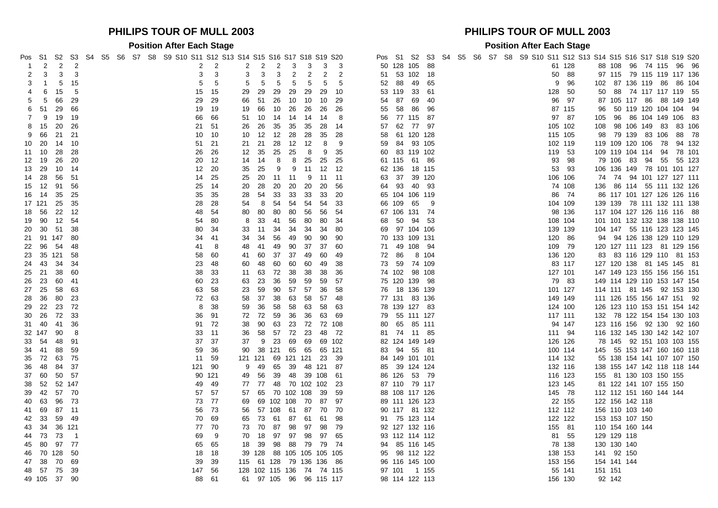### **PHILIPS TOUR OF MULL 2003 PHILIPS TOUR OF MULL 2003**

**Position After Each Stage Position After Each Stage**

| ⊃os    | -S1       | S2             | S3                         |  |  | S4 S5 S6 S7 S8 S9 S10 S11 S12 S13 S14 S15 S16 S17 S18 S19 S20 |     |                |                |         |                           |                    |       |               |        |    | Pos S1 | - S2           |        |  |  | S3 S4 S5 S6 S7 S8 S9 S10 S11 S12 S13 S14 S15 S16 S17 S18 S19 S20 |         |     |             |                             |                   |    |        |
|--------|-----------|----------------|----------------------------|--|--|---------------------------------------------------------------|-----|----------------|----------------|---------|---------------------------|--------------------|-------|---------------|--------|----|--------|----------------|--------|--|--|------------------------------------------------------------------|---------|-----|-------------|-----------------------------|-------------------|----|--------|
|        | 2         | $\overline{2}$ | 2                          |  |  |                                                               | 2   | $\overline{2}$ | $\overline{2}$ | 2       | 2                         | 3                  | 3     | 3             | 3      |    |        | 50 128 105     | 88     |  |  |                                                                  | 61 128  |     |             | 88 108 96 74 115 96 96      |                   |    |        |
|        |           |                |                            |  |  |                                                               | 3   |                |                |         |                           |                    |       |               |        |    |        |                |        |  |  |                                                                  |         |     |             |                             |                   |    |        |
| 2      | 3         | 3              | 3                          |  |  |                                                               |     | 3              | 3              | 3       | 3                         | $\overline{2}$     | 2     | 2             | 2      | 51 |        | 53 102 18      |        |  |  | 50                                                               | 88      |     |             | 97 115 79 115 119 117 136   |                   |    |        |
| 3      | -1        | 5              | 15                         |  |  |                                                               | 5   | 5              | 5              | 5       | 5                         | 5                  | 5     | 5             | - 5    | 52 | 88     | 49             | 65     |  |  | 9                                                                | 96      |     |             | 102 87 136 119 86 86 104    |                   |    |        |
|        | 6         | 15             | 5                          |  |  |                                                               | 15  | -15            | 29             | 29      | 29                        | 29                 | 29    | 29            | -10    |    | 53 119 | 33             | -61    |  |  | 128                                                              | -50     | 50  | 88          |                             | 74 117 117 119 55 |    |        |
| 5      | 5         | 66             | 29                         |  |  |                                                               | 29  | 29             | 66             | 51      | 26                        | 10                 | 10    | 10            | -29    | 54 | 87     | 69             | -40    |  |  | 96                                                               | - 97    |     |             | 87 105 117 86 88 149 149    |                   |    |        |
| 6      | -51       | 29             | 66                         |  |  |                                                               | 19  | 19             | 19             | 66      | 10                        | 26                 | 26    | 26            | -26    | 55 | 58     | 86             | 96     |  |  |                                                                  | 87 115  | 96  |             | 50 119 120 104 104 94       |                   |    |        |
| 7      | 9         | 19             | 19                         |  |  |                                                               | 66  | 66             |                | 51 10   | 14                        |                    | 14 14 | -14           | -8     | 56 |        | 77 115 87      |        |  |  |                                                                  | 97 87   | 105 |             | 96 86 104 149 106 83        |                   |    |        |
| 8      | 15        | 20             | 26                         |  |  |                                                               | 21  | 51             | 26             | 26      | 35                        | 35                 | 35    | 28            | -14    | 57 | 62     | 77 97          |        |  |  |                                                                  | 105 102 | 108 |             | 98 106 149 83               |                   |    | 83 106 |
| 9      | 66        | 21             | 21                         |  |  |                                                               | 10  | 10             | 10             | 12      | 12                        | 28                 | 28    | 35            | -28    | 58 |        | 61 120 128     |        |  |  |                                                                  | 115 105 | 98  |             | 79 139 83 106               |                   |    | 88 78  |
| 10     | 20        | 14             | 10                         |  |  |                                                               | 51  | 21             | 21             | 21      | 28                        | 12                 | 12    | 8             | 9      | 59 | 84     | 93 105         |        |  |  |                                                                  | 102 119 | 119 |             | 109 120 106                 |                   | 78 | 94 132 |
| 11 10  |           | 28             | 28                         |  |  |                                                               | 26  | 26             | 12             | 35      | 25                        | 25                 | 8     | 9             | -35    | 60 |        | 83 119 102     |        |  |  |                                                                  | 119 53  |     |             | 109 119 104 114 94          |                   |    | 78 101 |
| 12 19  |           | 26             | 20                         |  |  |                                                               | 20  | 12             | 14             | 14      | 8                         | 8                  | 25    | 25            | -25    |    | 61 115 |                | 61 86  |  |  | 93                                                               | -98     | 79  | 106         |                             | 83 94             | 55 | 55 123 |
| 13 29  |           | 10             | - 14                       |  |  |                                                               | 12  | 20             | 35             | 25      | 9                         | 9                  | 11    |               | 12 12  |    | 62 136 |                | 18 115 |  |  | 53                                                               | -93     |     |             | 106 136 149 78 101 101 127  |                   |    |        |
| 14 28  |           | 56             | -51                        |  |  |                                                               | 14  | 25             | 25             | 20      | 11                        | - 11               | 9     |               | 11 11  | 63 | 37     |                | 39 120 |  |  |                                                                  | 106 106 | 74  |             | 74 94 101 127 127 111       |                   |    |        |
| 15 12  |           | 91             | 56                         |  |  |                                                               | 25  | 14             | 20             | 28      | 20                        | 20                 | 20    | 20            | -56    | 64 | 93     |                | 40 93  |  |  |                                                                  | 74 108  |     |             | 136 86 114 55 111 132 126   |                   |    |        |
| 16 14  |           | 35             | 25                         |  |  |                                                               | 35  | 35             | 28             | 54      | 33                        | 33                 | 33    | 33            | -20    |    |        | 65 104 106 119 |        |  |  | 86                                                               | - 74    |     |             | 86 117 101 127 126 126 116  |                   |    |        |
| 17 121 |           | 25             | 35                         |  |  |                                                               | 28  | 28             |                | 8       | 54                        |                    | 54    | 54            | -33    |    | 66 109 | 65             |        |  |  |                                                                  | 104 109 |     |             | 139 139 78 111 132 111 138  |                   |    |        |
|        |           |                |                            |  |  |                                                               |     |                | 54             |         |                           | 54                 |       |               |        |    |        |                | - 9    |  |  |                                                                  |         |     |             |                             |                   |    |        |
| 18 56  |           | 22             | 12                         |  |  |                                                               | 48  | 54             | 80             | 80      | 80                        | 80                 | 56    | 56            | -54    |    |        | 67 106 131 74  |        |  |  |                                                                  | 98 136  |     |             | 117 104 127 126 116 116 88  |                   |    |        |
| 19 90  |           | 12             | 54                         |  |  |                                                               | 54  | 80             | 8              | 33      | 41                        | 56                 | 80    | 80            | -34    | 68 |        | 50 94 53       |        |  |  |                                                                  | 108 104 |     |             | 101 101 132 132 138 138 110 |                   |    |        |
| 20     | 30        | 51             | 38                         |  |  |                                                               | 80  | 34             | 33             | 11      | 34                        | 34                 | 34    | 34            | -80    | 69 |        | 97 104 106     |        |  |  |                                                                  | 139 139 |     |             | 104 147 55 116 123 123 145  |                   |    |        |
|        | 21 91 147 |                | 80                         |  |  |                                                               | 34  | 41             | 34             | 34      | 56                        | 49                 | 90    | 90            | -90    |    |        | 70 133 109 131 |        |  |  | 120                                                              | - 86    | 94  |             | 94 126 138 129 110 129      |                   |    |        |
| 22     | 96        | 54             | 48                         |  |  |                                                               | 41  | 8              | 48             | -41     | 49                        | 90                 | 37    | 37            | 60     | 71 |        | 49 108 94      |        |  |  |                                                                  | 109 79  |     |             | 120 127 111 123 81 129 156  |                   |    |        |
|        | 23 35 121 |                | 58                         |  |  |                                                               | 58  | 60             | 41             | 60      | 37                        | 37                 | 49    | 60            | -49    | 72 | 86     |                | 8 104  |  |  |                                                                  | 136 120 |     |             | 83 83 116 129 110 81 153    |                   |    |        |
| 24     | 43        | 34             | 34                         |  |  |                                                               | 23  | 48             | 60             | 48      | 60                        | 60                 | 60    | 49            | 38     | 73 | 59     |                | 74 109 |  |  |                                                                  | 83 117  |     |             | 127 120 138 81 145 145 81   |                   |    |        |
| 25     | 21        | 38             | 60                         |  |  |                                                               | 38  | 33             | 11             | 63      | 72                        | 38                 | 38    | 38            | -36    |    | 74 102 |                | 98 108 |  |  |                                                                  | 127 101 |     |             | 147 149 123 155 156 156 151 |                   |    |        |
| 26     | -23       | 60             | 41                         |  |  |                                                               | 60  | 23             | 63             | 23      | 36                        | 59                 | 59    | 59            | 57     |    |        | 75 120 139 98  |        |  |  | 79                                                               | - 83    |     |             | 149 114 129 110 153 147 154 |                   |    |        |
| 27 25  |           | 58             | 63                         |  |  |                                                               | 63  | 58             | 23             | 59      | 90                        | 57                 | 57    | 36            | -58    |    |        | 76 18 136 139  |        |  |  |                                                                  | 101 127 |     |             | 114 111 81 145 92 153 130   |                   |    |        |
| 28     | 36        | 80             | 23                         |  |  |                                                               | 72  | 63             | 58             | 37      | 38                        | 63                 | 58    | 57            | -48    |    |        | 77 131 83 136  |        |  |  |                                                                  | 149 149 |     |             | 111 126 155 156 147 151 92  |                   |    |        |
| 29     | 22        | 23             | 72                         |  |  |                                                               | 8   | 38             | 59             | 36      | 58                        | 58                 | 63    | 58            | 63     |    |        | 78 139 127 83  |        |  |  |                                                                  | 124 100 |     |             | 126 123 110 153 151 154 142 |                   |    |        |
| 30     | 26        | 72             | 33                         |  |  |                                                               | 36  | 91             | 72             | 72      | 59                        | 36                 | 36    | 63            | - 69   | 79 |        | 55 111 127     |        |  |  |                                                                  | 117 111 |     |             | 132 78 122 154 154 130 103  |                   |    |        |
| 31 40  |           | 41             | 36                         |  |  |                                                               | 91  | 72             | 38             | 90      | 63                        | 23                 | 72    |               | 72 108 | 80 |        | 65 85 111      |        |  |  |                                                                  | 94 147  |     |             | 123 116 156 92 130 92 160   |                   |    |        |
| 32 147 |           | 90             | 8                          |  |  |                                                               | 33  | 11             | 36             | 58      |                           | 57 72              | 23    |               | 48 72  | 81 |        | 74 11 85       |        |  |  |                                                                  | 111 94  |     |             | 116 132 145 130 142 142 107 |                   |    |        |
| 33 54  |           | 48             | 91                         |  |  |                                                               | 37  | 37             | 37             | 9       | 23                        | 69                 | 69    |               | 69 102 |    |        | 82 124 149 149 |        |  |  |                                                                  | 126 126 |     |             | 78 145 92 151 103 103 155   |                   |    |        |
| 34 41  |           | 88             | 59                         |  |  |                                                               | 59  | 36             | 90             | 38      | 121                       | 65                 | 65    |               | 65 121 | 83 |        | 94 55 81       |        |  |  |                                                                  | 100 114 |     |             | 145 55 153 147 160 160 118  |                   |    |        |
| 35 72  |           | 63             | 75                         |  |  |                                                               | 11  | 59             |                | 121 121 |                           | 69 121 121         |       |               | 23 39  |    |        | 84 149 101 101 |        |  |  |                                                                  | 114 132 |     |             | 55 138 154 141 107 107 150  |                   |    |        |
| 36     | 48        | 84             | 37                         |  |  |                                                               | 121 | 90             | 9              | 49      | 65                        | 39                 |       | 48 121 87     |        |    |        | 85 39 124 124  |        |  |  |                                                                  | 132 116 |     |             | 138 155 147 142 118 118 144 |                   |    |        |
|        |           | 50             | 57                         |  |  |                                                               |     |                |                |         | 39                        |                    |       |               |        |    |        |                |        |  |  |                                                                  |         |     |             | 155 81 130 103 150 155      |                   |    |        |
| 37     | 60        |                |                            |  |  |                                                               | 90  | 121            | 49             | 56      |                           | 48                 |       | 39 108 61     |        |    |        | 86 126 53 79   |        |  |  |                                                                  | 116 123 |     |             |                             |                   |    |        |
| 38     | 52        | 52 147         |                            |  |  |                                                               | 49  | 49             | 77             | 77      | 48                        |                    |       | 70 102 102 23 |        |    |        | 87 110 79 117  |        |  |  |                                                                  | 123 145 |     |             | 81 122 141 107 155 150      |                   |    |        |
| 39     | 42        | 57             | 70                         |  |  |                                                               | 57  | 57             | 57             |         | 65 70 102 108             |                    |       | -39           | -59    |    |        | 88 108 117 126 |        |  |  |                                                                  | 145 78  |     |             | 112 112 151 160 144 144     |                   |    |        |
| 40     | 63        | 96             | 73                         |  |  |                                                               | 73  | 77             | 69             |         | 69 102 108                |                    | 70    |               | 87 97  |    |        | 89 111 126 123 |        |  |  |                                                                  | 22 155  |     |             | 122 156 142 118             |                   |    |        |
| 41     | 69        | 87             | $-11$                      |  |  |                                                               | 56  | 73             | 56             |         | 57 108                    | 61                 | 87    |               | 70 70  |    |        | 90 117 81 132  |        |  |  |                                                                  | 112 112 |     |             | 156 110 103 140             |                   |    |        |
| 42     | 33        | 59             | - 49                       |  |  |                                                               | 70  | 69             | 65             | 73      | 61                        | 87                 | 61    | 61            | 98     |    |        | 91 75 123 114  |        |  |  |                                                                  | 122 122 |     |             | 153 153 107 150             |                   |    |        |
| 43     | -34       | 36 121         |                            |  |  |                                                               | 77  | 70             | 73             | 70      | 87                        | 98                 | 97    | 98            | - 79   |    |        | 92 127 132 116 |        |  |  |                                                                  | 155 81  |     |             | 110 154 160 144             |                   |    |        |
| 44     | 73        | 73             | $\overline{\phantom{0}}$ 1 |  |  |                                                               | 69  | 9              | 70             | 18      | 97                        | 97                 | 98    |               | 97 65  |    |        | 93 112 114 112 |        |  |  |                                                                  | 81 55   |     | 129 129 118 |                             |                   |    |        |
| 45     | 80        | 97             | -77                        |  |  |                                                               | 65  | 65             | 18             | 39      | 98                        | 88                 | 79    |               | 79 74  | 94 |        | 85 116 145     |        |  |  |                                                                  | 78 138  |     | 130 130 140 |                             |                   |    |        |
| 46     | 70        | 128            | 50                         |  |  |                                                               | 18  | 18             |                | 39 128  |                           | 88 105 105 105 105 |       |               |        |    |        | 95 98 112 122  |        |  |  |                                                                  | 138 153 |     | 141 92 150  |                             |                   |    |        |
| 47 38  |           | 70             | 69                         |  |  |                                                               | 39  | 39             | 115            |         | 61 128 79 136 136 86      |                    |       |               |        |    |        | 96 116 145 100 |        |  |  |                                                                  | 153 156 |     | 154 141 144 |                             |                   |    |        |
| 48 57  |           | 75             | 39                         |  |  |                                                               | 147 | 56             |                |         | 128 102 115 136 74 74 115 |                    |       |               |        |    |        | 97 101 1 155   |        |  |  |                                                                  | 55 141  |     | 151 151     |                             |                   |    |        |
|        | 49 105 37 |                | 90                         |  |  |                                                               | 88  | -61            |                |         | 61 97 105 96 96 115 117   |                    |       |               |        |    |        | 98 114 122 113 |        |  |  |                                                                  | 156 130 |     | 92 142      |                             |                   |    |        |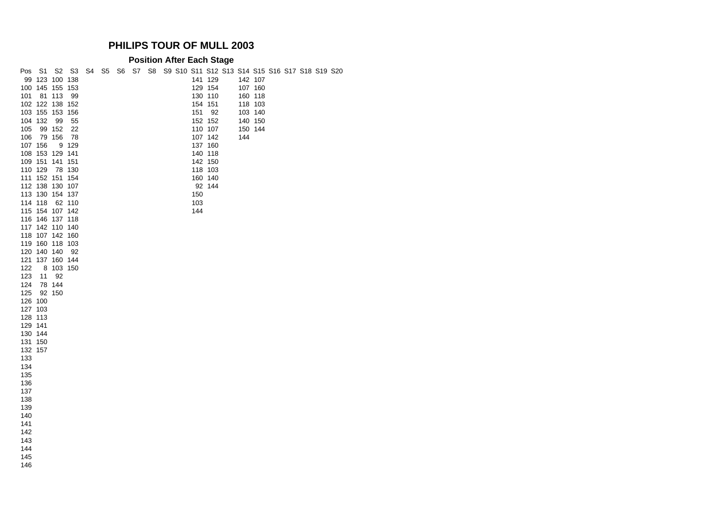#### **Position After Each Stage**

| Pos     | S1      |                 | S2 S3  |  |  | S4 S5 S6 S7 S8 S9 S10 S11 S12 S13 S14 S15 S16 S17 S18 S19 S20 |     |         |     |         |  |  |  |
|---------|---------|-----------------|--------|--|--|---------------------------------------------------------------|-----|---------|-----|---------|--|--|--|
|         |         | 99 123 100 138  |        |  |  |                                                               |     | 141 129 |     | 142 107 |  |  |  |
|         |         | 100 145 155 153 |        |  |  |                                                               |     | 129 154 |     | 107 160 |  |  |  |
| 101     |         | 81 113          | 99     |  |  |                                                               |     | 130 110 |     | 160 118 |  |  |  |
|         |         | 102 122 138 152 |        |  |  |                                                               |     | 154 151 |     | 118 103 |  |  |  |
|         |         | 103 155 153 156 |        |  |  |                                                               | 151 | 92      |     | 103 140 |  |  |  |
|         | 104 132 | 99              | 55     |  |  |                                                               |     | 152 152 |     | 140 150 |  |  |  |
| 105     |         | 99 152          | 22     |  |  |                                                               |     | 110 107 |     | 150 144 |  |  |  |
| 106     |         | 79 156          | 78     |  |  |                                                               |     | 107 142 | 144 |         |  |  |  |
|         | 107 156 |                 | 9 129  |  |  |                                                               |     | 137 160 |     |         |  |  |  |
|         |         | 108 153 129 141 |        |  |  |                                                               |     | 140 118 |     |         |  |  |  |
|         |         | 109 151 141 151 |        |  |  |                                                               |     | 142 150 |     |         |  |  |  |
|         | 110 129 |                 | 78 130 |  |  |                                                               |     | 118 103 |     |         |  |  |  |
|         |         |                 |        |  |  |                                                               |     |         |     |         |  |  |  |
|         |         | 111 152 151 154 |        |  |  |                                                               |     | 160 140 |     |         |  |  |  |
|         |         | 112 138 130 107 |        |  |  |                                                               |     | 92 144  |     |         |  |  |  |
|         |         | 113 130 154 137 |        |  |  |                                                               | 150 |         |     |         |  |  |  |
|         | 114 118 |                 | 62 110 |  |  |                                                               | 103 |         |     |         |  |  |  |
|         |         | 115 154 107 142 |        |  |  |                                                               | 144 |         |     |         |  |  |  |
|         |         | 116 146 137 118 |        |  |  |                                                               |     |         |     |         |  |  |  |
|         |         | 117 142 110 140 |        |  |  |                                                               |     |         |     |         |  |  |  |
|         |         | 118 107 142 160 |        |  |  |                                                               |     |         |     |         |  |  |  |
|         |         | 119 160 118 103 |        |  |  |                                                               |     |         |     |         |  |  |  |
|         |         | 120 140 140     | 92     |  |  |                                                               |     |         |     |         |  |  |  |
|         |         | 121 137 160 144 |        |  |  |                                                               |     |         |     |         |  |  |  |
| 122     |         | 8 103 150       |        |  |  |                                                               |     |         |     |         |  |  |  |
| 123     | 11      | 92              |        |  |  |                                                               |     |         |     |         |  |  |  |
| 124     |         | 78 144          |        |  |  |                                                               |     |         |     |         |  |  |  |
| 125     |         | 92 150          |        |  |  |                                                               |     |         |     |         |  |  |  |
| 126 100 |         |                 |        |  |  |                                                               |     |         |     |         |  |  |  |
|         | 127 103 |                 |        |  |  |                                                               |     |         |     |         |  |  |  |
|         | 128 113 |                 |        |  |  |                                                               |     |         |     |         |  |  |  |
| 129 141 |         |                 |        |  |  |                                                               |     |         |     |         |  |  |  |
|         | 130 144 |                 |        |  |  |                                                               |     |         |     |         |  |  |  |
|         | 131 150 |                 |        |  |  |                                                               |     |         |     |         |  |  |  |
| 132 157 |         |                 |        |  |  |                                                               |     |         |     |         |  |  |  |
| 133     |         |                 |        |  |  |                                                               |     |         |     |         |  |  |  |
| 134     |         |                 |        |  |  |                                                               |     |         |     |         |  |  |  |
| 135     |         |                 |        |  |  |                                                               |     |         |     |         |  |  |  |
| 136     |         |                 |        |  |  |                                                               |     |         |     |         |  |  |  |
| 137     |         |                 |        |  |  |                                                               |     |         |     |         |  |  |  |
| 138     |         |                 |        |  |  |                                                               |     |         |     |         |  |  |  |
| 139     |         |                 |        |  |  |                                                               |     |         |     |         |  |  |  |
| 140     |         |                 |        |  |  |                                                               |     |         |     |         |  |  |  |
| 141     |         |                 |        |  |  |                                                               |     |         |     |         |  |  |  |
| 142     |         |                 |        |  |  |                                                               |     |         |     |         |  |  |  |
| 143     |         |                 |        |  |  |                                                               |     |         |     |         |  |  |  |
| 144     |         |                 |        |  |  |                                                               |     |         |     |         |  |  |  |
|         |         |                 |        |  |  |                                                               |     |         |     |         |  |  |  |
| 145     |         |                 |        |  |  |                                                               |     |         |     |         |  |  |  |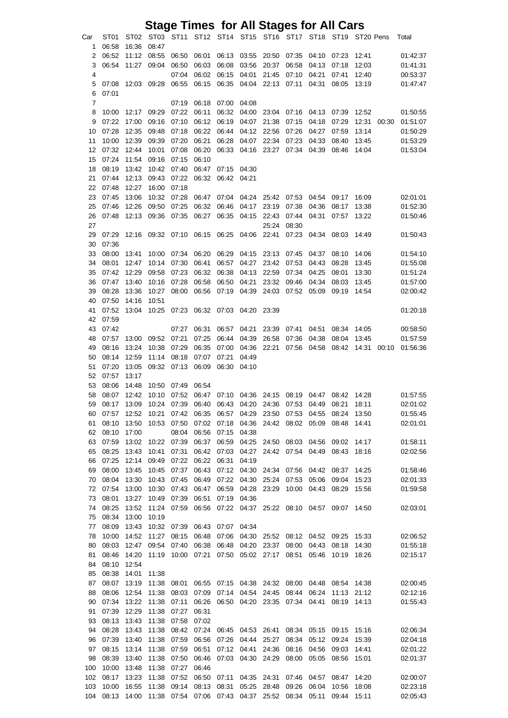|                     |                |                  |                |                | <b>Stage Times for All Stages for All Cars</b>                       |                |                      |                         |                |                |                |                |       |                      |
|---------------------|----------------|------------------|----------------|----------------|----------------------------------------------------------------------|----------------|----------------------|-------------------------|----------------|----------------|----------------|----------------|-------|----------------------|
| Car                 | ST01           | ST <sub>02</sub> |                |                | ST03 ST11 ST12 ST14 ST15 ST16 ST17 ST18 ST19 ST20 Pens               |                |                      |                         |                |                |                |                |       | Total                |
| 1                   | 06:58          | 16:36            | 08:47          |                |                                                                      |                |                      |                         |                |                |                |                |       |                      |
| 2                   | 06:52          | 11:12            | 08:55          | 06:50          | 06:01                                                                | 06:13          | 03:55                | 20:50                   | 07:35          | 04:10          | 07:23          | 12:41          |       | 01:42:37             |
| 3                   | 06:54          | 11:27            | 09:04          | 06:50          | 06:03                                                                | 06:08          | 03:56                | 20:37                   | 06:58          | 04:13          | 07:18          | 12:03          |       | 01:41:31             |
| 4                   |                |                  |                | 07:04          | 06:02                                                                | 06:15          | 04:01                | 21:45                   | 07:10          | 04:21          | 07:41          | 12:40          |       | 00:53:37             |
| 5                   | 07:08          | 12:03            | 09:28          | 06:55          | 06:15                                                                | 06:35          | 04:04                | 22:13                   | 07:11          | 04:31          | 08:05          | 13:19          |       | 01:47:47             |
| 6<br>$\overline{7}$ | 07:01          |                  |                | 07:19          | 06:18                                                                | 07:00          | 04:08                |                         |                |                |                |                |       |                      |
| 8                   | 10:00          | 12:17            | 09:29          | 07:22          | 06:11                                                                | 06:32          | 04:00                | 23:04                   | 07:16          | 04:13          | 07:39          | 12:52          |       | 01:50:55             |
| 9                   | 07:22          | 17:00            | 09:16          | 07:10          | 06:12                                                                | 06:19          | 04:07                | 21:38                   | 07:15          | 04:18          | 07:29          | 12:31          | 00:30 | 01:51:07             |
| 10                  | 07:28          | 12:35            | 09:48          | 07:18          | 06:22                                                                | 06:44          | 04:12                | 22:56                   | 07:26          | 04:27          | 07:59          | 13:14          |       | 01:50:29             |
| 11                  | 10:00          | 12:39            | 09:39          | 07:20          | 06:21                                                                | 06:28          | 04:07                | 22:34                   | 07:23          | 04:33          | 08:40          | 13:45          |       | 01:53:29             |
| 12                  | 07:32          | 12:44            | 10:01          | 07:08          | 06:20                                                                | 06:33          | 04:16                | 23:27                   | 07:34          | 04:39          | 08:46          | 14:04          |       | 01:53:04             |
| 15                  | 07:24          | 11:54            | 09:16          | 07:15          | 06:10                                                                |                |                      |                         |                |                |                |                |       |                      |
| 18                  | 08:19          | 13:42            | 10:42          | 07:40          | 06:47                                                                | 07:15 04:30    |                      |                         |                |                |                |                |       |                      |
| 21                  | 07:44          | 12:13            | 09:43          | 07:22          | 06:32                                                                | 06:42 04:21    |                      |                         |                |                |                |                |       |                      |
| 22                  | 07:48          | 12:27            | 16:00          | 07:18          |                                                                      |                |                      |                         |                |                |                |                |       |                      |
| 23<br>25            | 07:45<br>07:46 | 13:06<br>12:26   | 10:32<br>09:50 | 07:28<br>07:25 | 06:47<br>06:32                                                       | 07:04<br>06:46 | 04:17                | 04:24 25:42<br>23:19    | 07:53<br>07:38 | 04:54<br>04:36 | 09:17<br>08:17 | 16:09<br>13:38 |       | 02:01:01<br>01:52:30 |
| 26                  | 07:48          | 12:13            | 09:36          | 07:35          | 06:27                                                                | 06:35          | 04:15                | 22:43                   | 07:44          | 04:31          | 07:57          | 13:22          |       | 01:50:46             |
| 27                  |                |                  |                |                |                                                                      |                |                      | 25:24                   | 08:30          |                |                |                |       |                      |
| 29                  | 07:29          |                  |                |                | 12:16 09:32 07:10 06:15 06:25                                        |                | 04:06 22:41          |                         | 07:23          | 04:34          | 08:03          | 14:49          |       | 01:50:43             |
| 30                  | 07:36          |                  |                |                |                                                                      |                |                      |                         |                |                |                |                |       |                      |
| 33                  | 08:00          | 13:41            | 10:00          | 07:34          | 06:20                                                                | 06:29          | 04:15                | 23:13                   | 07:45          | 04:37          | 08:10          | 14:06          |       | 01:54:10             |
| 34                  | 08:01          | 12:47            | 10:14          | 07:30          | 06:41                                                                | 06:57          | 04:27                | 23:42                   | 07:53          | 04:43          | 08:28          | 13:45          |       | 01:55:08             |
| 35                  | 07:42          | 12:29            | 09:58          | 07:23          | 06:32                                                                | 06:38          | 04:13                | 22:59                   | 07:34          | 04:25          | 08:01          | 13:30          |       | 01:51:24             |
| 36                  | 07:47          | 13:40            | 10:16          | 07:28          | 06:58                                                                | 06:50          | 04:21                | 23:32                   | 09:46          | 04:34          | 08:03          | 13:45          |       | 01:57:00             |
| 39                  | 08:28          | 13:36            | 10:27          | 08:00          | 06:56                                                                | 07:19          | 04:39                | 24:03                   | 07:52          | 05:09          | 09:19          | 14:54          |       | 02:00:42             |
| 40<br>41            | 07:50<br>07:52 | 14:16<br>13:04   | 10:51<br>10:25 |                | 07:23 06:32                                                          | 07:03          | 04:20                | 23:39                   |                |                |                |                |       | 01:20:18             |
| 42                  | 07:59          |                  |                |                |                                                                      |                |                      |                         |                |                |                |                |       |                      |
| 43                  | 07:42          |                  |                | 07:27          | 06:31                                                                | 06:57          | 04:21                | 23:39                   | 07:41          | 04:51          | 08:34          | 14:05          |       | 00:58:50             |
| 48                  | 07:57          | 13:00            | 09:52          | 07:21          | 07:25                                                                | 06:44          | 04:39                | 26:58                   | 07:36          | 04:38          | 08:04          | 13:45          |       | 01:57:59             |
| 49                  | 08:16          | 13:24            | 10:38          | 07:29          | 06:35                                                                | 07:00          | 04:36                | 22:21                   | 07:56          | 04:58          | 08:42          | 14:31          | 00:10 | 01:56:36             |
| 50                  | 08:14          | 12:59            | 11:14          | 08:18          | 07:07                                                                | 07:21          | 04:49                |                         |                |                |                |                |       |                      |
| 51                  | 07:20          | 13:05            | 09:32          | 07:13          | 06:09                                                                | 06:30          | 04:10                |                         |                |                |                |                |       |                      |
| 52                  | 07:57          | 13:17            |                |                |                                                                      |                |                      |                         |                |                |                |                |       |                      |
| 53                  | 08:06          | 14:48            | 10:50          | 07:49          | 06:54                                                                |                |                      |                         |                |                |                |                |       |                      |
| 58                  | 08:07          | 12:42            |                |                | 10:10  07:52  06:47  07:10  04:36  24:15  08:19  04:47  08:42  14:28 |                |                      |                         |                |                |                |                |       | 01:57:55             |
| 59                  | 08:17          | 13:09            | 10:24          | 07:39          | 06:40<br>06:35                                                       | 06:43          | 04:20 24:36<br>04:29 |                         | 07:53          | 04:49          | 08:21          | 18:11          |       | 02:01:02             |
| 60<br>61            | 07:57<br>08:10 | 12:52<br>13:50   | 10:21<br>10:53 | 07:42<br>07:50 | 07:02                                                                | 06:57<br>07:18 | 04:36                | 23:50<br>24:42          | 07:53<br>08:02 | 04:55<br>05:09 | 08:24<br>08:48 | 13:50<br>14:41 |       | 01:55:45<br>02:01:01 |
| 62                  | 08:10          | 17:00            |                | 08:04          | 06:56                                                                | 07:15          | 04:38                |                         |                |                |                |                |       |                      |
| 63                  | 07:59          | 13:02            | 10:22          | 07:39          | 06:37                                                                | 06:59          | 04:25 24:50          |                         | 08:03 04:56    |                | 09:02          | 14:17          |       | 01:58:11             |
| 65                  | 08:25          | 13:43            | 10:41          | 07:31          | 06:42                                                                | 07:03          | 04:27                | 24:42                   | 07:54          | 04:49          | 08:43          | 18:16          |       | 02:02:56             |
| 66                  | 07:25          | 12:14            | 09:49          | 07:22          | 06:22                                                                | 06:31          | 04:19                |                         |                |                |                |                |       |                      |
| 69                  | 08:00          | 13:45            | 10:45          | 07:37          | 06:43                                                                | 07:12          | 04:30                | 24:34                   | 07:56          | 04:42          | 08:37          | 14:25          |       | 01:58:46             |
| 70                  | 08:04          | 13:30            | 10:43          | 07:45          | 06:49                                                                | 07:22          | 04:30                | 25:24                   | 07:53          | 05:06          | 09:04          | 15:23          |       | 02:01:33             |
| 72                  | 07:54          | 13:00            | 10:30          | 07:43          | 06:47                                                                | 06:59          | 04:28                | 23:29                   | 10:00          | 04:43          | 08:29          | 15:56          |       | 01:59:58             |
| 73                  | 08:01          | 13:27            | 10:49          | 07:39          | 06:51                                                                | 07:19          | 04:36                |                         |                |                |                |                |       |                      |
| 74<br>75            | 08:25<br>08:34 | 13:52<br>13:00   | 11:24<br>10:19 | 07:59          | 06:56                                                                | 07:22          |                      | 04:37 25:22 08:10 04:57 |                |                | 09:07          | 14:50          |       | 02:03:01             |
| 77                  | 08:09          | 13:43            | 10:32          | 07:39          | 06:43                                                                | 07:07          | 04:34                |                         |                |                |                |                |       |                      |
| 78                  | 10:00          | 14:52            | 11:27          | 08:15          | 06:48                                                                | 07:06          |                      | 04:30 25:52             | 08:12          | 04:52          | 09:25          | 15:33          |       | 02:06:52             |
| 80                  | 08:03          | 12:47            | 09:54          | 07:40          | 06:38                                                                | 06:48          | 04:20 23:37          |                         | 08:00          | 04:43          | 08:18          | 14:30          |       | 01:55:18             |
| 81                  | 08:46          | 14:20            | 11:19          | 10:00          | 07:21                                                                | 07:50          | 05:02 27:17          |                         | 08:51          | 05:46          | 10:19          | 18:26          |       | 02:15:17             |
| 84                  | 08:10          | 12:54            |                |                |                                                                      |                |                      |                         |                |                |                |                |       |                      |
| 85                  | 08:38          | 14:01            | 11:38          |                |                                                                      |                |                      |                         |                |                |                |                |       |                      |
| 87                  | 08:07          | 13:19            | 11:38          | 08:01          | 06:55                                                                | 07:15          | 04:38 24:32          |                         | 08:00          | 04:48          | 08:54          | 14:38          |       | 02:00:45             |
| 88                  | 08:06          | 12:54            | 11:38          | 08:03          | 07:09                                                                | 07:14          | 04:54                | 24:45                   | 08:44          | 06:24          | 11:13          | 21:12          |       | 02:12:16             |
| 90                  | 07:34          | 13:22            | 11:38          | 07:11          | 06:26                                                                | 06:50          | 04:20                | 23:35                   | 07:34          | 04:41          | 08:19          | 14:13          |       | 01:55:43             |
| 91<br>93            | 07:39<br>08:13 | 12:29<br>13:43   | 11:38<br>11:38 | 07:27<br>07:58 | 06:31<br>07:02                                                       |                |                      |                         |                |                |                |                |       |                      |
| 94                  | 08:28          | 13:43            | 11:38          | 08:42          | 07:24                                                                | 06:45          | 04:53                | 26:41                   | 08:34          | 05:15          | 09:15          | 15:16          |       | 02:06:34             |
| 96                  | 07:39          | 13:40            | 11:38          | 07:59          | 06:56                                                                | 07:26          | 04:44                | 25:27                   | 08:34          | 05:12          | 09:24          | 15:39          |       | 02:04:18             |
| 97                  | 08:15          | 13:14            | 11:38          | 07:59          | 06:51                                                                | 07:12          | 04:41                | 24:36                   | 08:16          | 04:56          | 09:03          | 14:41          |       | 02:01:22             |
| 98                  | 08:39          | 13:40            | 11:38          | 07:50          | 06:46                                                                | 07:03          | 04:30                | 24:29                   | 08:00          | 05:05          | 08:56          | 15:01          |       | 02:01:37             |
| 100                 | 10:00          | 13:48            | 11:38          | 07:27          | 06:46                                                                |                |                      |                         |                |                |                |                |       |                      |
| 102                 | 08:17          | 13:23            | 11:38          | 07:52          | 06:50                                                                | 07:11          | 04:35 24:31          |                         | 07:46          | 04:57          | 08:47          | 14:20          |       | 02:00:07             |
| 103                 | 10:00          | 16:55            | 11:38          | 09:14          | 08:13                                                                | 08:31          | 05:25 28:48          |                         | 09:26          | 06:04          | 10:56          | 18:08          |       | 02:23:18             |
| 104                 | 08:13          | 14:00            | 11:38          | 07:54          |                                                                      | 07:06 07:43    | 04:37                | 25:52                   | 08:34          | 05:11          | 09:44          | 15:11          |       | 02:05:43             |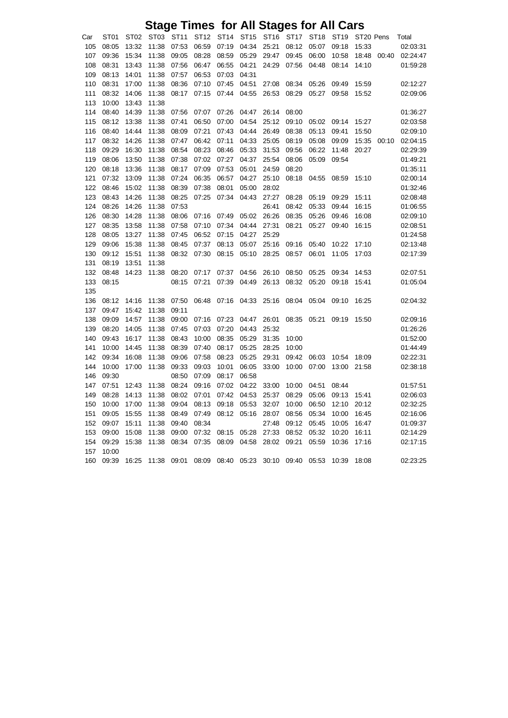## **Stage Times for All Stages for All Cars**

| Car | ST <sub>01</sub> | ST <sub>02</sub> | ST <sub>03</sub> | ST11  | ST <sub>12</sub> | ST14  | ST <sub>15</sub> | ST <sub>16</sub> | <b>ST17</b> | ST <sub>18</sub> | ST <sub>19</sub> | ST20 Pens |       | Total    |
|-----|------------------|------------------|------------------|-------|------------------|-------|------------------|------------------|-------------|------------------|------------------|-----------|-------|----------|
| 105 | 08:05            | 13:32            | 11:38            | 07:53 | 06:59            | 07:19 | 04:34            | 25:21            | 08:12       | 05:07            | 09:18            | 15:33     |       | 02:03:31 |
| 107 | 09:36            | 15:34            | 11:38            | 09:05 | 08:28            | 08:59 | 05:29            | 29:47            | 09:45       | 06:00            | 10:58            | 18:48     | 00:40 | 02:24:47 |
| 108 | 08:31            | 13:43            | 11:38            | 07:56 | 06:47            | 06:55 | 04:21            | 24:29            | 07:56       | 04:48            | 08:14            | 14:10     |       | 01:59:28 |
| 109 | 08:13            | 14:01            | 11:38            | 07:57 | 06:53            | 07:03 | 04:31            |                  |             |                  |                  |           |       |          |
| 110 | 08:31            | 17:00            | 11:38            | 08:36 | 07:10            | 07:45 | 04:51            | 27:08            | 08:34       | 05:26            | 09:49            | 15:59     |       | 02:12:27 |
| 111 | 08:32            | 14:06            | 11:38            | 08:17 | 07:15            | 07:44 | 04:55            | 26:53            | 08:29       | 05:27            | 09:58            | 15:52     |       | 02:09:06 |
| 113 | 10:00            | 13:43            | 11:38            |       |                  |       |                  |                  |             |                  |                  |           |       |          |
| 114 | 08:40            | 14:39            | 11:38            | 07:56 | 07:07            | 07:26 | 04:47            | 26:14            | 08:00       |                  |                  |           |       | 01:36:27 |
| 115 | 08:12            | 13:38            | 11:38            | 07:41 | 06:50            | 07:00 | 04:54            | 25:12            | 09:10       | 05:02            | 09:14            | 15:27     |       | 02:03:58 |
| 116 | 08:40            | 14:44            | 11:38            | 08:09 | 07:21            | 07:43 | 04:44            | 26:49            | 08:38       | 05:13            | 09:41            | 15:50     |       | 02:09:10 |
| 117 | 08:32            | 14:26            | 11:38            | 07:47 | 06:42            | 07:11 | 04:33            | 25:05            | 08:19       | 05:08            | 09:09            | 15:35     | 00:10 | 02:04:15 |
| 118 | 09:29            | 16:30            | 11:38            | 08:54 | 08:23            | 08:46 | 05:33            | 31:53            | 09:56       | 06:22            | 11:48            | 20:27     |       | 02:29:39 |
| 119 | 08:06            | 13:50            | 11:38            | 07:38 | 07:02            | 07:27 | 04:37            | 25:54            | 08:06       | 05:09            | 09:54            |           |       | 01:49:21 |
| 120 | 08:18            | 13:36            | 11:38            | 08:17 | 07:09            | 07:53 | 05:01            | 24:59            | 08:20       |                  |                  |           |       | 01:35:11 |
| 121 | 07:32            | 13:09            | 11:38            | 07:24 | 06:35            | 06:57 | 04:27            | 25:10            | 08:18       | 04:55            | 08:59            | 15:10     |       | 02:00:14 |
| 122 | 08:46            | 15:02            | 11:38            | 08:39 | 07:38            | 08:01 | 05:00            | 28:02            |             |                  |                  |           |       | 01:32:46 |
| 123 | 08:43            | 14:26            | 11:38            | 08:25 | 07:25            | 07:34 | 04:43            | 27:27            | 08:28       | 05:19            | 09:29            | 15:11     |       | 02:08:48 |
| 124 | 08:26            | 14:26            | 11:38            | 07:53 |                  |       |                  | 26:41            | 08:42       | 05:33            | 09:44            | 16:15     |       | 01:06:55 |
| 126 | 08:30            | 14:28            | 11:38            | 08:06 | 07:16            | 07:49 | 05:02            | 26:26            | 08:35       | 05:26            | 09:46            | 16:08     |       | 02:09:10 |
| 127 | 08:35            | 13:58            | 11:38            | 07:58 | 07:10            | 07:34 | 04:44            | 27:31            | 08:21       | 05:27            | 09:40            | 16:15     |       | 02:08:51 |
| 128 | 08:05            | 13:27            | 11:38            | 07:45 | 06:52            | 07:15 | 04:27            | 25:29            |             |                  |                  |           |       | 01:24:58 |
| 129 | 09:06            | 15:38            | 11:38            | 08:45 | 07:37            | 08:13 | 05:07            | 25:16            | 09:16       | 05:40            | 10:22            | 17:10     |       | 02:13:48 |
| 130 | 09:12            | 15:51            | 11:38            | 08:32 | 07:30            | 08:15 | 05:10            | 28:25            | 08:57       | 06:01            | 11:05            | 17:03     |       | 02:17:39 |
| 131 | 08:19            | 13:51            | 11:38            |       |                  |       |                  |                  |             |                  |                  |           |       |          |
| 132 | 08:48            | 14:23            | 11:38            | 08:20 | 07:17            | 07:37 | 04:56            | 26:10            | 08:50       | 05:25            | 09:34            | 14:53     |       | 02:07:51 |
| 133 | 08:15            |                  |                  | 08:15 | 07:21            | 07:39 | 04:49            | 26:13            | 08:32       | 05:20            | 09:18            | 15:41     |       | 01:05:04 |
| 135 |                  |                  |                  |       |                  |       |                  |                  |             |                  |                  |           |       |          |
| 136 | 08:12            | 14:16            | 11:38            | 07:50 | 06:48            | 07:16 | 04:33            | 25:16            | 08:04       | 05:04            | 09:10            | 16:25     |       | 02:04:32 |
| 137 | 09:47            | 15:42            | 11:38            | 09:11 |                  |       |                  |                  |             |                  |                  |           |       |          |
| 138 | 09:09            | 14:57            | 11:38            | 09:00 | 07:16            | 07:23 | 04:47            | 26:01            | 08:35       | 05:21            | 09:19            | 15:50     |       | 02:09:16 |
| 139 | 08:20            | 14:05            | 11:38            | 07:45 | 07:03            | 07:20 | 04:43            | 25:32            |             |                  |                  |           |       | 01:26:26 |
| 140 | 09:43            | 16:17            | 11:38            | 08:43 | 10:00            | 08:35 | 05:29            | 31:35            | 10:00       |                  |                  |           |       | 01:52:00 |
| 141 | 10:00            | 14:45            | 11:38            | 08:39 | 07:40            | 08:17 | 05:25            | 28:25            | 10:00       |                  |                  |           |       | 01:44:49 |
| 142 | 09:34            | 16:08            | 11:38            | 09:06 | 07:58            | 08:23 | 05:25            | 29:31            | 09:42       | 06:03            | 10:54            | 18:09     |       | 02:22:31 |
| 144 | 10:00            | 17:00            | 11:38            | 09:33 | 09:03            | 10:01 | 06:05            | 33:00            | 10:00       | 07:00            | 13:00            | 21:58     |       | 02:38:18 |
| 146 | 09:30            |                  |                  | 08:50 | 07:09            | 08:17 | 06:58            |                  |             |                  |                  |           |       |          |
| 147 | 07:51            | 12:43            | 11:38            | 08:24 | 09:16            | 07:02 | 04:22            | 33:00            | 10:00       | 04:51            | 08:44            |           |       | 01:57:51 |
| 149 | 08:28            | 14:13            | 11:38            | 08:02 | 07:01            | 07:42 | 04:53            | 25:37            | 08:29       | 05:06            | 09:13            | 15:41     |       | 02:06:03 |
| 150 | 10:00            | 17:00            | 11:38            | 09:04 | 08:13            | 09:18 | 05:53            | 32:07            | 10:00       | 06:50            | 12:10            | 20:12     |       | 02:32:25 |
| 151 | 09:05            | 15:55            | 11:38            | 08:49 | 07:49            | 08:12 | 05:16            | 28:07            | 08:56       | 05:34            | 10:00            | 16:45     |       | 02:16:06 |
| 152 | 09:07            | 15:11            | 11:38            | 09:40 | 08:34            |       |                  | 27:48            | 09:12       | 05:45            | 10:05            | 16:47     |       | 01:09:37 |
| 153 | 09:00            | 15:08            | 11:38            | 09:00 | 07:32            | 08:15 | 05:28            | 27:33            | 08:52       | 05:32            | 10:20            | 16:11     |       | 02:14:29 |
| 154 | 09:29            | 15:38            | 11:38            | 08:34 | 07:35            | 08:09 | 04:58            | 28:02            | 09:21       | 05:59            | 10:36            | 17:16     |       | 02:17:15 |
| 157 | 10:00            |                  |                  |       |                  |       |                  |                  |             |                  |                  |           |       |          |
| 160 | 09:39            | 16:25            | 11:38            | 09:01 | 08:09            | 08:40 | 05:23            | 30:10            | 09:40       | 05:53            | 10:39            | 18:08     |       | 02:23:25 |